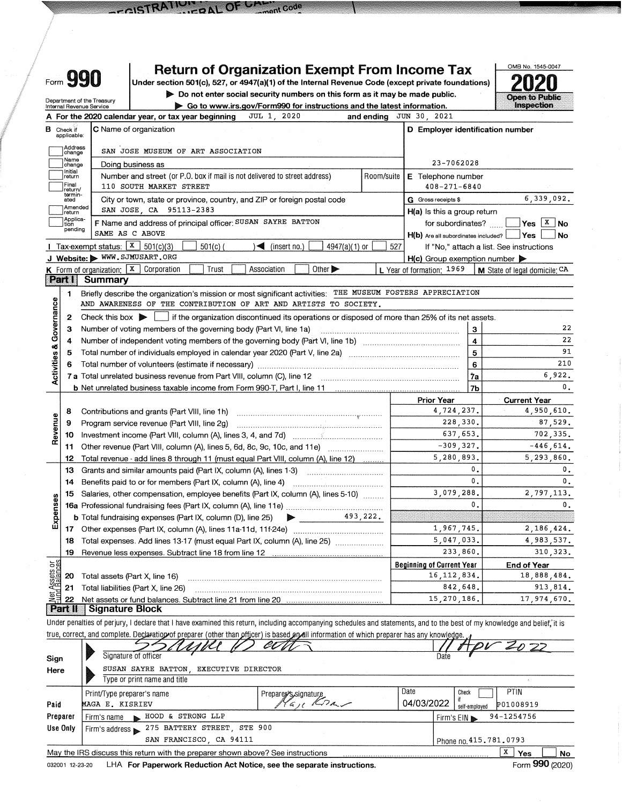|                         | <b>Return of Organization Exempt From Income Tax</b><br>Form 990<br>Under section 501(c), 527, or 4947(a)(1) of the Internal Revenue Code (except private foundations)<br>Do not enter social security numbers on this form as it may be made public.<br>Department of the Treasury |                                                            |                                                                                                                                                                                                                                                                                                                                                         |     |                                                            |                                          |  |  |
|-------------------------|-------------------------------------------------------------------------------------------------------------------------------------------------------------------------------------------------------------------------------------------------------------------------------------|------------------------------------------------------------|---------------------------------------------------------------------------------------------------------------------------------------------------------------------------------------------------------------------------------------------------------------------------------------------------------------------------------------------------------|-----|------------------------------------------------------------|------------------------------------------|--|--|
|                         |                                                                                                                                                                                                                                                                                     | Internal Revenue Service                                   | Go to www.irs.gov/Form990 for instructions and the latest information.                                                                                                                                                                                                                                                                                  |     |                                                            | Inspection                               |  |  |
| в                       | Check if<br>applicable:                                                                                                                                                                                                                                                             |                                                            | JUL 1, 2020<br>A For the 2020 calendar year, or tax year beginning<br>and ending<br><b>C</b> Name of organization                                                                                                                                                                                                                                       |     | JUN 30, 2021<br>D Employer identification number           |                                          |  |  |
|                         | Address<br> change<br>Name<br> change<br>Initial                                                                                                                                                                                                                                    |                                                            | SAN JOSE MUSEUM OF ART ASSOCIATION<br>Doing business as                                                                                                                                                                                                                                                                                                 |     | 23-7062028                                                 |                                          |  |  |
|                         | ]return<br>Final<br>return/<br>termin-                                                                                                                                                                                                                                              |                                                            | Number and street (or P.O. box if mail is not delivered to street address)<br>Room/suite<br>110 SOUTH MARKET STREET                                                                                                                                                                                                                                     |     | E Telephone number<br>$408 - 271 - 6840$                   |                                          |  |  |
|                         | ated<br>Amended<br>return                                                                                                                                                                                                                                                           |                                                            | City or town, state or province, country, and ZIP or foreign postal code<br>SAN JOSE, CA 95113-2383                                                                                                                                                                                                                                                     |     | G Gross receipts \$<br>$H(a)$ is this a group return       | 6,339,092.                               |  |  |
|                         | Applica-<br>tion<br>pending                                                                                                                                                                                                                                                         | <b>I</b> Tax-exempt status: $\boxed{\textbf{X}}$ 501(c)(3) | F Name and address of principal officer: SUSAN SAYRE BATTON<br>SAME AS C ABOVE<br>$501(c)$ (<br>$\sqrt{\left( \text{insert no.} \right)}$                                                                                                                                                                                                               | 527 | for subordinates?<br>$H(b)$ Are all subordinates included? | $Yes$ $X$ No<br><b>Yes</b><br>No         |  |  |
|                         |                                                                                                                                                                                                                                                                                     |                                                            | 4947(a)(1) or<br>J Website: WWW.SJMUSART.ORG<br>Other >                                                                                                                                                                                                                                                                                                 |     | $H(c)$ Group exemption number                              | If "No," attach a list. See instructions |  |  |
|                         | <b>Part I</b>                                                                                                                                                                                                                                                                       | Summary                                                    | K Form of organization:   X Corporation<br>Trust<br>Association                                                                                                                                                                                                                                                                                         |     | L Year of formation: 1969                                  | M State of legal domicile: CA            |  |  |
| Governance              | 1.<br>2<br>З                                                                                                                                                                                                                                                                        | Check this box $\triangleright$                            | Briefly describe the organization's mission or most significant activities: THE MUSEUM FOSTERS APPRECIATION<br>AND AWARENESS OF THE CONTRIBUTION OF ART AND ARTISTS TO SOCIETY.<br>if the organization discontinued its operations or disposed of more than 25% of its net assets.<br>Number of voting members of the governing body (Part VI, line 1a) |     | $\mathbf{3}$                                               | 22                                       |  |  |
|                         | 4                                                                                                                                                                                                                                                                                   |                                                            |                                                                                                                                                                                                                                                                                                                                                         |     | $\overline{\mathbf{4}}$                                    | 22                                       |  |  |
| <b>Activities &amp;</b> | 5                                                                                                                                                                                                                                                                                   |                                                            | Total number of individuals employed in calendar year 2020 (Part V, line 2a) manufactured in the calendary of                                                                                                                                                                                                                                           |     | 5                                                          | 91                                       |  |  |
|                         |                                                                                                                                                                                                                                                                                     |                                                            |                                                                                                                                                                                                                                                                                                                                                         |     | 6                                                          | 210                                      |  |  |
|                         |                                                                                                                                                                                                                                                                                     |                                                            | 7 a Total unrelated business revenue from Part VIII, column (C), line 12                                                                                                                                                                                                                                                                                |     | 7a                                                         | 6,922.                                   |  |  |
|                         |                                                                                                                                                                                                                                                                                     |                                                            |                                                                                                                                                                                                                                                                                                                                                         |     | 7 <sub>b</sub>                                             | $\mathbf 0$ .                            |  |  |
|                         |                                                                                                                                                                                                                                                                                     |                                                            |                                                                                                                                                                                                                                                                                                                                                         |     | <b>Prior Year</b>                                          | <b>Current Year</b>                      |  |  |
|                         | 8                                                                                                                                                                                                                                                                                   |                                                            | Contributions and grants (Part VIII, line 1h)                                                                                                                                                                                                                                                                                                           |     | 4,724,237.                                                 | 4,950,610.                               |  |  |
|                         | 9                                                                                                                                                                                                                                                                                   |                                                            | Program service revenue (Part VIII, line 2g)                                                                                                                                                                                                                                                                                                            |     | 228,330.                                                   | 87,529.                                  |  |  |
| Revenue                 | 10                                                                                                                                                                                                                                                                                  |                                                            |                                                                                                                                                                                                                                                                                                                                                         |     | 637,653.                                                   | 702,335.                                 |  |  |
|                         | 11                                                                                                                                                                                                                                                                                  |                                                            |                                                                                                                                                                                                                                                                                                                                                         |     | $-309, 327$ .                                              | $-446,614.$                              |  |  |
|                         | 12                                                                                                                                                                                                                                                                                  |                                                            | Total revenue - add lines 8 through 11 (must equal Part VIII, column (A), line 12)                                                                                                                                                                                                                                                                      |     | 5,280,893.                                                 | 5,293,860.                               |  |  |
|                         | 13                                                                                                                                                                                                                                                                                  |                                                            | Grants and similar amounts paid (Part IX, column (A), lines 1-3)                                                                                                                                                                                                                                                                                        |     | 0.                                                         | 0.                                       |  |  |
|                         | 14                                                                                                                                                                                                                                                                                  |                                                            | Benefits paid to or for members (Part IX, column (A), line 4)                                                                                                                                                                                                                                                                                           |     | 0.                                                         | $\mathbf{0}$ .                           |  |  |
|                         | 15.                                                                                                                                                                                                                                                                                 |                                                            | Salaries, other compensation, employee benefits (Part IX, column (A), lines 5-10)                                                                                                                                                                                                                                                                       |     | 3,079,288.                                                 | 2,797,113.                               |  |  |
|                         |                                                                                                                                                                                                                                                                                     |                                                            |                                                                                                                                                                                                                                                                                                                                                         |     | $\mathbf{0}$                                               | $\mathbf{0}$ .                           |  |  |
| Expenses                |                                                                                                                                                                                                                                                                                     |                                                            | 493,222.<br><b>b</b> Total fundraising expenses (Part IX, column (D), line 25)                                                                                                                                                                                                                                                                          |     |                                                            |                                          |  |  |
|                         |                                                                                                                                                                                                                                                                                     |                                                            |                                                                                                                                                                                                                                                                                                                                                         |     | 1,967,745.                                                 | 2,186,424.                               |  |  |
|                         | 18                                                                                                                                                                                                                                                                                  |                                                            | Total expenses. Add lines 13-17 (must equal Part IX, column (A), line 25)                                                                                                                                                                                                                                                                               |     | 5,047,033.                                                 | 4,983,537.                               |  |  |
|                         | 19                                                                                                                                                                                                                                                                                  |                                                            | Revenue less expenses. Subtract line 18 from line 12                                                                                                                                                                                                                                                                                                    |     | 233,860.                                                   | 310, 323.                                |  |  |
| Assets or<br>1 Balances |                                                                                                                                                                                                                                                                                     |                                                            |                                                                                                                                                                                                                                                                                                                                                         |     | <b>Beginning of Current Year</b>                           | End of Year                              |  |  |
|                         | 20                                                                                                                                                                                                                                                                                  |                                                            | Total assets (Part X, line 16)                                                                                                                                                                                                                                                                                                                          |     | 16, 112, 834.                                              | 18,888,484.                              |  |  |
|                         | 21                                                                                                                                                                                                                                                                                  |                                                            | Total liabilities (Part X, line 26)                                                                                                                                                                                                                                                                                                                     |     | 842,648.                                                   | 913,814.                                 |  |  |
|                         | 쁽 22<br><b>Part II</b>                                                                                                                                                                                                                                                              | <b>Signature Block</b>                                     |                                                                                                                                                                                                                                                                                                                                                         |     | 15,270,186.                                                | 17,974,670.                              |  |  |
|                         |                                                                                                                                                                                                                                                                                     |                                                            |                                                                                                                                                                                                                                                                                                                                                         |     |                                                            |                                          |  |  |
|                         |                                                                                                                                                                                                                                                                                     |                                                            | Under penalties of perjury, I declare that I have examined this return, including accompanying schedules and statements, and to the best of my knowledge and belief, it is                                                                                                                                                                              |     |                                                            |                                          |  |  |
|                         |                                                                                                                                                                                                                                                                                     |                                                            | true, correct, and complete. Declaration of preparer (other than officer) is based and linformation of which preparer has any knowledge.                                                                                                                                                                                                                |     |                                                            |                                          |  |  |
|                         |                                                                                                                                                                                                                                                                                     |                                                            | Signature of officer                                                                                                                                                                                                                                                                                                                                    |     | Date                                                       | 2022                                     |  |  |

nent Code

 $OFU<sub>N</sub>$ 

| .        |                                                                                 |                      |            |                            |
|----------|---------------------------------------------------------------------------------|----------------------|------------|----------------------------|
|          | Type or print name and title                                                    |                      |            |                            |
|          | Print/Type preparer's name                                                      | Prepare S, signature | Date       | PTIN<br>Check              |
| Paid     | MAGA E. KISRIEV                                                                 | $Kn-$                | 04/03/2022 | P01008919<br>self-emoloved |
| Preparer | HOOD & STRONG LLP<br>Firm's name                                                |                      |            | 94-1254756<br>Firm's $EIN$ |
| Use Only | Firm's address 275 BATTERY STREET, STE 900                                      |                      |            |                            |
|          | SAN FRANCISCO CA 94111                                                          |                      |            | Phone no 415.781.0793      |
|          | May the IRS discuss this return with the preparer shown above? See instructions |                      |            | X<br>Voc<br><b>No</b>      |

032001 12-23-20 LHA For Paperwork Reduction Act Notice, see the separate instructions.

COSTRATION

Form 990 (2020)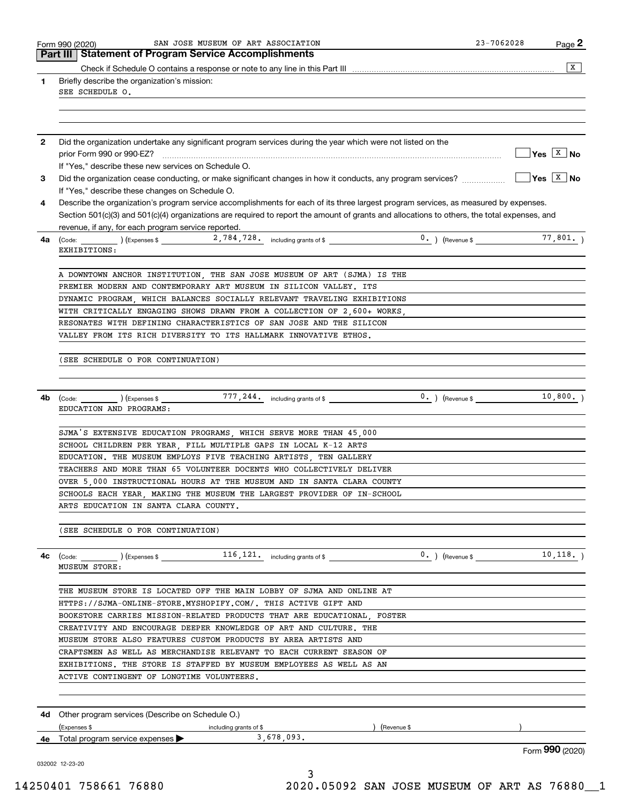|              | SAN JOSE MUSEUM OF ART ASSOCIATION<br>Form 990 (2020)<br>Part III   Statement of Program Service Accomplishments                                   | 23-7062028                                  | Page 2                              |
|--------------|----------------------------------------------------------------------------------------------------------------------------------------------------|---------------------------------------------|-------------------------------------|
|              |                                                                                                                                                    |                                             | $\overline{X}$                      |
| 1            | Briefly describe the organization's mission:                                                                                                       |                                             |                                     |
|              | SEE SCHEDULE O.                                                                                                                                    |                                             |                                     |
|              |                                                                                                                                                    |                                             |                                     |
|              |                                                                                                                                                    |                                             |                                     |
| $\mathbf{2}$ | Did the organization undertake any significant program services during the year which were not listed on the                                       |                                             |                                     |
|              | prior Form 990 or 990-EZ?                                                                                                                          |                                             | $\sqrt{}$ Yes $\boxed{\text{x}}$ No |
| 3            | If "Yes," describe these new services on Schedule O.                                                                                               |                                             | $Yes \ \boxed{X}$ No                |
|              | If "Yes," describe these changes on Schedule O.                                                                                                    |                                             |                                     |
| 4            | Describe the organization's program service accomplishments for each of its three largest program services, as measured by expenses.               |                                             |                                     |
|              | Section 501(c)(3) and 501(c)(4) organizations are required to report the amount of grants and allocations to others, the total expenses, and       |                                             |                                     |
|              | revenue, if any, for each program service reported.                                                                                                |                                             |                                     |
| 4a l         |                                                                                                                                                    |                                             | 77,801.                             |
|              | EXHIBITIONS:                                                                                                                                       |                                             |                                     |
|              |                                                                                                                                                    |                                             |                                     |
|              | A DOWNTOWN ANCHOR INSTITUTION, THE SAN JOSE MUSEUM OF ART (SJMA) IS THE                                                                            |                                             |                                     |
|              | PREMIER MODERN AND CONTEMPORARY ART MUSEUM IN SILICON VALLEY. ITS                                                                                  |                                             |                                     |
|              | DYNAMIC PROGRAM, WHICH BALANCES SOCIALLY RELEVANT TRAVELING EXHIBITIONS<br>WITH CRITICALLY ENGAGING SHOWS DRAWN FROM A COLLECTION OF 2,600+ WORKS, |                                             |                                     |
|              | RESONATES WITH DEFINING CHARACTERISTICS OF SAN JOSE AND THE SILICON                                                                                |                                             |                                     |
|              | VALLEY FROM ITS RICH DIVERSITY TO ITS HALLMARK INNOVATIVE ETHOS.                                                                                   |                                             |                                     |
|              |                                                                                                                                                    |                                             |                                     |
|              | (SEE SCHEDULE O FOR CONTINUATION)                                                                                                                  |                                             |                                     |
|              |                                                                                                                                                    |                                             |                                     |
|              |                                                                                                                                                    |                                             | 10,800.                             |
| 4b           |                                                                                                                                                    | $0.$ ) (Revenue \$ $\overline{\phantom{0}}$ |                                     |
|              | EDUCATION AND PROGRAMS:                                                                                                                            |                                             |                                     |
|              | SJMA'S EXTENSIVE EDUCATION PROGRAMS, WHICH SERVE MORE THAN 45,000                                                                                  |                                             |                                     |
|              | SCHOOL CHILDREN PER YEAR, FILL MULTIPLE GAPS IN LOCAL K-12 ARTS                                                                                    |                                             |                                     |
|              | EDUCATION. THE MUSEUM EMPLOYS FIVE TEACHING ARTISTS, TEN GALLERY                                                                                   |                                             |                                     |
|              | TEACHERS AND MORE THAN 65 VOLUNTEER DOCENTS WHO COLLECTIVELY DELIVER                                                                               |                                             |                                     |
|              | OVER 5 000 INSTRUCTIONAL HOURS AT THE MUSEUM AND IN SANTA CLARA COUNTY                                                                             |                                             |                                     |
|              | SCHOOLS EACH YEAR, MAKING THE MUSEUM THE LARGEST PROVIDER OF IN-SCHOOL                                                                             |                                             |                                     |
|              | ARTS EDUCATION IN SANTA CLARA COUNTY.                                                                                                              |                                             |                                     |
|              |                                                                                                                                                    |                                             |                                     |
|              | (SEE SCHEDULE O FOR CONTINUATION)                                                                                                                  |                                             |                                     |
| 4c           |                                                                                                                                                    |                                             |                                     |
|              | <b>MUSEUM STORE:</b>                                                                                                                               |                                             |                                     |
|              |                                                                                                                                                    |                                             |                                     |
|              | THE MUSEUM STORE IS LOCATED OFF THE MAIN LOBBY OF SJMA AND ONLINE AT                                                                               |                                             |                                     |
|              | HTTPS://SJMA-ONLINE-STORE.MYSHOPIFY.COM/. THIS ACTIVE GIFT AND                                                                                     |                                             |                                     |
|              | BOOKSTORE CARRIES MISSION-RELATED PRODUCTS THAT ARE EDUCATIONAL FOSTER                                                                             |                                             |                                     |
|              | CREATIVITY AND ENCOURAGE DEEPER KNOWLEDGE OF ART AND CULTURE. THE                                                                                  |                                             |                                     |
|              | MUSEUM STORE ALSO FEATURES CUSTOM PRODUCTS BY AREA ARTISTS AND                                                                                     |                                             |                                     |
|              | CRAFTSMEN AS WELL AS MERCHANDISE RELEVANT TO EACH CURRENT SEASON OF                                                                                |                                             |                                     |
|              | EXHIBITIONS. THE STORE IS STAFFED BY MUSEUM EMPLOYEES AS WELL AS AN<br>ACTIVE CONTINGENT OF LONGTIME VOLUNTEERS.                                   |                                             |                                     |
|              |                                                                                                                                                    |                                             |                                     |
|              |                                                                                                                                                    |                                             |                                     |
|              |                                                                                                                                                    |                                             |                                     |
|              | <b>4d</b> Other program services (Describe on Schedule O.)                                                                                         |                                             |                                     |
|              | (Expenses \$<br>(Revenue \$<br>including grants of \$                                                                                              |                                             |                                     |
|              | 3,678,093.<br>4e Total program service expenses $\blacktriangleright$                                                                              |                                             | Form 990 (2020)                     |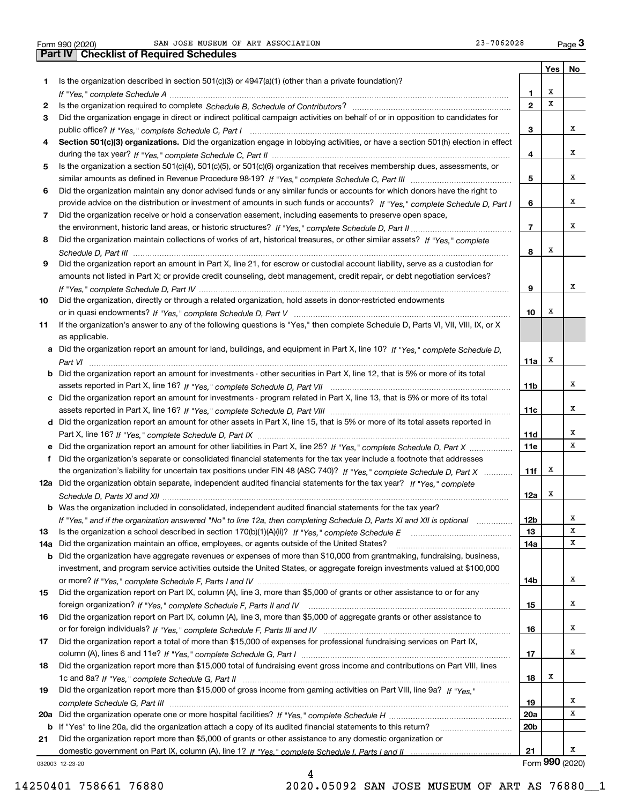|     | 23-7062028<br>SAN JOSE MUSEUM OF ART ASSOCIATION<br>Form 990 (2020)                                                                   |                 |     | Page $3$        |
|-----|---------------------------------------------------------------------------------------------------------------------------------------|-----------------|-----|-----------------|
|     | <b>Part IV   Checklist of Required Schedules</b>                                                                                      |                 |     |                 |
|     |                                                                                                                                       |                 | Yes | No              |
| 1   | Is the organization described in section $501(c)(3)$ or $4947(a)(1)$ (other than a private foundation)?                               |                 |     |                 |
|     |                                                                                                                                       | 1.              | х   |                 |
| 2   |                                                                                                                                       | $\overline{2}$  | X   |                 |
| 3   | Did the organization engage in direct or indirect political campaign activities on behalf of or in opposition to candidates for       |                 |     |                 |
|     |                                                                                                                                       | 3               |     | х               |
| 4   | Section 501(c)(3) organizations. Did the organization engage in lobbying activities, or have a section 501(h) election in effect      |                 |     |                 |
|     |                                                                                                                                       | 4               |     | х               |
| 5   | Is the organization a section 501(c)(4), 501(c)(5), or 501(c)(6) organization that receives membership dues, assessments, or          |                 |     |                 |
|     |                                                                                                                                       | 5               |     | х               |
| 6   | Did the organization maintain any donor advised funds or any similar funds or accounts for which donors have the right to             |                 |     |                 |
|     | provide advice on the distribution or investment of amounts in such funds or accounts? If "Yes," complete Schedule D, Part I          | 6               |     | х               |
| 7   | Did the organization receive or hold a conservation easement, including easements to preserve open space,                             |                 |     |                 |
|     |                                                                                                                                       | $\overline{7}$  |     | х               |
| 8   | Did the organization maintain collections of works of art, historical treasures, or other similar assets? If "Yes," complete          |                 |     |                 |
|     |                                                                                                                                       | 8               | х   |                 |
| 9   | Did the organization report an amount in Part X, line 21, for escrow or custodial account liability, serve as a custodian for         |                 |     |                 |
|     | amounts not listed in Part X; or provide credit counseling, debt management, credit repair, or debt negotiation services?             |                 |     |                 |
|     |                                                                                                                                       | 9               |     | х               |
| 10  | Did the organization, directly or through a related organization, hold assets in donor-restricted endowments                          |                 |     |                 |
|     |                                                                                                                                       | 10              | х   |                 |
| 11  | If the organization's answer to any of the following questions is "Yes," then complete Schedule D, Parts VI, VII, VIII, IX, or X      |                 |     |                 |
|     | as applicable.                                                                                                                        |                 |     |                 |
|     | a Did the organization report an amount for land, buildings, and equipment in Part X, line 10? If "Yes," complete Schedule D.         |                 |     |                 |
|     |                                                                                                                                       | 11a             | х   |                 |
|     | <b>b</b> Did the organization report an amount for investments - other securities in Part X, line 12, that is 5% or more of its total |                 |     |                 |
|     |                                                                                                                                       | 11 <sub>b</sub> |     | x               |
|     | c Did the organization report an amount for investments - program related in Part X, line 13, that is 5% or more of its total         |                 |     |                 |
|     |                                                                                                                                       | 11c             |     | x               |
|     | d Did the organization report an amount for other assets in Part X, line 15, that is 5% or more of its total assets reported in       |                 |     |                 |
|     |                                                                                                                                       | <b>11d</b>      |     | х               |
|     |                                                                                                                                       | <b>11e</b>      |     | х               |
| f   | Did the organization's separate or consolidated financial statements for the tax year include a footnote that addresses               |                 |     |                 |
|     | the organization's liability for uncertain tax positions under FIN 48 (ASC 740)? If "Yes," complete Schedule D, Part X                | 11f             | х   |                 |
|     | 12a Did the organization obtain separate, independent audited financial statements for the tax year? If "Yes," complete               |                 |     |                 |
|     |                                                                                                                                       | 12a             | х   |                 |
|     | <b>b</b> Was the organization included in consolidated, independent audited financial statements for the tax year?                    |                 |     |                 |
|     | If "Yes," and if the organization answered "No" to line 12a, then completing Schedule D, Parts XI and XII is optional                 | 12 <sub>b</sub> |     | x               |
| 13  |                                                                                                                                       | 13              |     | X               |
| 14a | Did the organization maintain an office, employees, or agents outside of the United States?                                           | 14a             |     | х               |
|     | <b>b</b> Did the organization have aggregate revenues or expenses of more than \$10,000 from grantmaking, fundraising, business,      |                 |     |                 |
|     | investment, and program service activities outside the United States, or aggregate foreign investments valued at \$100,000            |                 |     |                 |
|     |                                                                                                                                       | 14b             |     | х               |
| 15  | Did the organization report on Part IX, column (A), line 3, more than \$5,000 of grants or other assistance to or for any             |                 |     |                 |
|     |                                                                                                                                       | 15              |     | х               |
| 16  | Did the organization report on Part IX, column (A), line 3, more than \$5,000 of aggregate grants or other assistance to              |                 |     |                 |
|     |                                                                                                                                       | 16              |     | х               |
| 17  | Did the organization report a total of more than \$15,000 of expenses for professional fundraising services on Part IX,               |                 |     |                 |
|     |                                                                                                                                       | 17              |     | х               |
| 18  | Did the organization report more than \$15,000 total of fundraising event gross income and contributions on Part VIII, lines          |                 |     |                 |
|     |                                                                                                                                       | 18              | x   |                 |
| 19  | Did the organization report more than \$15,000 of gross income from gaming activities on Part VIII, line 9a? If "Yes."                |                 |     |                 |
|     |                                                                                                                                       | 19              |     | x<br>X          |
|     |                                                                                                                                       | 20a             |     |                 |
|     | b If "Yes" to line 20a, did the organization attach a copy of its audited financial statements to this return?                        | 20 <sub>b</sub> |     |                 |
| 21  | Did the organization report more than \$5,000 of grants or other assistance to any domestic organization or                           | 21              |     | x               |
|     | 032003 12-23-20                                                                                                                       |                 |     | Form 990 (2020) |
|     |                                                                                                                                       |                 |     |                 |

4

032003 12-23-20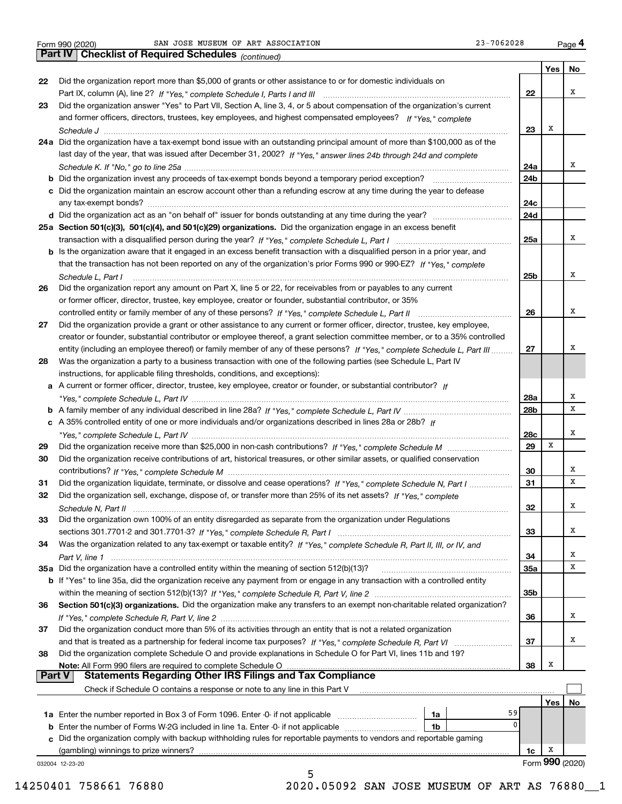*(continued)*

|               |                                                                                                                                                                                                                                               |            | Yes $ $ | No              |
|---------------|-----------------------------------------------------------------------------------------------------------------------------------------------------------------------------------------------------------------------------------------------|------------|---------|-----------------|
| 22            | Did the organization report more than \$5,000 of grants or other assistance to or for domestic individuals on                                                                                                                                 |            |         |                 |
|               |                                                                                                                                                                                                                                               | 22         |         | х               |
| 23            | Did the organization answer "Yes" to Part VII, Section A, line 3, 4, or 5 about compensation of the organization's current                                                                                                                    |            |         |                 |
|               | and former officers, directors, trustees, key employees, and highest compensated employees? If "Yes." complete                                                                                                                                |            |         |                 |
|               |                                                                                                                                                                                                                                               | 23         | Х       |                 |
|               | 24a Did the organization have a tax-exempt bond issue with an outstanding principal amount of more than \$100,000 as of the                                                                                                                   |            |         |                 |
|               | last day of the year, that was issued after December 31, 2002? If "Yes," answer lines 24b through 24d and complete                                                                                                                            |            |         |                 |
|               |                                                                                                                                                                                                                                               | 24a        |         | x               |
|               | <b>b</b> Did the organization invest any proceeds of tax-exempt bonds beyond a temporary period exception? <i>mmmmmmmmmmm</i>                                                                                                                 | 24b        |         |                 |
|               | c Did the organization maintain an escrow account other than a refunding escrow at any time during the year to defease                                                                                                                        |            |         |                 |
|               |                                                                                                                                                                                                                                               | 24c        |         |                 |
|               |                                                                                                                                                                                                                                               | 24d        |         |                 |
|               | 25a Section 501(c)(3), 501(c)(4), and 501(c)(29) organizations. Did the organization engage in an excess benefit                                                                                                                              |            |         |                 |
|               |                                                                                                                                                                                                                                               | 25a        |         | х               |
|               | b Is the organization aware that it engaged in an excess benefit transaction with a disqualified person in a prior year, and                                                                                                                  |            |         |                 |
|               | that the transaction has not been reported on any of the organization's prior Forms 990 or 990-EZ? If "Yes," complete                                                                                                                         |            |         |                 |
|               |                                                                                                                                                                                                                                               |            |         | х               |
|               | Schedule L, Part I<br>Did the organization report any amount on Part X, line 5 or 22, for receivables from or payables to any current                                                                                                         | 25b        |         |                 |
| 26            |                                                                                                                                                                                                                                               |            |         |                 |
|               | or former officer, director, trustee, key employee, creator or founder, substantial contributor, or 35%                                                                                                                                       |            |         | х               |
|               | controlled entity or family member of any of these persons? If "Yes," complete Schedule L, Part II                                                                                                                                            | 26         |         |                 |
| 27            | Did the organization provide a grant or other assistance to any current or former officer, director, trustee, key employee,                                                                                                                   |            |         |                 |
|               | creator or founder, substantial contributor or employee thereof, a grant selection committee member, or to a 35% controlled                                                                                                                   |            |         | х               |
|               | entity (including an employee thereof) or family member of any of these persons? If "Yes," complete Schedule L, Part III<br>Was the organization a party to a business transaction with one of the following parties (see Schedule L, Part IV | 27         |         |                 |
| 28            | instructions, for applicable filing thresholds, conditions, and exceptions):                                                                                                                                                                  |            |         |                 |
|               | a A current or former officer, director, trustee, key employee, creator or founder, or substantial contributor? If                                                                                                                            |            |         |                 |
|               |                                                                                                                                                                                                                                               | 28a        |         | х               |
|               |                                                                                                                                                                                                                                               | 28b        |         | x               |
|               | c A 35% controlled entity of one or more individuals and/or organizations described in lines 28a or 28b? If                                                                                                                                   |            |         |                 |
|               |                                                                                                                                                                                                                                               | 28c        |         | х               |
| 29            |                                                                                                                                                                                                                                               | 29         | X       |                 |
| 30            | Did the organization receive contributions of art, historical treasures, or other similar assets, or qualified conservation                                                                                                                   |            |         |                 |
|               |                                                                                                                                                                                                                                               | 30         |         | х               |
| 31            | Did the organization liquidate, terminate, or dissolve and cease operations? If "Yes," complete Schedule N, Part I                                                                                                                            | 31         |         | x               |
| 32            | Did the organization sell, exchange, dispose of, or transfer more than 25% of its net assets? If "Yes," complete                                                                                                                              |            |         |                 |
|               |                                                                                                                                                                                                                                               | 32         |         | х               |
| 33            | Did the organization own 100% of an entity disregarded as separate from the organization under Regulations                                                                                                                                    |            |         |                 |
|               |                                                                                                                                                                                                                                               | 33         |         | х               |
| 34            | Was the organization related to any tax-exempt or taxable entity? If "Yes," complete Schedule R, Part II, III, or IV, and                                                                                                                     |            |         |                 |
|               |                                                                                                                                                                                                                                               | 34         |         | x               |
|               | 35a Did the organization have a controlled entity within the meaning of section 512(b)(13)?                                                                                                                                                   | <b>35a</b> |         | х               |
|               | b If "Yes" to line 35a, did the organization receive any payment from or engage in any transaction with a controlled entity                                                                                                                   |            |         |                 |
|               |                                                                                                                                                                                                                                               | 35b        |         |                 |
| 36            | Section 501(c)(3) organizations. Did the organization make any transfers to an exempt non-charitable related organization?                                                                                                                    |            |         |                 |
|               |                                                                                                                                                                                                                                               | 36         |         | х               |
| 37            | Did the organization conduct more than 5% of its activities through an entity that is not a related organization                                                                                                                              |            |         |                 |
|               |                                                                                                                                                                                                                                               | 37         |         | х               |
| 38            | Did the organization complete Schedule O and provide explanations in Schedule O for Part VI, lines 11b and 19?                                                                                                                                |            |         |                 |
|               | Note: All Form 990 filers are required to complete Schedule O                                                                                                                                                                                 | 38         | X       |                 |
| <b>Part V</b> | <b>Statements Regarding Other IRS Filings and Tax Compliance</b>                                                                                                                                                                              |            |         |                 |
|               | Check if Schedule O contains a response or note to any line in this Part V                                                                                                                                                                    |            |         |                 |
|               |                                                                                                                                                                                                                                               |            | Yes     | No              |
|               | 59<br>1a Enter the number reported in Box 3 of Form 1096. Enter -0- if not applicable<br>1a                                                                                                                                                   |            |         |                 |
|               | $\mathbf{0}$<br><b>b</b> Enter the number of Forms W-2G included in line 1a. Enter -0- if not applicable<br>1b                                                                                                                                |            |         |                 |
|               | c Did the organization comply with backup withholding rules for reportable payments to vendors and reportable gaming                                                                                                                          |            |         |                 |
|               | (gambling) winnings to prize winners?                                                                                                                                                                                                         | 1c         | x       |                 |
|               | 032004 12-23-20                                                                                                                                                                                                                               |            |         | Form 990 (2020) |
|               | 5                                                                                                                                                                                                                                             |            |         |                 |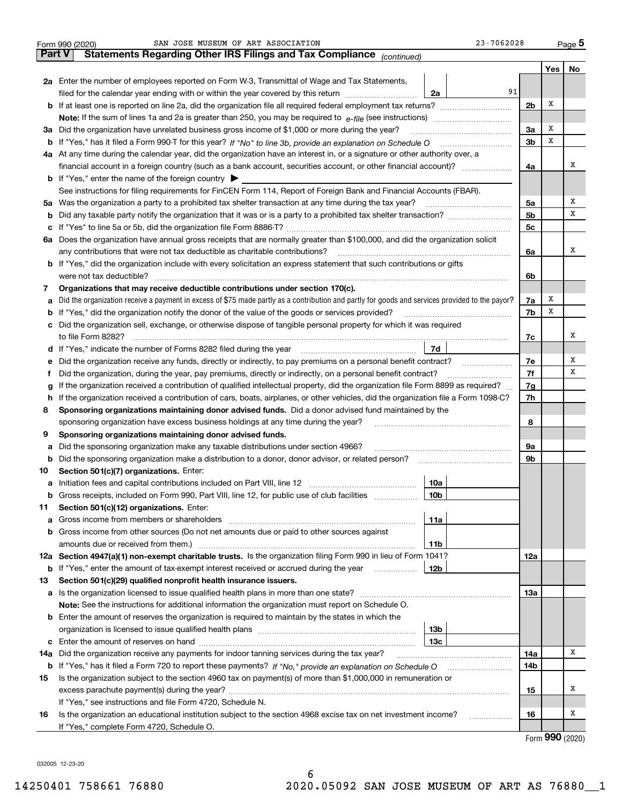| Part V<br>Yes  <br>No<br>2a Enter the number of employees reported on Form W-3, Transmittal of Wage and Tax Statements,<br>91<br>filed for the calendar year ending with or within the year covered by this return<br>2a<br>Х<br>2 <sub>b</sub><br><b>b</b> If at least one is reported on line 2a, did the organization file all required federal employment tax returns?<br><b>Note:</b> If the sum of lines 1a and 2a is greater than 250, you may be required to $e$ -file (see instructions) <i>marrouum</i> manu-<br>х<br>3a<br>3a Did the organization have unrelated business gross income of \$1,000 or more during the year?<br>х<br>3 <sub>b</sub><br>b If "Yes," has it filed a Form 990-T for this year? If "No" to line 3b, provide an explanation on Schedule O<br>4a At any time during the calendar year, did the organization have an interest in, or a signature or other authority over, a<br>x<br>financial account in a foreign country (such as a bank account, securities account, or other financial account)?<br>4a<br><b>b</b> If "Yes," enter the name of the foreign country $\blacktriangleright$<br>See instructions for filing requirements for FinCEN Form 114, Report of Foreign Bank and Financial Accounts (FBAR).<br>х<br>5a Was the organization a party to a prohibited tax shelter transaction at any time during the tax year?<br>5a<br>х<br>5 <sub>b</sub><br>b<br>5c<br>6a Does the organization have annual gross receipts that are normally greater than \$100,000, and did the organization solicit<br>x<br>any contributions that were not tax deductible as charitable contributions?<br>6a<br><b>b</b> If "Yes," did the organization include with every solicitation an express statement that such contributions or gifts<br>were not tax deductible?<br>6b<br>Organizations that may receive deductible contributions under section 170(c).<br>7<br>х<br>7a<br>Did the organization receive a payment in excess of \$75 made partly as a contribution and partly for goods and services provided to the payor?<br>а<br>х<br>7b<br>If "Yes," did the organization notify the donor of the value of the goods or services provided?<br>b<br>c Did the organization sell, exchange, or otherwise dispose of tangible personal property for which it was required<br>х<br>to file Form 8282?<br>7c<br>7d<br>d If "Yes," indicate the number of Forms 8282 filed during the year<br>Х<br>7e<br>Did the organization receive any funds, directly or indirectly, to pay premiums on a personal benefit contract?<br>е<br>х<br>7f<br>Did the organization, during the year, pay premiums, directly or indirectly, on a personal benefit contract?<br>Ť.<br>If the organization received a contribution of qualified intellectual property, did the organization file Form 8899 as required?<br>7g<br>g<br>h If the organization received a contribution of cars, boats, airplanes, or other vehicles, did the organization file a Form 1098-C?<br>7h<br>Sponsoring organizations maintaining donor advised funds. Did a donor advised fund maintained by the<br>8<br>sponsoring organization have excess business holdings at any time during the year?<br>8<br>Sponsoring organizations maintaining donor advised funds.<br>9<br>Did the sponsoring organization make any taxable distributions under section 4966?<br>9а<br>а<br>9 <sub>b</sub><br>Did the sponsoring organization make a distribution to a donor, donor advisor, or related person?<br>b<br>Section 501(c)(7) organizations. Enter:<br>10<br>10a<br>Gross receipts, included on Form 990, Part VIII, line 12, for public use of club facilities<br>10b<br>b<br>Section 501(c)(12) organizations. Enter:<br>11<br>11a<br>а<br>Gross income from other sources (Do not net amounts due or paid to other sources against<br>b<br>amounts due or received from them.)<br>11b<br>12a Section 4947(a)(1) non-exempt charitable trusts. Is the organization filing Form 990 in lieu of Form 1041?<br>12a<br>If "Yes," enter the amount of tax-exempt interest received or accrued during the year<br>12b<br>b<br>Section 501(c)(29) qualified nonprofit health insurance issuers.<br>13<br>13а<br><b>Note:</b> See the instructions for additional information the organization must report on Schedule O.<br><b>b</b> Enter the amount of reserves the organization is required to maintain by the states in which the<br>13 <sub>b</sub><br>13с<br>Χ<br>Did the organization receive any payments for indoor tanning services during the tax year?<br>14a<br>14a<br>14b<br>b<br>Is the organization subject to the section 4960 tax on payment(s) of more than \$1,000,000 in remuneration or<br>15<br>х<br>15<br>If "Yes," see instructions and file Form 4720, Schedule N.<br>х<br>Is the organization an educational institution subject to the section 4968 excise tax on net investment income?<br>16<br>16<br>.<br>If "Yes," complete Form 4720, Schedule O.<br>$000 \; \text{const}$ | 23-7062028<br>SAN JOSE MUSEUM OF ART ASSOCIATION<br>Form 990 (2020)   |  |  | <u>Page</u> 5 |  |  |  |  |  |  |  |
|-------------------------------------------------------------------------------------------------------------------------------------------------------------------------------------------------------------------------------------------------------------------------------------------------------------------------------------------------------------------------------------------------------------------------------------------------------------------------------------------------------------------------------------------------------------------------------------------------------------------------------------------------------------------------------------------------------------------------------------------------------------------------------------------------------------------------------------------------------------------------------------------------------------------------------------------------------------------------------------------------------------------------------------------------------------------------------------------------------------------------------------------------------------------------------------------------------------------------------------------------------------------------------------------------------------------------------------------------------------------------------------------------------------------------------------------------------------------------------------------------------------------------------------------------------------------------------------------------------------------------------------------------------------------------------------------------------------------------------------------------------------------------------------------------------------------------------------------------------------------------------------------------------------------------------------------------------------------------------------------------------------------------------------------------------------------------------------------------------------------------------------------------------------------------------------------------------------------------------------------------------------------------------------------------------------------------------------------------------------------------------------------------------------------------------------------------------------------------------------------------------------------------------------------------------------------------------------------------------------------------------------------------------------------------------------------------------------------------------------------------------------------------------------------------------------------------------------------------------------------------------------------------------------------------------------------------------------------------------------------------------------------------------------------------------------------------------------------------------------------------------------------------------------------------------------------------------------------------------------------------------------------------------------------------------------------------------------------------------------------------------------------------------------------------------------------------------------------------------------------------------------------------------------------------------------------------------------------------------------------------------------------------------------------------------------------------------------------------------------------------------------------------------------------------------------------------------------------------------------------------------------------------------------------------------------------------------------------------------------------------------------------------------------------------------------------------------------------------------------------------------------------------------------------------------------------------------------------------------------------------------------------------------------------------------------------------------------------------------------------------------------------------------------------------------------------------------------------------------------------------------------------------------------------------------------------------------------------------------------------------------------------------------------------------------------------------------------------------------------------------------------------------------------------------------------------------------------------------------------------------------------------------------------------------------------------------------------------------------------------------------|-----------------------------------------------------------------------|--|--|---------------|--|--|--|--|--|--|--|
|                                                                                                                                                                                                                                                                                                                                                                                                                                                                                                                                                                                                                                                                                                                                                                                                                                                                                                                                                                                                                                                                                                                                                                                                                                                                                                                                                                                                                                                                                                                                                                                                                                                                                                                                                                                                                                                                                                                                                                                                                                                                                                                                                                                                                                                                                                                                                                                                                                                                                                                                                                                                                                                                                                                                                                                                                                                                                                                                                                                                                                                                                                                                                                                                                                                                                                                                                                                                                                                                                                                                                                                                                                                                                                                                                                                                                                                                                                                                                                                                                                                                                                                                                                                                                                                                                                                                                                                                                                                                                                                                                                                                                                                                                                                                                                                                                                                                                                                                                                                                       | Statements Regarding Other IRS Filings and Tax Compliance (continued) |  |  |               |  |  |  |  |  |  |  |
|                                                                                                                                                                                                                                                                                                                                                                                                                                                                                                                                                                                                                                                                                                                                                                                                                                                                                                                                                                                                                                                                                                                                                                                                                                                                                                                                                                                                                                                                                                                                                                                                                                                                                                                                                                                                                                                                                                                                                                                                                                                                                                                                                                                                                                                                                                                                                                                                                                                                                                                                                                                                                                                                                                                                                                                                                                                                                                                                                                                                                                                                                                                                                                                                                                                                                                                                                                                                                                                                                                                                                                                                                                                                                                                                                                                                                                                                                                                                                                                                                                                                                                                                                                                                                                                                                                                                                                                                                                                                                                                                                                                                                                                                                                                                                                                                                                                                                                                                                                                                       |                                                                       |  |  |               |  |  |  |  |  |  |  |
|                                                                                                                                                                                                                                                                                                                                                                                                                                                                                                                                                                                                                                                                                                                                                                                                                                                                                                                                                                                                                                                                                                                                                                                                                                                                                                                                                                                                                                                                                                                                                                                                                                                                                                                                                                                                                                                                                                                                                                                                                                                                                                                                                                                                                                                                                                                                                                                                                                                                                                                                                                                                                                                                                                                                                                                                                                                                                                                                                                                                                                                                                                                                                                                                                                                                                                                                                                                                                                                                                                                                                                                                                                                                                                                                                                                                                                                                                                                                                                                                                                                                                                                                                                                                                                                                                                                                                                                                                                                                                                                                                                                                                                                                                                                                                                                                                                                                                                                                                                                                       |                                                                       |  |  |               |  |  |  |  |  |  |  |
|                                                                                                                                                                                                                                                                                                                                                                                                                                                                                                                                                                                                                                                                                                                                                                                                                                                                                                                                                                                                                                                                                                                                                                                                                                                                                                                                                                                                                                                                                                                                                                                                                                                                                                                                                                                                                                                                                                                                                                                                                                                                                                                                                                                                                                                                                                                                                                                                                                                                                                                                                                                                                                                                                                                                                                                                                                                                                                                                                                                                                                                                                                                                                                                                                                                                                                                                                                                                                                                                                                                                                                                                                                                                                                                                                                                                                                                                                                                                                                                                                                                                                                                                                                                                                                                                                                                                                                                                                                                                                                                                                                                                                                                                                                                                                                                                                                                                                                                                                                                                       |                                                                       |  |  |               |  |  |  |  |  |  |  |
|                                                                                                                                                                                                                                                                                                                                                                                                                                                                                                                                                                                                                                                                                                                                                                                                                                                                                                                                                                                                                                                                                                                                                                                                                                                                                                                                                                                                                                                                                                                                                                                                                                                                                                                                                                                                                                                                                                                                                                                                                                                                                                                                                                                                                                                                                                                                                                                                                                                                                                                                                                                                                                                                                                                                                                                                                                                                                                                                                                                                                                                                                                                                                                                                                                                                                                                                                                                                                                                                                                                                                                                                                                                                                                                                                                                                                                                                                                                                                                                                                                                                                                                                                                                                                                                                                                                                                                                                                                                                                                                                                                                                                                                                                                                                                                                                                                                                                                                                                                                                       |                                                                       |  |  |               |  |  |  |  |  |  |  |
|                                                                                                                                                                                                                                                                                                                                                                                                                                                                                                                                                                                                                                                                                                                                                                                                                                                                                                                                                                                                                                                                                                                                                                                                                                                                                                                                                                                                                                                                                                                                                                                                                                                                                                                                                                                                                                                                                                                                                                                                                                                                                                                                                                                                                                                                                                                                                                                                                                                                                                                                                                                                                                                                                                                                                                                                                                                                                                                                                                                                                                                                                                                                                                                                                                                                                                                                                                                                                                                                                                                                                                                                                                                                                                                                                                                                                                                                                                                                                                                                                                                                                                                                                                                                                                                                                                                                                                                                                                                                                                                                                                                                                                                                                                                                                                                                                                                                                                                                                                                                       |                                                                       |  |  |               |  |  |  |  |  |  |  |
|                                                                                                                                                                                                                                                                                                                                                                                                                                                                                                                                                                                                                                                                                                                                                                                                                                                                                                                                                                                                                                                                                                                                                                                                                                                                                                                                                                                                                                                                                                                                                                                                                                                                                                                                                                                                                                                                                                                                                                                                                                                                                                                                                                                                                                                                                                                                                                                                                                                                                                                                                                                                                                                                                                                                                                                                                                                                                                                                                                                                                                                                                                                                                                                                                                                                                                                                                                                                                                                                                                                                                                                                                                                                                                                                                                                                                                                                                                                                                                                                                                                                                                                                                                                                                                                                                                                                                                                                                                                                                                                                                                                                                                                                                                                                                                                                                                                                                                                                                                                                       |                                                                       |  |  |               |  |  |  |  |  |  |  |
|                                                                                                                                                                                                                                                                                                                                                                                                                                                                                                                                                                                                                                                                                                                                                                                                                                                                                                                                                                                                                                                                                                                                                                                                                                                                                                                                                                                                                                                                                                                                                                                                                                                                                                                                                                                                                                                                                                                                                                                                                                                                                                                                                                                                                                                                                                                                                                                                                                                                                                                                                                                                                                                                                                                                                                                                                                                                                                                                                                                                                                                                                                                                                                                                                                                                                                                                                                                                                                                                                                                                                                                                                                                                                                                                                                                                                                                                                                                                                                                                                                                                                                                                                                                                                                                                                                                                                                                                                                                                                                                                                                                                                                                                                                                                                                                                                                                                                                                                                                                                       |                                                                       |  |  |               |  |  |  |  |  |  |  |
|                                                                                                                                                                                                                                                                                                                                                                                                                                                                                                                                                                                                                                                                                                                                                                                                                                                                                                                                                                                                                                                                                                                                                                                                                                                                                                                                                                                                                                                                                                                                                                                                                                                                                                                                                                                                                                                                                                                                                                                                                                                                                                                                                                                                                                                                                                                                                                                                                                                                                                                                                                                                                                                                                                                                                                                                                                                                                                                                                                                                                                                                                                                                                                                                                                                                                                                                                                                                                                                                                                                                                                                                                                                                                                                                                                                                                                                                                                                                                                                                                                                                                                                                                                                                                                                                                                                                                                                                                                                                                                                                                                                                                                                                                                                                                                                                                                                                                                                                                                                                       |                                                                       |  |  |               |  |  |  |  |  |  |  |
|                                                                                                                                                                                                                                                                                                                                                                                                                                                                                                                                                                                                                                                                                                                                                                                                                                                                                                                                                                                                                                                                                                                                                                                                                                                                                                                                                                                                                                                                                                                                                                                                                                                                                                                                                                                                                                                                                                                                                                                                                                                                                                                                                                                                                                                                                                                                                                                                                                                                                                                                                                                                                                                                                                                                                                                                                                                                                                                                                                                                                                                                                                                                                                                                                                                                                                                                                                                                                                                                                                                                                                                                                                                                                                                                                                                                                                                                                                                                                                                                                                                                                                                                                                                                                                                                                                                                                                                                                                                                                                                                                                                                                                                                                                                                                                                                                                                                                                                                                                                                       |                                                                       |  |  |               |  |  |  |  |  |  |  |
|                                                                                                                                                                                                                                                                                                                                                                                                                                                                                                                                                                                                                                                                                                                                                                                                                                                                                                                                                                                                                                                                                                                                                                                                                                                                                                                                                                                                                                                                                                                                                                                                                                                                                                                                                                                                                                                                                                                                                                                                                                                                                                                                                                                                                                                                                                                                                                                                                                                                                                                                                                                                                                                                                                                                                                                                                                                                                                                                                                                                                                                                                                                                                                                                                                                                                                                                                                                                                                                                                                                                                                                                                                                                                                                                                                                                                                                                                                                                                                                                                                                                                                                                                                                                                                                                                                                                                                                                                                                                                                                                                                                                                                                                                                                                                                                                                                                                                                                                                                                                       |                                                                       |  |  |               |  |  |  |  |  |  |  |
|                                                                                                                                                                                                                                                                                                                                                                                                                                                                                                                                                                                                                                                                                                                                                                                                                                                                                                                                                                                                                                                                                                                                                                                                                                                                                                                                                                                                                                                                                                                                                                                                                                                                                                                                                                                                                                                                                                                                                                                                                                                                                                                                                                                                                                                                                                                                                                                                                                                                                                                                                                                                                                                                                                                                                                                                                                                                                                                                                                                                                                                                                                                                                                                                                                                                                                                                                                                                                                                                                                                                                                                                                                                                                                                                                                                                                                                                                                                                                                                                                                                                                                                                                                                                                                                                                                                                                                                                                                                                                                                                                                                                                                                                                                                                                                                                                                                                                                                                                                                                       |                                                                       |  |  |               |  |  |  |  |  |  |  |
|                                                                                                                                                                                                                                                                                                                                                                                                                                                                                                                                                                                                                                                                                                                                                                                                                                                                                                                                                                                                                                                                                                                                                                                                                                                                                                                                                                                                                                                                                                                                                                                                                                                                                                                                                                                                                                                                                                                                                                                                                                                                                                                                                                                                                                                                                                                                                                                                                                                                                                                                                                                                                                                                                                                                                                                                                                                                                                                                                                                                                                                                                                                                                                                                                                                                                                                                                                                                                                                                                                                                                                                                                                                                                                                                                                                                                                                                                                                                                                                                                                                                                                                                                                                                                                                                                                                                                                                                                                                                                                                                                                                                                                                                                                                                                                                                                                                                                                                                                                                                       |                                                                       |  |  |               |  |  |  |  |  |  |  |
|                                                                                                                                                                                                                                                                                                                                                                                                                                                                                                                                                                                                                                                                                                                                                                                                                                                                                                                                                                                                                                                                                                                                                                                                                                                                                                                                                                                                                                                                                                                                                                                                                                                                                                                                                                                                                                                                                                                                                                                                                                                                                                                                                                                                                                                                                                                                                                                                                                                                                                                                                                                                                                                                                                                                                                                                                                                                                                                                                                                                                                                                                                                                                                                                                                                                                                                                                                                                                                                                                                                                                                                                                                                                                                                                                                                                                                                                                                                                                                                                                                                                                                                                                                                                                                                                                                                                                                                                                                                                                                                                                                                                                                                                                                                                                                                                                                                                                                                                                                                                       |                                                                       |  |  |               |  |  |  |  |  |  |  |
|                                                                                                                                                                                                                                                                                                                                                                                                                                                                                                                                                                                                                                                                                                                                                                                                                                                                                                                                                                                                                                                                                                                                                                                                                                                                                                                                                                                                                                                                                                                                                                                                                                                                                                                                                                                                                                                                                                                                                                                                                                                                                                                                                                                                                                                                                                                                                                                                                                                                                                                                                                                                                                                                                                                                                                                                                                                                                                                                                                                                                                                                                                                                                                                                                                                                                                                                                                                                                                                                                                                                                                                                                                                                                                                                                                                                                                                                                                                                                                                                                                                                                                                                                                                                                                                                                                                                                                                                                                                                                                                                                                                                                                                                                                                                                                                                                                                                                                                                                                                                       |                                                                       |  |  |               |  |  |  |  |  |  |  |
|                                                                                                                                                                                                                                                                                                                                                                                                                                                                                                                                                                                                                                                                                                                                                                                                                                                                                                                                                                                                                                                                                                                                                                                                                                                                                                                                                                                                                                                                                                                                                                                                                                                                                                                                                                                                                                                                                                                                                                                                                                                                                                                                                                                                                                                                                                                                                                                                                                                                                                                                                                                                                                                                                                                                                                                                                                                                                                                                                                                                                                                                                                                                                                                                                                                                                                                                                                                                                                                                                                                                                                                                                                                                                                                                                                                                                                                                                                                                                                                                                                                                                                                                                                                                                                                                                                                                                                                                                                                                                                                                                                                                                                                                                                                                                                                                                                                                                                                                                                                                       |                                                                       |  |  |               |  |  |  |  |  |  |  |
|                                                                                                                                                                                                                                                                                                                                                                                                                                                                                                                                                                                                                                                                                                                                                                                                                                                                                                                                                                                                                                                                                                                                                                                                                                                                                                                                                                                                                                                                                                                                                                                                                                                                                                                                                                                                                                                                                                                                                                                                                                                                                                                                                                                                                                                                                                                                                                                                                                                                                                                                                                                                                                                                                                                                                                                                                                                                                                                                                                                                                                                                                                                                                                                                                                                                                                                                                                                                                                                                                                                                                                                                                                                                                                                                                                                                                                                                                                                                                                                                                                                                                                                                                                                                                                                                                                                                                                                                                                                                                                                                                                                                                                                                                                                                                                                                                                                                                                                                                                                                       |                                                                       |  |  |               |  |  |  |  |  |  |  |
|                                                                                                                                                                                                                                                                                                                                                                                                                                                                                                                                                                                                                                                                                                                                                                                                                                                                                                                                                                                                                                                                                                                                                                                                                                                                                                                                                                                                                                                                                                                                                                                                                                                                                                                                                                                                                                                                                                                                                                                                                                                                                                                                                                                                                                                                                                                                                                                                                                                                                                                                                                                                                                                                                                                                                                                                                                                                                                                                                                                                                                                                                                                                                                                                                                                                                                                                                                                                                                                                                                                                                                                                                                                                                                                                                                                                                                                                                                                                                                                                                                                                                                                                                                                                                                                                                                                                                                                                                                                                                                                                                                                                                                                                                                                                                                                                                                                                                                                                                                                                       |                                                                       |  |  |               |  |  |  |  |  |  |  |
|                                                                                                                                                                                                                                                                                                                                                                                                                                                                                                                                                                                                                                                                                                                                                                                                                                                                                                                                                                                                                                                                                                                                                                                                                                                                                                                                                                                                                                                                                                                                                                                                                                                                                                                                                                                                                                                                                                                                                                                                                                                                                                                                                                                                                                                                                                                                                                                                                                                                                                                                                                                                                                                                                                                                                                                                                                                                                                                                                                                                                                                                                                                                                                                                                                                                                                                                                                                                                                                                                                                                                                                                                                                                                                                                                                                                                                                                                                                                                                                                                                                                                                                                                                                                                                                                                                                                                                                                                                                                                                                                                                                                                                                                                                                                                                                                                                                                                                                                                                                                       |                                                                       |  |  |               |  |  |  |  |  |  |  |
|                                                                                                                                                                                                                                                                                                                                                                                                                                                                                                                                                                                                                                                                                                                                                                                                                                                                                                                                                                                                                                                                                                                                                                                                                                                                                                                                                                                                                                                                                                                                                                                                                                                                                                                                                                                                                                                                                                                                                                                                                                                                                                                                                                                                                                                                                                                                                                                                                                                                                                                                                                                                                                                                                                                                                                                                                                                                                                                                                                                                                                                                                                                                                                                                                                                                                                                                                                                                                                                                                                                                                                                                                                                                                                                                                                                                                                                                                                                                                                                                                                                                                                                                                                                                                                                                                                                                                                                                                                                                                                                                                                                                                                                                                                                                                                                                                                                                                                                                                                                                       |                                                                       |  |  |               |  |  |  |  |  |  |  |
|                                                                                                                                                                                                                                                                                                                                                                                                                                                                                                                                                                                                                                                                                                                                                                                                                                                                                                                                                                                                                                                                                                                                                                                                                                                                                                                                                                                                                                                                                                                                                                                                                                                                                                                                                                                                                                                                                                                                                                                                                                                                                                                                                                                                                                                                                                                                                                                                                                                                                                                                                                                                                                                                                                                                                                                                                                                                                                                                                                                                                                                                                                                                                                                                                                                                                                                                                                                                                                                                                                                                                                                                                                                                                                                                                                                                                                                                                                                                                                                                                                                                                                                                                                                                                                                                                                                                                                                                                                                                                                                                                                                                                                                                                                                                                                                                                                                                                                                                                                                                       |                                                                       |  |  |               |  |  |  |  |  |  |  |
|                                                                                                                                                                                                                                                                                                                                                                                                                                                                                                                                                                                                                                                                                                                                                                                                                                                                                                                                                                                                                                                                                                                                                                                                                                                                                                                                                                                                                                                                                                                                                                                                                                                                                                                                                                                                                                                                                                                                                                                                                                                                                                                                                                                                                                                                                                                                                                                                                                                                                                                                                                                                                                                                                                                                                                                                                                                                                                                                                                                                                                                                                                                                                                                                                                                                                                                                                                                                                                                                                                                                                                                                                                                                                                                                                                                                                                                                                                                                                                                                                                                                                                                                                                                                                                                                                                                                                                                                                                                                                                                                                                                                                                                                                                                                                                                                                                                                                                                                                                                                       |                                                                       |  |  |               |  |  |  |  |  |  |  |
|                                                                                                                                                                                                                                                                                                                                                                                                                                                                                                                                                                                                                                                                                                                                                                                                                                                                                                                                                                                                                                                                                                                                                                                                                                                                                                                                                                                                                                                                                                                                                                                                                                                                                                                                                                                                                                                                                                                                                                                                                                                                                                                                                                                                                                                                                                                                                                                                                                                                                                                                                                                                                                                                                                                                                                                                                                                                                                                                                                                                                                                                                                                                                                                                                                                                                                                                                                                                                                                                                                                                                                                                                                                                                                                                                                                                                                                                                                                                                                                                                                                                                                                                                                                                                                                                                                                                                                                                                                                                                                                                                                                                                                                                                                                                                                                                                                                                                                                                                                                                       |                                                                       |  |  |               |  |  |  |  |  |  |  |
|                                                                                                                                                                                                                                                                                                                                                                                                                                                                                                                                                                                                                                                                                                                                                                                                                                                                                                                                                                                                                                                                                                                                                                                                                                                                                                                                                                                                                                                                                                                                                                                                                                                                                                                                                                                                                                                                                                                                                                                                                                                                                                                                                                                                                                                                                                                                                                                                                                                                                                                                                                                                                                                                                                                                                                                                                                                                                                                                                                                                                                                                                                                                                                                                                                                                                                                                                                                                                                                                                                                                                                                                                                                                                                                                                                                                                                                                                                                                                                                                                                                                                                                                                                                                                                                                                                                                                                                                                                                                                                                                                                                                                                                                                                                                                                                                                                                                                                                                                                                                       |                                                                       |  |  |               |  |  |  |  |  |  |  |
|                                                                                                                                                                                                                                                                                                                                                                                                                                                                                                                                                                                                                                                                                                                                                                                                                                                                                                                                                                                                                                                                                                                                                                                                                                                                                                                                                                                                                                                                                                                                                                                                                                                                                                                                                                                                                                                                                                                                                                                                                                                                                                                                                                                                                                                                                                                                                                                                                                                                                                                                                                                                                                                                                                                                                                                                                                                                                                                                                                                                                                                                                                                                                                                                                                                                                                                                                                                                                                                                                                                                                                                                                                                                                                                                                                                                                                                                                                                                                                                                                                                                                                                                                                                                                                                                                                                                                                                                                                                                                                                                                                                                                                                                                                                                                                                                                                                                                                                                                                                                       |                                                                       |  |  |               |  |  |  |  |  |  |  |
|                                                                                                                                                                                                                                                                                                                                                                                                                                                                                                                                                                                                                                                                                                                                                                                                                                                                                                                                                                                                                                                                                                                                                                                                                                                                                                                                                                                                                                                                                                                                                                                                                                                                                                                                                                                                                                                                                                                                                                                                                                                                                                                                                                                                                                                                                                                                                                                                                                                                                                                                                                                                                                                                                                                                                                                                                                                                                                                                                                                                                                                                                                                                                                                                                                                                                                                                                                                                                                                                                                                                                                                                                                                                                                                                                                                                                                                                                                                                                                                                                                                                                                                                                                                                                                                                                                                                                                                                                                                                                                                                                                                                                                                                                                                                                                                                                                                                                                                                                                                                       |                                                                       |  |  |               |  |  |  |  |  |  |  |
|                                                                                                                                                                                                                                                                                                                                                                                                                                                                                                                                                                                                                                                                                                                                                                                                                                                                                                                                                                                                                                                                                                                                                                                                                                                                                                                                                                                                                                                                                                                                                                                                                                                                                                                                                                                                                                                                                                                                                                                                                                                                                                                                                                                                                                                                                                                                                                                                                                                                                                                                                                                                                                                                                                                                                                                                                                                                                                                                                                                                                                                                                                                                                                                                                                                                                                                                                                                                                                                                                                                                                                                                                                                                                                                                                                                                                                                                                                                                                                                                                                                                                                                                                                                                                                                                                                                                                                                                                                                                                                                                                                                                                                                                                                                                                                                                                                                                                                                                                                                                       |                                                                       |  |  |               |  |  |  |  |  |  |  |
|                                                                                                                                                                                                                                                                                                                                                                                                                                                                                                                                                                                                                                                                                                                                                                                                                                                                                                                                                                                                                                                                                                                                                                                                                                                                                                                                                                                                                                                                                                                                                                                                                                                                                                                                                                                                                                                                                                                                                                                                                                                                                                                                                                                                                                                                                                                                                                                                                                                                                                                                                                                                                                                                                                                                                                                                                                                                                                                                                                                                                                                                                                                                                                                                                                                                                                                                                                                                                                                                                                                                                                                                                                                                                                                                                                                                                                                                                                                                                                                                                                                                                                                                                                                                                                                                                                                                                                                                                                                                                                                                                                                                                                                                                                                                                                                                                                                                                                                                                                                                       |                                                                       |  |  |               |  |  |  |  |  |  |  |
|                                                                                                                                                                                                                                                                                                                                                                                                                                                                                                                                                                                                                                                                                                                                                                                                                                                                                                                                                                                                                                                                                                                                                                                                                                                                                                                                                                                                                                                                                                                                                                                                                                                                                                                                                                                                                                                                                                                                                                                                                                                                                                                                                                                                                                                                                                                                                                                                                                                                                                                                                                                                                                                                                                                                                                                                                                                                                                                                                                                                                                                                                                                                                                                                                                                                                                                                                                                                                                                                                                                                                                                                                                                                                                                                                                                                                                                                                                                                                                                                                                                                                                                                                                                                                                                                                                                                                                                                                                                                                                                                                                                                                                                                                                                                                                                                                                                                                                                                                                                                       |                                                                       |  |  |               |  |  |  |  |  |  |  |
|                                                                                                                                                                                                                                                                                                                                                                                                                                                                                                                                                                                                                                                                                                                                                                                                                                                                                                                                                                                                                                                                                                                                                                                                                                                                                                                                                                                                                                                                                                                                                                                                                                                                                                                                                                                                                                                                                                                                                                                                                                                                                                                                                                                                                                                                                                                                                                                                                                                                                                                                                                                                                                                                                                                                                                                                                                                                                                                                                                                                                                                                                                                                                                                                                                                                                                                                                                                                                                                                                                                                                                                                                                                                                                                                                                                                                                                                                                                                                                                                                                                                                                                                                                                                                                                                                                                                                                                                                                                                                                                                                                                                                                                                                                                                                                                                                                                                                                                                                                                                       |                                                                       |  |  |               |  |  |  |  |  |  |  |
|                                                                                                                                                                                                                                                                                                                                                                                                                                                                                                                                                                                                                                                                                                                                                                                                                                                                                                                                                                                                                                                                                                                                                                                                                                                                                                                                                                                                                                                                                                                                                                                                                                                                                                                                                                                                                                                                                                                                                                                                                                                                                                                                                                                                                                                                                                                                                                                                                                                                                                                                                                                                                                                                                                                                                                                                                                                                                                                                                                                                                                                                                                                                                                                                                                                                                                                                                                                                                                                                                                                                                                                                                                                                                                                                                                                                                                                                                                                                                                                                                                                                                                                                                                                                                                                                                                                                                                                                                                                                                                                                                                                                                                                                                                                                                                                                                                                                                                                                                                                                       |                                                                       |  |  |               |  |  |  |  |  |  |  |
|                                                                                                                                                                                                                                                                                                                                                                                                                                                                                                                                                                                                                                                                                                                                                                                                                                                                                                                                                                                                                                                                                                                                                                                                                                                                                                                                                                                                                                                                                                                                                                                                                                                                                                                                                                                                                                                                                                                                                                                                                                                                                                                                                                                                                                                                                                                                                                                                                                                                                                                                                                                                                                                                                                                                                                                                                                                                                                                                                                                                                                                                                                                                                                                                                                                                                                                                                                                                                                                                                                                                                                                                                                                                                                                                                                                                                                                                                                                                                                                                                                                                                                                                                                                                                                                                                                                                                                                                                                                                                                                                                                                                                                                                                                                                                                                                                                                                                                                                                                                                       |                                                                       |  |  |               |  |  |  |  |  |  |  |
|                                                                                                                                                                                                                                                                                                                                                                                                                                                                                                                                                                                                                                                                                                                                                                                                                                                                                                                                                                                                                                                                                                                                                                                                                                                                                                                                                                                                                                                                                                                                                                                                                                                                                                                                                                                                                                                                                                                                                                                                                                                                                                                                                                                                                                                                                                                                                                                                                                                                                                                                                                                                                                                                                                                                                                                                                                                                                                                                                                                                                                                                                                                                                                                                                                                                                                                                                                                                                                                                                                                                                                                                                                                                                                                                                                                                                                                                                                                                                                                                                                                                                                                                                                                                                                                                                                                                                                                                                                                                                                                                                                                                                                                                                                                                                                                                                                                                                                                                                                                                       |                                                                       |  |  |               |  |  |  |  |  |  |  |
|                                                                                                                                                                                                                                                                                                                                                                                                                                                                                                                                                                                                                                                                                                                                                                                                                                                                                                                                                                                                                                                                                                                                                                                                                                                                                                                                                                                                                                                                                                                                                                                                                                                                                                                                                                                                                                                                                                                                                                                                                                                                                                                                                                                                                                                                                                                                                                                                                                                                                                                                                                                                                                                                                                                                                                                                                                                                                                                                                                                                                                                                                                                                                                                                                                                                                                                                                                                                                                                                                                                                                                                                                                                                                                                                                                                                                                                                                                                                                                                                                                                                                                                                                                                                                                                                                                                                                                                                                                                                                                                                                                                                                                                                                                                                                                                                                                                                                                                                                                                                       |                                                                       |  |  |               |  |  |  |  |  |  |  |
|                                                                                                                                                                                                                                                                                                                                                                                                                                                                                                                                                                                                                                                                                                                                                                                                                                                                                                                                                                                                                                                                                                                                                                                                                                                                                                                                                                                                                                                                                                                                                                                                                                                                                                                                                                                                                                                                                                                                                                                                                                                                                                                                                                                                                                                                                                                                                                                                                                                                                                                                                                                                                                                                                                                                                                                                                                                                                                                                                                                                                                                                                                                                                                                                                                                                                                                                                                                                                                                                                                                                                                                                                                                                                                                                                                                                                                                                                                                                                                                                                                                                                                                                                                                                                                                                                                                                                                                                                                                                                                                                                                                                                                                                                                                                                                                                                                                                                                                                                                                                       |                                                                       |  |  |               |  |  |  |  |  |  |  |
|                                                                                                                                                                                                                                                                                                                                                                                                                                                                                                                                                                                                                                                                                                                                                                                                                                                                                                                                                                                                                                                                                                                                                                                                                                                                                                                                                                                                                                                                                                                                                                                                                                                                                                                                                                                                                                                                                                                                                                                                                                                                                                                                                                                                                                                                                                                                                                                                                                                                                                                                                                                                                                                                                                                                                                                                                                                                                                                                                                                                                                                                                                                                                                                                                                                                                                                                                                                                                                                                                                                                                                                                                                                                                                                                                                                                                                                                                                                                                                                                                                                                                                                                                                                                                                                                                                                                                                                                                                                                                                                                                                                                                                                                                                                                                                                                                                                                                                                                                                                                       |                                                                       |  |  |               |  |  |  |  |  |  |  |
|                                                                                                                                                                                                                                                                                                                                                                                                                                                                                                                                                                                                                                                                                                                                                                                                                                                                                                                                                                                                                                                                                                                                                                                                                                                                                                                                                                                                                                                                                                                                                                                                                                                                                                                                                                                                                                                                                                                                                                                                                                                                                                                                                                                                                                                                                                                                                                                                                                                                                                                                                                                                                                                                                                                                                                                                                                                                                                                                                                                                                                                                                                                                                                                                                                                                                                                                                                                                                                                                                                                                                                                                                                                                                                                                                                                                                                                                                                                                                                                                                                                                                                                                                                                                                                                                                                                                                                                                                                                                                                                                                                                                                                                                                                                                                                                                                                                                                                                                                                                                       |                                                                       |  |  |               |  |  |  |  |  |  |  |
|                                                                                                                                                                                                                                                                                                                                                                                                                                                                                                                                                                                                                                                                                                                                                                                                                                                                                                                                                                                                                                                                                                                                                                                                                                                                                                                                                                                                                                                                                                                                                                                                                                                                                                                                                                                                                                                                                                                                                                                                                                                                                                                                                                                                                                                                                                                                                                                                                                                                                                                                                                                                                                                                                                                                                                                                                                                                                                                                                                                                                                                                                                                                                                                                                                                                                                                                                                                                                                                                                                                                                                                                                                                                                                                                                                                                                                                                                                                                                                                                                                                                                                                                                                                                                                                                                                                                                                                                                                                                                                                                                                                                                                                                                                                                                                                                                                                                                                                                                                                                       |                                                                       |  |  |               |  |  |  |  |  |  |  |
|                                                                                                                                                                                                                                                                                                                                                                                                                                                                                                                                                                                                                                                                                                                                                                                                                                                                                                                                                                                                                                                                                                                                                                                                                                                                                                                                                                                                                                                                                                                                                                                                                                                                                                                                                                                                                                                                                                                                                                                                                                                                                                                                                                                                                                                                                                                                                                                                                                                                                                                                                                                                                                                                                                                                                                                                                                                                                                                                                                                                                                                                                                                                                                                                                                                                                                                                                                                                                                                                                                                                                                                                                                                                                                                                                                                                                                                                                                                                                                                                                                                                                                                                                                                                                                                                                                                                                                                                                                                                                                                                                                                                                                                                                                                                                                                                                                                                                                                                                                                                       |                                                                       |  |  |               |  |  |  |  |  |  |  |
|                                                                                                                                                                                                                                                                                                                                                                                                                                                                                                                                                                                                                                                                                                                                                                                                                                                                                                                                                                                                                                                                                                                                                                                                                                                                                                                                                                                                                                                                                                                                                                                                                                                                                                                                                                                                                                                                                                                                                                                                                                                                                                                                                                                                                                                                                                                                                                                                                                                                                                                                                                                                                                                                                                                                                                                                                                                                                                                                                                                                                                                                                                                                                                                                                                                                                                                                                                                                                                                                                                                                                                                                                                                                                                                                                                                                                                                                                                                                                                                                                                                                                                                                                                                                                                                                                                                                                                                                                                                                                                                                                                                                                                                                                                                                                                                                                                                                                                                                                                                                       |                                                                       |  |  |               |  |  |  |  |  |  |  |
|                                                                                                                                                                                                                                                                                                                                                                                                                                                                                                                                                                                                                                                                                                                                                                                                                                                                                                                                                                                                                                                                                                                                                                                                                                                                                                                                                                                                                                                                                                                                                                                                                                                                                                                                                                                                                                                                                                                                                                                                                                                                                                                                                                                                                                                                                                                                                                                                                                                                                                                                                                                                                                                                                                                                                                                                                                                                                                                                                                                                                                                                                                                                                                                                                                                                                                                                                                                                                                                                                                                                                                                                                                                                                                                                                                                                                                                                                                                                                                                                                                                                                                                                                                                                                                                                                                                                                                                                                                                                                                                                                                                                                                                                                                                                                                                                                                                                                                                                                                                                       |                                                                       |  |  |               |  |  |  |  |  |  |  |
|                                                                                                                                                                                                                                                                                                                                                                                                                                                                                                                                                                                                                                                                                                                                                                                                                                                                                                                                                                                                                                                                                                                                                                                                                                                                                                                                                                                                                                                                                                                                                                                                                                                                                                                                                                                                                                                                                                                                                                                                                                                                                                                                                                                                                                                                                                                                                                                                                                                                                                                                                                                                                                                                                                                                                                                                                                                                                                                                                                                                                                                                                                                                                                                                                                                                                                                                                                                                                                                                                                                                                                                                                                                                                                                                                                                                                                                                                                                                                                                                                                                                                                                                                                                                                                                                                                                                                                                                                                                                                                                                                                                                                                                                                                                                                                                                                                                                                                                                                                                                       |                                                                       |  |  |               |  |  |  |  |  |  |  |
|                                                                                                                                                                                                                                                                                                                                                                                                                                                                                                                                                                                                                                                                                                                                                                                                                                                                                                                                                                                                                                                                                                                                                                                                                                                                                                                                                                                                                                                                                                                                                                                                                                                                                                                                                                                                                                                                                                                                                                                                                                                                                                                                                                                                                                                                                                                                                                                                                                                                                                                                                                                                                                                                                                                                                                                                                                                                                                                                                                                                                                                                                                                                                                                                                                                                                                                                                                                                                                                                                                                                                                                                                                                                                                                                                                                                                                                                                                                                                                                                                                                                                                                                                                                                                                                                                                                                                                                                                                                                                                                                                                                                                                                                                                                                                                                                                                                                                                                                                                                                       |                                                                       |  |  |               |  |  |  |  |  |  |  |
|                                                                                                                                                                                                                                                                                                                                                                                                                                                                                                                                                                                                                                                                                                                                                                                                                                                                                                                                                                                                                                                                                                                                                                                                                                                                                                                                                                                                                                                                                                                                                                                                                                                                                                                                                                                                                                                                                                                                                                                                                                                                                                                                                                                                                                                                                                                                                                                                                                                                                                                                                                                                                                                                                                                                                                                                                                                                                                                                                                                                                                                                                                                                                                                                                                                                                                                                                                                                                                                                                                                                                                                                                                                                                                                                                                                                                                                                                                                                                                                                                                                                                                                                                                                                                                                                                                                                                                                                                                                                                                                                                                                                                                                                                                                                                                                                                                                                                                                                                                                                       |                                                                       |  |  |               |  |  |  |  |  |  |  |
|                                                                                                                                                                                                                                                                                                                                                                                                                                                                                                                                                                                                                                                                                                                                                                                                                                                                                                                                                                                                                                                                                                                                                                                                                                                                                                                                                                                                                                                                                                                                                                                                                                                                                                                                                                                                                                                                                                                                                                                                                                                                                                                                                                                                                                                                                                                                                                                                                                                                                                                                                                                                                                                                                                                                                                                                                                                                                                                                                                                                                                                                                                                                                                                                                                                                                                                                                                                                                                                                                                                                                                                                                                                                                                                                                                                                                                                                                                                                                                                                                                                                                                                                                                                                                                                                                                                                                                                                                                                                                                                                                                                                                                                                                                                                                                                                                                                                                                                                                                                                       |                                                                       |  |  |               |  |  |  |  |  |  |  |
|                                                                                                                                                                                                                                                                                                                                                                                                                                                                                                                                                                                                                                                                                                                                                                                                                                                                                                                                                                                                                                                                                                                                                                                                                                                                                                                                                                                                                                                                                                                                                                                                                                                                                                                                                                                                                                                                                                                                                                                                                                                                                                                                                                                                                                                                                                                                                                                                                                                                                                                                                                                                                                                                                                                                                                                                                                                                                                                                                                                                                                                                                                                                                                                                                                                                                                                                                                                                                                                                                                                                                                                                                                                                                                                                                                                                                                                                                                                                                                                                                                                                                                                                                                                                                                                                                                                                                                                                                                                                                                                                                                                                                                                                                                                                                                                                                                                                                                                                                                                                       |                                                                       |  |  |               |  |  |  |  |  |  |  |
|                                                                                                                                                                                                                                                                                                                                                                                                                                                                                                                                                                                                                                                                                                                                                                                                                                                                                                                                                                                                                                                                                                                                                                                                                                                                                                                                                                                                                                                                                                                                                                                                                                                                                                                                                                                                                                                                                                                                                                                                                                                                                                                                                                                                                                                                                                                                                                                                                                                                                                                                                                                                                                                                                                                                                                                                                                                                                                                                                                                                                                                                                                                                                                                                                                                                                                                                                                                                                                                                                                                                                                                                                                                                                                                                                                                                                                                                                                                                                                                                                                                                                                                                                                                                                                                                                                                                                                                                                                                                                                                                                                                                                                                                                                                                                                                                                                                                                                                                                                                                       |                                                                       |  |  |               |  |  |  |  |  |  |  |
|                                                                                                                                                                                                                                                                                                                                                                                                                                                                                                                                                                                                                                                                                                                                                                                                                                                                                                                                                                                                                                                                                                                                                                                                                                                                                                                                                                                                                                                                                                                                                                                                                                                                                                                                                                                                                                                                                                                                                                                                                                                                                                                                                                                                                                                                                                                                                                                                                                                                                                                                                                                                                                                                                                                                                                                                                                                                                                                                                                                                                                                                                                                                                                                                                                                                                                                                                                                                                                                                                                                                                                                                                                                                                                                                                                                                                                                                                                                                                                                                                                                                                                                                                                                                                                                                                                                                                                                                                                                                                                                                                                                                                                                                                                                                                                                                                                                                                                                                                                                                       |                                                                       |  |  |               |  |  |  |  |  |  |  |
|                                                                                                                                                                                                                                                                                                                                                                                                                                                                                                                                                                                                                                                                                                                                                                                                                                                                                                                                                                                                                                                                                                                                                                                                                                                                                                                                                                                                                                                                                                                                                                                                                                                                                                                                                                                                                                                                                                                                                                                                                                                                                                                                                                                                                                                                                                                                                                                                                                                                                                                                                                                                                                                                                                                                                                                                                                                                                                                                                                                                                                                                                                                                                                                                                                                                                                                                                                                                                                                                                                                                                                                                                                                                                                                                                                                                                                                                                                                                                                                                                                                                                                                                                                                                                                                                                                                                                                                                                                                                                                                                                                                                                                                                                                                                                                                                                                                                                                                                                                                                       |                                                                       |  |  |               |  |  |  |  |  |  |  |
|                                                                                                                                                                                                                                                                                                                                                                                                                                                                                                                                                                                                                                                                                                                                                                                                                                                                                                                                                                                                                                                                                                                                                                                                                                                                                                                                                                                                                                                                                                                                                                                                                                                                                                                                                                                                                                                                                                                                                                                                                                                                                                                                                                                                                                                                                                                                                                                                                                                                                                                                                                                                                                                                                                                                                                                                                                                                                                                                                                                                                                                                                                                                                                                                                                                                                                                                                                                                                                                                                                                                                                                                                                                                                                                                                                                                                                                                                                                                                                                                                                                                                                                                                                                                                                                                                                                                                                                                                                                                                                                                                                                                                                                                                                                                                                                                                                                                                                                                                                                                       |                                                                       |  |  |               |  |  |  |  |  |  |  |
|                                                                                                                                                                                                                                                                                                                                                                                                                                                                                                                                                                                                                                                                                                                                                                                                                                                                                                                                                                                                                                                                                                                                                                                                                                                                                                                                                                                                                                                                                                                                                                                                                                                                                                                                                                                                                                                                                                                                                                                                                                                                                                                                                                                                                                                                                                                                                                                                                                                                                                                                                                                                                                                                                                                                                                                                                                                                                                                                                                                                                                                                                                                                                                                                                                                                                                                                                                                                                                                                                                                                                                                                                                                                                                                                                                                                                                                                                                                                                                                                                                                                                                                                                                                                                                                                                                                                                                                                                                                                                                                                                                                                                                                                                                                                                                                                                                                                                                                                                                                                       |                                                                       |  |  |               |  |  |  |  |  |  |  |
|                                                                                                                                                                                                                                                                                                                                                                                                                                                                                                                                                                                                                                                                                                                                                                                                                                                                                                                                                                                                                                                                                                                                                                                                                                                                                                                                                                                                                                                                                                                                                                                                                                                                                                                                                                                                                                                                                                                                                                                                                                                                                                                                                                                                                                                                                                                                                                                                                                                                                                                                                                                                                                                                                                                                                                                                                                                                                                                                                                                                                                                                                                                                                                                                                                                                                                                                                                                                                                                                                                                                                                                                                                                                                                                                                                                                                                                                                                                                                                                                                                                                                                                                                                                                                                                                                                                                                                                                                                                                                                                                                                                                                                                                                                                                                                                                                                                                                                                                                                                                       |                                                                       |  |  |               |  |  |  |  |  |  |  |
|                                                                                                                                                                                                                                                                                                                                                                                                                                                                                                                                                                                                                                                                                                                                                                                                                                                                                                                                                                                                                                                                                                                                                                                                                                                                                                                                                                                                                                                                                                                                                                                                                                                                                                                                                                                                                                                                                                                                                                                                                                                                                                                                                                                                                                                                                                                                                                                                                                                                                                                                                                                                                                                                                                                                                                                                                                                                                                                                                                                                                                                                                                                                                                                                                                                                                                                                                                                                                                                                                                                                                                                                                                                                                                                                                                                                                                                                                                                                                                                                                                                                                                                                                                                                                                                                                                                                                                                                                                                                                                                                                                                                                                                                                                                                                                                                                                                                                                                                                                                                       |                                                                       |  |  |               |  |  |  |  |  |  |  |
|                                                                                                                                                                                                                                                                                                                                                                                                                                                                                                                                                                                                                                                                                                                                                                                                                                                                                                                                                                                                                                                                                                                                                                                                                                                                                                                                                                                                                                                                                                                                                                                                                                                                                                                                                                                                                                                                                                                                                                                                                                                                                                                                                                                                                                                                                                                                                                                                                                                                                                                                                                                                                                                                                                                                                                                                                                                                                                                                                                                                                                                                                                                                                                                                                                                                                                                                                                                                                                                                                                                                                                                                                                                                                                                                                                                                                                                                                                                                                                                                                                                                                                                                                                                                                                                                                                                                                                                                                                                                                                                                                                                                                                                                                                                                                                                                                                                                                                                                                                                                       |                                                                       |  |  |               |  |  |  |  |  |  |  |
|                                                                                                                                                                                                                                                                                                                                                                                                                                                                                                                                                                                                                                                                                                                                                                                                                                                                                                                                                                                                                                                                                                                                                                                                                                                                                                                                                                                                                                                                                                                                                                                                                                                                                                                                                                                                                                                                                                                                                                                                                                                                                                                                                                                                                                                                                                                                                                                                                                                                                                                                                                                                                                                                                                                                                                                                                                                                                                                                                                                                                                                                                                                                                                                                                                                                                                                                                                                                                                                                                                                                                                                                                                                                                                                                                                                                                                                                                                                                                                                                                                                                                                                                                                                                                                                                                                                                                                                                                                                                                                                                                                                                                                                                                                                                                                                                                                                                                                                                                                                                       |                                                                       |  |  |               |  |  |  |  |  |  |  |
|                                                                                                                                                                                                                                                                                                                                                                                                                                                                                                                                                                                                                                                                                                                                                                                                                                                                                                                                                                                                                                                                                                                                                                                                                                                                                                                                                                                                                                                                                                                                                                                                                                                                                                                                                                                                                                                                                                                                                                                                                                                                                                                                                                                                                                                                                                                                                                                                                                                                                                                                                                                                                                                                                                                                                                                                                                                                                                                                                                                                                                                                                                                                                                                                                                                                                                                                                                                                                                                                                                                                                                                                                                                                                                                                                                                                                                                                                                                                                                                                                                                                                                                                                                                                                                                                                                                                                                                                                                                                                                                                                                                                                                                                                                                                                                                                                                                                                                                                                                                                       |                                                                       |  |  |               |  |  |  |  |  |  |  |

Form (2020) **990**

032005 12-23-20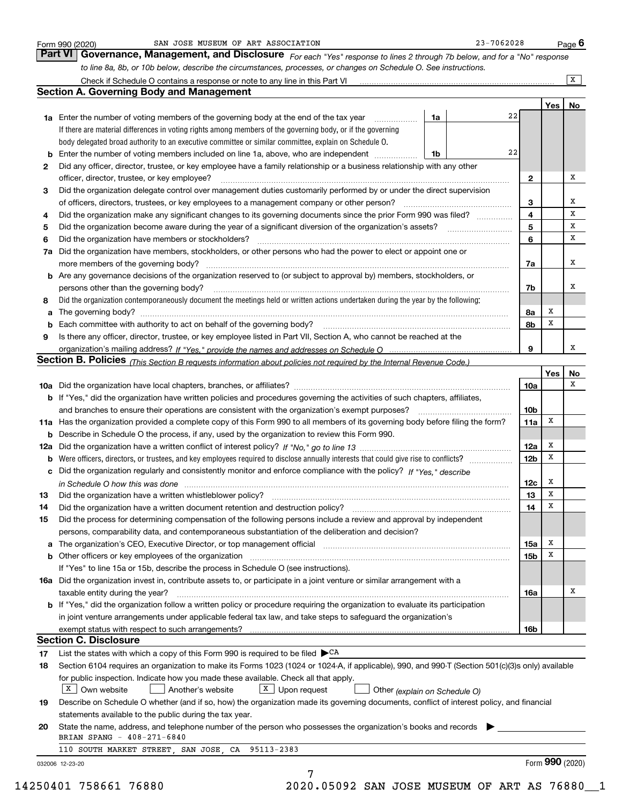|    |                                                                                                                                                                                                                                |    |                 |     | $\overline{X}$ |
|----|--------------------------------------------------------------------------------------------------------------------------------------------------------------------------------------------------------------------------------|----|-----------------|-----|----------------|
|    | <b>Section A. Governing Body and Management</b>                                                                                                                                                                                |    |                 |     |                |
|    |                                                                                                                                                                                                                                |    |                 | Yes | No             |
|    | 1a Enter the number of voting members of the governing body at the end of the tax year                                                                                                                                         | 1a | 22              |     |                |
|    | If there are material differences in voting rights among members of the governing body, or if the governing                                                                                                                    |    |                 |     |                |
|    | body delegated broad authority to an executive committee or similar committee, explain on Schedule O.                                                                                                                          |    |                 |     |                |
| b  | Enter the number of voting members included on line 1a, above, who are independent                                                                                                                                             | 1b | 22              |     |                |
| 2  | Did any officer, director, trustee, or key employee have a family relationship or a business relationship with any other                                                                                                       |    |                 |     |                |
|    | officer, director, trustee, or key employee?                                                                                                                                                                                   |    | 2               |     | x              |
| 3  | Did the organization delegate control over management duties customarily performed by or under the direct supervision                                                                                                          |    |                 |     |                |
|    | of officers, directors, trustees, or key employees to a management company or other person?                                                                                                                                    |    | 3               |     | x              |
| 4  | Did the organization make any significant changes to its governing documents since the prior Form 990 was filed?                                                                                                               |    | 4               |     | x              |
| 5  |                                                                                                                                                                                                                                |    | 5               |     | x              |
| 6  | Did the organization have members or stockholders?                                                                                                                                                                             |    | 6               |     | x              |
| 7a | Did the organization have members, stockholders, or other persons who had the power to elect or appoint one or                                                                                                                 |    |                 |     |                |
|    |                                                                                                                                                                                                                                |    | 7a              |     | x              |
| b  | Are any governance decisions of the organization reserved to (or subject to approval by) members, stockholders, or                                                                                                             |    |                 |     |                |
|    | persons other than the governing body?                                                                                                                                                                                         |    | 7b              |     | x              |
| 8  | Did the organization contemporaneously document the meetings held or written actions undertaken during the year by the following:                                                                                              |    |                 |     |                |
| a  |                                                                                                                                                                                                                                |    | 8а              | x   |                |
|    | Each committee with authority to act on behalf of the governing body? [11] manufacture manufacture with authority to act on behalf of the governing body? [11] manufacture manufacture with authority of the state with an int |    | 8b              | x   |                |
| 9  | Is there any officer, director, trustee, or key employee listed in Part VII, Section A, who cannot be reached at the                                                                                                           |    |                 |     |                |
|    |                                                                                                                                                                                                                                |    | 9               |     | x              |
|    | Section B. Policies (This Section B requests information about policies not required by the Internal Revenue Code.)                                                                                                            |    |                 |     |                |
|    |                                                                                                                                                                                                                                |    |                 | Yes | No             |
|    |                                                                                                                                                                                                                                |    | 10a             |     | x              |
|    | b If "Yes," did the organization have written policies and procedures governing the activities of such chapters, affiliates,                                                                                                   |    |                 |     |                |
|    | and branches to ensure their operations are consistent with the organization's exempt purposes?                                                                                                                                |    | 10 <sub>b</sub> |     |                |
|    | 11a Has the organization provided a complete copy of this Form 990 to all members of its governing body before filing the form?                                                                                                |    | 11a             | x   |                |
| b  | Describe in Schedule O the process, if any, used by the organization to review this Form 990.                                                                                                                                  |    |                 |     |                |
|    |                                                                                                                                                                                                                                |    | 12a             | X   |                |
| b  |                                                                                                                                                                                                                                |    | 12 <sub>b</sub> | х   |                |
|    | c Did the organization regularly and consistently monitor and enforce compliance with the policy? If "Yes," describe                                                                                                           |    |                 |     |                |
|    | in Schedule O how this was done measured and the control of the control of the state of the control of the control of the control of the control of the control of the control of the control of the control of the control of |    | 12c             | х   |                |
| 13 |                                                                                                                                                                                                                                |    | 13              | X   |                |
| 14 | Did the organization have a written document retention and destruction policy? manufactured and the organization have a written document retention and destruction policy?                                                     |    | 14              | х   |                |
| 15 | Did the process for determining compensation of the following persons include a review and approval by independent                                                                                                             |    |                 |     |                |
|    | persons, comparability data, and contemporaneous substantiation of the deliberation and decision?                                                                                                                              |    |                 |     |                |
|    |                                                                                                                                                                                                                                |    | 15a             | x   |                |
|    |                                                                                                                                                                                                                                |    | 15b             | Х   |                |
|    | If "Yes" to line 15a or 15b, describe the process in Schedule O (see instructions).                                                                                                                                            |    |                 |     |                |
|    | 16a Did the organization invest in, contribute assets to, or participate in a joint venture or similar arrangement with a                                                                                                      |    |                 |     |                |
|    | taxable entity during the year?                                                                                                                                                                                                |    | 16a             |     | х              |
|    | b If "Yes," did the organization follow a written policy or procedure requiring the organization to evaluate its participation                                                                                                 |    |                 |     |                |
|    | in joint venture arrangements under applicable federal tax law, and take steps to safequard the organization's                                                                                                                 |    |                 |     |                |
|    |                                                                                                                                                                                                                                |    | 16b             |     |                |
|    | <b>Section C. Disclosure</b>                                                                                                                                                                                                   |    |                 |     |                |
| 17 | List the states with which a copy of this Form 990 is required to be filed $\blacktriangleright$ CA                                                                                                                            |    |                 |     |                |
| 18 | Section 6104 requires an organization to make its Forms 1023 (1024 or 1024-A, if applicable), 990, and 990-T (Section 501(c)(3)s only) available                                                                               |    |                 |     |                |
|    | for public inspection. Indicate how you made these available. Check all that apply.                                                                                                                                            |    |                 |     |                |
|    | $X$ Own website<br>$\boxed{\text{X}}$ Upon request<br>Another's website<br>Other (explain on Schedule O)                                                                                                                       |    |                 |     |                |
| 19 | Describe on Schedule O whether (and if so, how) the organization made its governing documents, conflict of interest policy, and financial                                                                                      |    |                 |     |                |
|    | statements available to the public during the tax year.                                                                                                                                                                        |    |                 |     |                |
|    | State the name, address, and telephone number of the person who possesses the organization's books and records                                                                                                                 |    |                 |     |                |
|    | BRIAN SPANG - 408-271-6840                                                                                                                                                                                                     |    |                 |     |                |
| 20 |                                                                                                                                                                                                                                |    |                 |     |                |
|    | 110 SOUTH MARKET STREET, SAN JOSE, CA 95113-2383                                                                                                                                                                               |    |                 |     |                |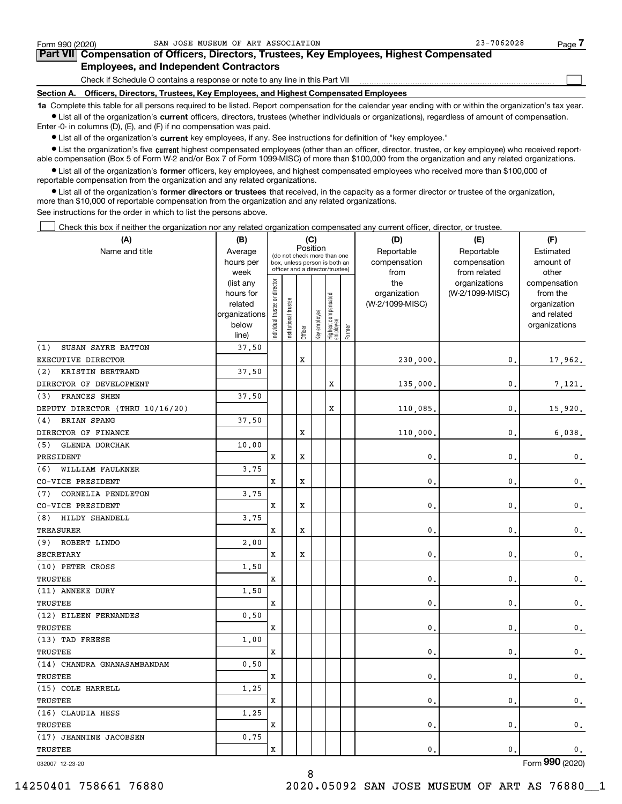| Form 990 (2020) | SAN JOSE MUSEUM OF ART ASSOCIATION                                                                                                                          | $23 - 7062028$ | Page |
|-----------------|-------------------------------------------------------------------------------------------------------------------------------------------------------------|----------------|------|
|                 | Part VII Compensation of Officers, Directors, Trustees, Key Employees, Highest Compensated                                                                  |                |      |
|                 | <b>Employees, and Independent Contractors</b>                                                                                                               |                |      |
|                 | Check if Schedule O contains a response or note to any line in this Part VII                                                                                |                |      |
| Section A.      | Officers, Directors, Trustees, Key Employees, and Highest Compensated Employees                                                                             |                |      |
|                 | 1a. Complete this table for all persons required to be listed. Beport compensation for the calendar year ending with or within the organization's tax year. |                |      |

**1a •** List all of the organization's current officers, directors, trustees (whether individuals or organizations), regardless of amount of compensation. Complete this table for all persons required to be listed. Report compensation for the calendar year ending with or within the organization's tax year. Enter -0- in columns (D), (E), and (F) if no compensation was paid.

 $\bullet$  List all of the organization's  $\,$ current key employees, if any. See instructions for definition of "key employee."

**•** List the organization's five current highest compensated employees (other than an officer, director, trustee, or key employee) who received reportable compensation (Box 5 of Form W-2 and/or Box 7 of Form 1099-MISC) of more than \$100,000 from the organization and any related organizations.

**•** List all of the organization's former officers, key employees, and highest compensated employees who received more than \$100,000 of reportable compensation from the organization and any related organizations.

**former directors or trustees**  ¥ List all of the organization's that received, in the capacity as a former director or trustee of the organization, more than \$10,000 of reportable compensation from the organization and any related organizations.

See instructions for the order in which to list the persons above.

Check this box if neither the organization nor any related organization compensated any current officer, director, or trustee.  $\mathcal{L}^{\text{max}}$ 

| (A)                             | (B)                    |                               |                                                                  |         | (C)          |                                  |        | (D)             | (E)                              | (F)                      |
|---------------------------------|------------------------|-------------------------------|------------------------------------------------------------------|---------|--------------|----------------------------------|--------|-----------------|----------------------------------|--------------------------|
| Name and title                  | Average                |                               | (do not check more than one                                      |         | Position     |                                  |        | Reportable      | Reportable                       | Estimated                |
|                                 | hours per              |                               | box, unless person is both an<br>officer and a director/trustee) |         |              |                                  |        | compensation    | compensation                     | amount of                |
|                                 | week                   |                               |                                                                  |         |              |                                  |        | from<br>the     | from related                     | other                    |
|                                 | (list any<br>hours for |                               |                                                                  |         |              |                                  |        | organization    | organizations<br>(W-2/1099-MISC) | compensation<br>from the |
|                                 | related                |                               |                                                                  |         |              |                                  |        | (W-2/1099-MISC) |                                  | organization             |
|                                 | organizations          |                               |                                                                  |         |              |                                  |        |                 |                                  | and related              |
|                                 | below                  | ndividual trustee or director | Institutional trustee                                            |         | Key employee |                                  |        |                 |                                  | organizations            |
|                                 | line)                  |                               |                                                                  | Officer |              | Highest compensated<br> employee | Former |                 |                                  |                          |
| SUSAN SAYRE BATTON<br>(1)       | 37.50                  |                               |                                                                  |         |              |                                  |        |                 |                                  |                          |
| EXECUTIVE DIRECTOR              |                        |                               |                                                                  | X       |              |                                  |        | 230,000.        | 0.                               | 17,962.                  |
| (2)<br>KRISTIN BERTRAND         | 37.50                  |                               |                                                                  |         |              |                                  |        |                 |                                  |                          |
| DIRECTOR OF DEVELOPMENT         |                        |                               |                                                                  |         |              | X                                |        | 135,000.        | $\mathbf{0}$ .                   | 7,121.                   |
| FRANCES SHEN<br>(3)             | 37.50                  |                               |                                                                  |         |              |                                  |        |                 |                                  |                          |
| DEPUTY DIRECTOR (THRU 10/16/20) |                        |                               |                                                                  |         |              | X                                |        | 110,085         | $\mathbf{0}$ .                   | 15,920.                  |
| <b>BRIAN SPANG</b><br>(4)       | 37.50                  |                               |                                                                  |         |              |                                  |        |                 |                                  |                          |
| DIRECTOR OF FINANCE             |                        |                               |                                                                  | X       |              |                                  |        | 110,000         | $\mathbf{0}$ .                   | 6,038.                   |
| <b>GLENDA DORCHAK</b><br>(5)    | 10.00                  |                               |                                                                  |         |              |                                  |        |                 |                                  |                          |
| PRESIDENT                       |                        | x                             |                                                                  | X       |              |                                  |        | 0.              | $\mathbf{0}$ .                   | 0.                       |
| WILLIAM FAULKNER<br>(6)         | 3.75                   |                               |                                                                  |         |              |                                  |        |                 |                                  |                          |
| CO-VICE PRESIDENT               |                        | X                             |                                                                  | X       |              |                                  |        | $\mathbf{0}$    | $\mathbf{0}$ .                   | $\mathfrak{o}$ .         |
| (7)<br>CORNELIA PENDLETON       | 3.75                   |                               |                                                                  |         |              |                                  |        |                 |                                  |                          |
| CO-VICE PRESIDENT               |                        | x                             |                                                                  | X       |              |                                  |        | $\mathbf{0}$ .  | $\mathbf{0}$ .                   | 0.                       |
| HILDY SHANDELL<br>(8)           | 3.75                   |                               |                                                                  |         |              |                                  |        |                 |                                  |                          |
| TREASURER                       |                        | х                             |                                                                  | X       |              |                                  |        | $\mathbf{0}$ .  | $\mathbf{0}$ .                   | 0.                       |
| (9) ROBERT LINDO                | 2,00                   |                               |                                                                  |         |              |                                  |        |                 |                                  |                          |
| <b>SECRETARY</b>                |                        | х                             |                                                                  | X       |              |                                  |        | 0.              | $\mathbf{0}$ .                   | 0.                       |
| (10) PETER CROSS                | 1.50                   |                               |                                                                  |         |              |                                  |        |                 |                                  |                          |
| TRUSTEE                         |                        | х                             |                                                                  |         |              |                                  |        | $\mathbf{0}$ .  | $\mathbf{0}$ .                   | 0.                       |
| (11) ANNEKE DURY                | 1.50                   |                               |                                                                  |         |              |                                  |        |                 |                                  |                          |
| TRUSTEE                         |                        | x                             |                                                                  |         |              |                                  |        | $\mathbf{0}$ .  | $\mathbf{0}$ .                   | $\mathbf 0$ .            |
| (12) EILEEN FERNANDES           | 0.50                   |                               |                                                                  |         |              |                                  |        |                 |                                  |                          |
| TRUSTEE                         |                        | x                             |                                                                  |         |              |                                  |        | $\mathbf{0}$ .  | $\mathbf{0}$ .                   | $\mathbf 0$ .            |
| (13) TAD FREESE                 | 1.00                   |                               |                                                                  |         |              |                                  |        |                 |                                  |                          |
| TRUSTEE                         |                        | X                             |                                                                  |         |              |                                  |        | $\mathbf{0}$ .  | $\mathbf{0}$                     | $\mathbf 0$ .            |
| (14) CHANDRA GNANASAMBANDAM     | 0.50                   |                               |                                                                  |         |              |                                  |        |                 |                                  |                          |
| TRUSTEE                         |                        | x                             |                                                                  |         |              |                                  |        | $\mathbf{0}$    | $\mathbf{0}$ .                   | 0.                       |
| (15) COLE HARRELL               | 1.25                   |                               |                                                                  |         |              |                                  |        |                 |                                  |                          |
| TRUSTEE                         |                        | x                             |                                                                  |         |              |                                  |        | $\mathbf{0}$    | 0.                               | 0.                       |
| (16) CLAUDIA HESS               | 1.25                   |                               |                                                                  |         |              |                                  |        |                 |                                  |                          |
| TRUSTEE                         |                        | x                             |                                                                  |         |              |                                  |        | $\mathbf{0}$ .  | $\mathbf{0}$ .                   | 0.                       |
| (17) JEANNINE JACOBSEN          | 0.75                   |                               |                                                                  |         |              |                                  |        |                 |                                  |                          |
| <b>TRUSTEE</b>                  |                        | x                             |                                                                  |         |              |                                  |        | $\mathbf{0}$ .  | 0.                               | 0.                       |
|                                 |                        |                               |                                                                  |         |              |                                  |        |                 |                                  |                          |

8

032007 12-23-20

Form (2020) **990**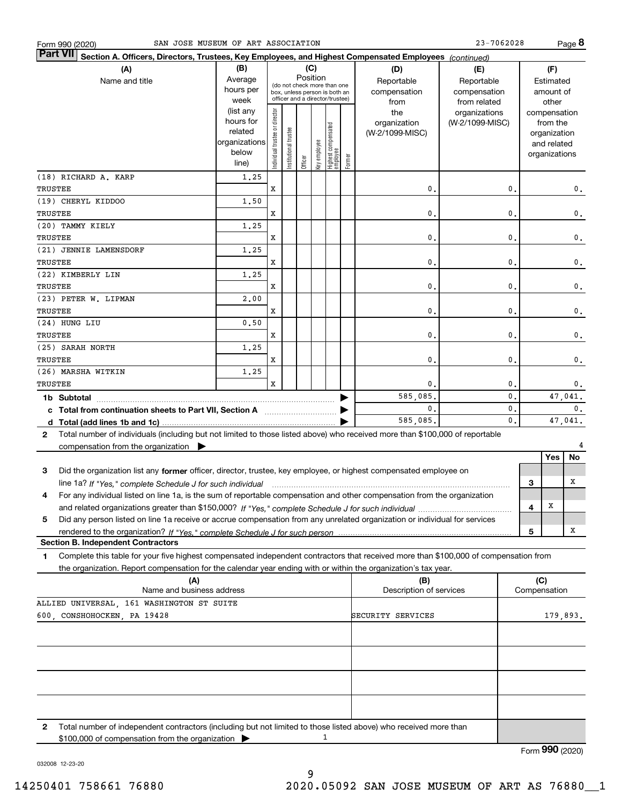| SAN JOSE MUSEUM OF ART ASSOCIATION<br>Form 990 (2020)                                                                                                   |               |                               |                       |                                                              |              |                                  |        |                         | 23-7062028      |                |     |                 | Page 8                |
|---------------------------------------------------------------------------------------------------------------------------------------------------------|---------------|-------------------------------|-----------------------|--------------------------------------------------------------|--------------|----------------------------------|--------|-------------------------|-----------------|----------------|-----|-----------------|-----------------------|
| <b>Part VII</b><br>Section A. Officers, Directors, Trustees, Key Employees, and Highest Compensated Employees (continued)                               |               |                               |                       |                                                              |              |                                  |        |                         |                 |                |     |                 |                       |
| (A)                                                                                                                                                     | (B)           |                               |                       | (C)                                                          |              |                                  |        | (D)                     | (E)             |                |     | (F)             |                       |
| Name and title                                                                                                                                          | Average       |                               |                       | Position                                                     |              |                                  |        | Reportable              | Reportable      |                |     | Estimated       |                       |
|                                                                                                                                                         | hours per     |                               |                       | (do not check more than one<br>box, unless person is both an |              |                                  |        | compensation            | compensation    |                |     | amount of       |                       |
|                                                                                                                                                         | week          |                               |                       | officer and a director/trustee)                              |              |                                  |        | from                    | from related    |                |     | other           |                       |
|                                                                                                                                                         | (list any     |                               |                       |                                                              |              |                                  |        | the                     | organizations   |                |     | compensation    |                       |
|                                                                                                                                                         | hours for     |                               |                       |                                                              |              |                                  |        | organization            | (W-2/1099-MISC) |                |     | from the        |                       |
|                                                                                                                                                         | related       |                               |                       |                                                              |              |                                  |        | (W-2/1099-MISC)         |                 |                |     | organization    |                       |
|                                                                                                                                                         | organizations |                               |                       |                                                              |              |                                  |        |                         |                 |                |     | and related     |                       |
|                                                                                                                                                         | below         | ndividual trustee or director | Institutional trustee | Officer                                                      | Key employee | Highest compensated<br> employee | Former |                         |                 |                |     | organizations   |                       |
|                                                                                                                                                         | line)         |                               |                       |                                                              |              |                                  |        |                         |                 |                |     |                 |                       |
| (18) RICHARD A. KARP                                                                                                                                    | 1.25          |                               |                       |                                                              |              |                                  |        |                         |                 |                |     |                 |                       |
| <b>TRUSTEE</b>                                                                                                                                          |               | x                             |                       |                                                              |              |                                  |        | 0.                      |                 | $\mathbf{0}$   |     |                 | $\mathbf 0$ .         |
| (19) CHERYL KIDDOO                                                                                                                                      | 1,50          |                               |                       |                                                              |              |                                  |        |                         |                 |                |     |                 |                       |
| TRUSTEE                                                                                                                                                 |               | x                             |                       |                                                              |              |                                  |        | 0.                      |                 | $\mathbf{0}$   |     |                 | $\mathbf 0$ .         |
| (20) TAMMY KIELY                                                                                                                                        | 1.25          |                               |                       |                                                              |              |                                  |        |                         |                 |                |     |                 |                       |
| TRUSTEE                                                                                                                                                 |               | x                             |                       |                                                              |              |                                  |        | 0.                      |                 | $\mathbf{0}$   |     |                 | $\mathbf 0$ .         |
| (21) JENNIE LAMENSDORF                                                                                                                                  | 1.25          |                               |                       |                                                              |              |                                  |        |                         |                 |                |     |                 |                       |
| TRUSTEE                                                                                                                                                 |               | x                             |                       |                                                              |              |                                  |        | 0.                      |                 | $\mathbf{0}$   |     |                 | $\mathbf 0$ .         |
| (22) KIMBERLY LIN                                                                                                                                       | 1.25          |                               |                       |                                                              |              |                                  |        |                         |                 |                |     |                 |                       |
| TRUSTEE                                                                                                                                                 |               | x                             |                       |                                                              |              |                                  |        | 0.                      |                 | $\mathbf{0}$   |     |                 | $\mathbf 0$ .         |
| (23) PETER W. LIPMAN                                                                                                                                    | 2,00          |                               |                       |                                                              |              |                                  |        |                         |                 |                |     |                 |                       |
| TRUSTEE                                                                                                                                                 |               | x                             |                       |                                                              |              |                                  |        | 0.                      |                 | $\mathbf{0}$   |     |                 |                       |
| (24) HUNG LIU                                                                                                                                           |               |                               |                       |                                                              |              |                                  |        |                         |                 |                |     |                 | $\mathbf 0$ .         |
|                                                                                                                                                         | 0.50          |                               |                       |                                                              |              |                                  |        |                         |                 |                |     |                 |                       |
| TRUSTEE                                                                                                                                                 |               | x                             |                       |                                                              |              |                                  |        | 0.                      |                 | $\mathbf{0}$   |     |                 | $\mathbf 0$ .         |
| (25) SARAH NORTH                                                                                                                                        | 1.25          |                               |                       |                                                              |              |                                  |        |                         |                 |                |     |                 |                       |
| TRUSTEE                                                                                                                                                 |               | x                             |                       |                                                              |              |                                  |        | 0.                      |                 | $\mathbf{0}$   |     |                 | $\mathbf 0$ .         |
| (26) MARSHA WITKIN                                                                                                                                      | 1.25          |                               |                       |                                                              |              |                                  |        |                         |                 |                |     |                 |                       |
| TRUSTEE                                                                                                                                                 |               | x                             |                       |                                                              |              |                                  |        | 0.                      |                 | $\mathbf{0}$   |     |                 | $\mathbf 0$ .         |
|                                                                                                                                                         |               |                               |                       |                                                              |              |                                  |        | 585,085.                |                 | 0.             |     |                 | $\overline{47,041}$ . |
| c Total from continuation sheets to Part VII, Section A                                                                                                 |               |                               |                       |                                                              |              |                                  |        | 0.                      |                 | 0.             |     |                 | 0.                    |
|                                                                                                                                                         |               |                               |                       |                                                              |              |                                  |        | 585,085.                |                 | $\mathbf{0}$ . |     |                 | 47,041.               |
| Total number of individuals (including but not limited to those listed above) who received more than \$100,000 of reportable<br>$\mathbf{2}$            |               |                               |                       |                                                              |              |                                  |        |                         |                 |                |     |                 |                       |
| compensation from the organization                                                                                                                      |               |                               |                       |                                                              |              |                                  |        |                         |                 |                |     |                 | 4                     |
|                                                                                                                                                         |               |                               |                       |                                                              |              |                                  |        |                         |                 |                |     | Yes             | No                    |
| Did the organization list any former officer, director, trustee, key employee, or highest compensated employee on<br>3                                  |               |                               |                       |                                                              |              |                                  |        |                         |                 |                |     |                 |                       |
| line 1a? If "Yes," complete Schedule J for such individual material content content to the content of the content of the Schedule J for such individual |               |                               |                       |                                                              |              |                                  |        |                         |                 |                | З   |                 | х                     |
| For any individual listed on line 1a, is the sum of reportable compensation and other compensation from the organization                                |               |                               |                       |                                                              |              |                                  |        |                         |                 |                |     |                 |                       |
|                                                                                                                                                         |               |                               |                       |                                                              |              |                                  |        |                         |                 |                | 4   | X               |                       |
| Did any person listed on line 1a receive or accrue compensation from any unrelated organization or individual for services<br>5                         |               |                               |                       |                                                              |              |                                  |        |                         |                 |                |     |                 |                       |
|                                                                                                                                                         |               |                               |                       |                                                              |              |                                  |        |                         |                 |                |     |                 | x                     |
| <b>Section B. Independent Contractors</b>                                                                                                               |               |                               |                       |                                                              |              |                                  |        |                         |                 |                | 5   |                 |                       |
|                                                                                                                                                         |               |                               |                       |                                                              |              |                                  |        |                         |                 |                |     |                 |                       |
| Complete this table for your five highest compensated independent contractors that received more than \$100,000 of compensation from<br>1               |               |                               |                       |                                                              |              |                                  |        |                         |                 |                |     |                 |                       |
| the organization. Report compensation for the calendar year ending with or within the organization's tax year.                                          |               |                               |                       |                                                              |              |                                  |        |                         |                 |                |     |                 |                       |
| (A)                                                                                                                                                     |               |                               |                       |                                                              |              |                                  |        | (B)                     |                 |                | (C) |                 |                       |
| Name and business address                                                                                                                               |               |                               |                       |                                                              |              |                                  |        | Description of services |                 |                |     | Compensation    |                       |
| ALLIED UNIVERSAL, 161 WASHINGTON ST SUITE                                                                                                               |               |                               |                       |                                                              |              |                                  |        |                         |                 |                |     |                 |                       |
| 600, CONSHOHOCKEN, PA 19428                                                                                                                             |               |                               |                       |                                                              |              |                                  |        | SECURITY SERVICES       |                 |                |     | 179,893.        |                       |
|                                                                                                                                                         |               |                               |                       |                                                              |              |                                  |        |                         |                 |                |     |                 |                       |
|                                                                                                                                                         |               |                               |                       |                                                              |              |                                  |        |                         |                 |                |     |                 |                       |
|                                                                                                                                                         |               |                               |                       |                                                              |              |                                  |        |                         |                 |                |     |                 |                       |
|                                                                                                                                                         |               |                               |                       |                                                              |              |                                  |        |                         |                 |                |     |                 |                       |
|                                                                                                                                                         |               |                               |                       |                                                              |              |                                  |        |                         |                 |                |     |                 |                       |
|                                                                                                                                                         |               |                               |                       |                                                              |              |                                  |        |                         |                 |                |     |                 |                       |
|                                                                                                                                                         |               |                               |                       |                                                              |              |                                  |        |                         |                 |                |     |                 |                       |
|                                                                                                                                                         |               |                               |                       |                                                              |              |                                  |        |                         |                 |                |     |                 |                       |
| Total number of independent contractors (including but not limited to those listed above) who received more than<br>2                                   |               |                               |                       |                                                              |              |                                  |        |                         |                 |                |     |                 |                       |
| \$100,000 of compensation from the organization                                                                                                         |               |                               |                       |                                                              |              | 1                                |        |                         |                 |                |     |                 |                       |
|                                                                                                                                                         |               |                               |                       |                                                              |              |                                  |        |                         |                 |                |     | Form 990 (2020) |                       |
|                                                                                                                                                         |               |                               |                       |                                                              |              |                                  |        |                         |                 |                |     |                 |                       |

032008 12-23-20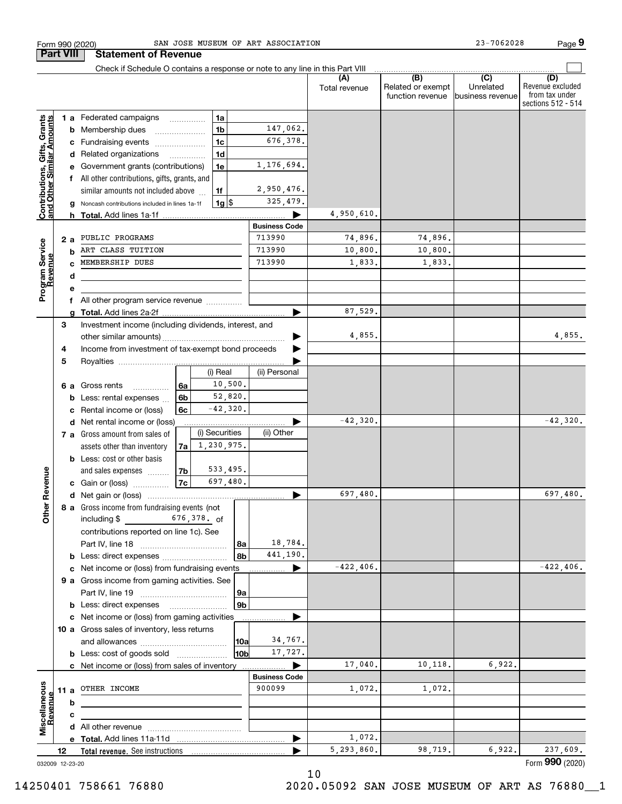| <b>Part VIII</b>                                          |    |        | <b>Statement of Revenue</b>                                                   |             |                |                |                           |                      |                                              |                                                 |                                                                 |
|-----------------------------------------------------------|----|--------|-------------------------------------------------------------------------------|-------------|----------------|----------------|---------------------------|----------------------|----------------------------------------------|-------------------------------------------------|-----------------------------------------------------------------|
|                                                           |    |        | Check if Schedule O contains a response or note to any line in this Part VIII |             |                |                |                           |                      |                                              |                                                 |                                                                 |
|                                                           |    |        |                                                                               |             |                |                |                           | (A)<br>Total revenue | (B)<br>Related or exempt<br>function revenue | $\overline{C}$<br>Unrelated<br>business revenue | (D)<br>Revenue excluded<br>from tax under<br>sections 512 - 514 |
|                                                           |    |        | <b>1 a</b> Federated campaigns                                                |             | 1a             |                |                           |                      |                                              |                                                 |                                                                 |
|                                                           |    | b      | Membership dues                                                               |             | 1 <sub>b</sub> |                | 147,062.                  |                      |                                              |                                                 |                                                                 |
|                                                           |    | с      | Fundraising events                                                            |             | 1 <sub>c</sub> |                | 676,378.                  |                      |                                              |                                                 |                                                                 |
|                                                           |    |        | d Related organizations                                                       | .           | 1 <sub>d</sub> |                |                           |                      |                                              |                                                 |                                                                 |
| Contributions, Gifts, Grants<br>and Other Similar Amounts |    |        | Government grants (contributions)                                             |             | 1e             |                | 1,176,694.                |                      |                                              |                                                 |                                                                 |
|                                                           |    |        | All other contributions, gifts, grants, and                                   |             |                |                |                           |                      |                                              |                                                 |                                                                 |
|                                                           |    |        | similar amounts not included above                                            |             | 1f             |                | 2,950,476.                |                      |                                              |                                                 |                                                                 |
|                                                           |    |        | Noncash contributions included in lines 1a-1f                                 |             |                | $1g$ \$        | 325,479.                  |                      |                                              |                                                 |                                                                 |
|                                                           |    | h.     |                                                                               |             |                |                |                           | 4,950,610.           |                                              |                                                 |                                                                 |
|                                                           |    |        |                                                                               |             |                |                | <b>Business Code</b>      |                      |                                              |                                                 |                                                                 |
|                                                           |    | 2 a    | PUBLIC PROGRAMS<br>ART CLASS TUITION                                          |             |                |                | 713990                    | 74,896.              | 74,896.                                      |                                                 |                                                                 |
|                                                           |    | b      | MEMBERSHIP DUES                                                               |             |                |                | 713990<br>713990          | 10,800.              | 10,800.<br>1,833.                            |                                                 |                                                                 |
|                                                           |    |        |                                                                               |             |                |                |                           | 1,833.               |                                              |                                                 |                                                                 |
| Program Service<br>Revenue                                |    | d<br>е |                                                                               |             |                |                |                           |                      |                                              |                                                 |                                                                 |
|                                                           |    | f      | All other program service revenue                                             |             |                |                |                           |                      |                                              |                                                 |                                                                 |
|                                                           |    |        |                                                                               |             |                |                |                           | 87,529.              |                                              |                                                 |                                                                 |
|                                                           | 3  |        | Investment income (including dividends, interest, and                         |             |                |                |                           |                      |                                              |                                                 |                                                                 |
|                                                           |    |        |                                                                               |             |                |                |                           | 4,855.               |                                              |                                                 | 4,855.                                                          |
|                                                           | 4  |        | Income from investment of tax-exempt bond proceeds                            |             |                |                |                           |                      |                                              |                                                 |                                                                 |
|                                                           | 5  |        |                                                                               |             |                |                |                           |                      |                                              |                                                 |                                                                 |
|                                                           |    |        |                                                                               |             | (i) Real       |                | (ii) Personal             |                      |                                              |                                                 |                                                                 |
|                                                           |    | 6а     | Gross rents<br>.                                                              | 6a          |                | 10,500.        |                           |                      |                                              |                                                 |                                                                 |
|                                                           |    | b      | Less: rental expenses                                                         | 6b          |                | 52,820.        |                           |                      |                                              |                                                 |                                                                 |
|                                                           |    | с      | Rental income or (loss)                                                       | 6с          |                | $-42,320.$     |                           |                      |                                              |                                                 |                                                                 |
|                                                           |    |        | d Net rental income or (loss)                                                 |             |                |                |                           | $-42,320.$           |                                              |                                                 | $-42,320.$                                                      |
|                                                           |    |        | 7 a Gross amount from sales of                                                |             | (i) Securities |                | (ii) Other                |                      |                                              |                                                 |                                                                 |
|                                                           |    |        | assets other than inventory                                                   | 7a l        | 1,230,975.     |                |                           |                      |                                              |                                                 |                                                                 |
|                                                           |    |        | <b>b</b> Less: cost or other basis                                            |             |                | 533,495.       |                           |                      |                                              |                                                 |                                                                 |
| Revenue                                                   |    |        | and sales expenses<br>c Gain or (loss)                                        | 7b  <br> 7c |                | 697,480.       |                           |                      |                                              |                                                 |                                                                 |
|                                                           |    |        |                                                                               |             |                |                |                           | 697,480.             |                                              |                                                 | 697,480.                                                        |
|                                                           |    |        | 8 a Gross income from fundraising events (not                                 |             |                |                |                           |                      |                                              |                                                 |                                                                 |
| <b>Othe</b>                                               |    |        | including $$$                                                                 |             | 676,378. of    |                |                           |                      |                                              |                                                 |                                                                 |
|                                                           |    |        | contributions reported on line 1c). See                                       |             |                |                |                           |                      |                                              |                                                 |                                                                 |
|                                                           |    |        |                                                                               |             |                | 8a             | 18,784.                   |                      |                                              |                                                 |                                                                 |
|                                                           |    |        |                                                                               |             |                | 8b             | 441,190.                  |                      |                                              |                                                 |                                                                 |
|                                                           |    |        | c Net income or (loss) from fundraising events                                |             |                |                | ▶                         | $-422, 406.$         |                                              |                                                 | $-422, 406.$                                                    |
|                                                           |    |        | 9 a Gross income from gaming activities. See                                  |             |                |                |                           |                      |                                              |                                                 |                                                                 |
|                                                           |    |        |                                                                               |             |                | 9a             |                           |                      |                                              |                                                 |                                                                 |
|                                                           |    |        | <b>b</b> Less: direct expenses                                                |             |                | 9 <sub>b</sub> |                           |                      |                                              |                                                 |                                                                 |
|                                                           |    |        | c Net income or (loss) from gaming activities                                 |             |                |                |                           |                      |                                              |                                                 |                                                                 |
|                                                           |    |        | 10 a Gross sales of inventory, less returns                                   |             |                |                |                           |                      |                                              |                                                 |                                                                 |
|                                                           |    |        |                                                                               |             |                | 10a            | 34,767.<br>17,727.        |                      |                                              |                                                 |                                                                 |
|                                                           |    |        | <b>b</b> Less: cost of goods sold                                             |             |                | 10b            |                           |                      |                                              |                                                 |                                                                 |
|                                                           |    |        | c Net income or (loss) from sales of inventory                                |             |                |                | ▶<br><b>Business Code</b> | 17,040.              | 10,118.                                      | 6,922.                                          |                                                                 |
|                                                           |    | 11 a   | OTHER INCOME                                                                  |             |                |                | 900099                    | 1,072.               | 1,072.                                       |                                                 |                                                                 |
|                                                           |    | b      |                                                                               |             |                |                |                           |                      |                                              |                                                 |                                                                 |
| Revenue                                                   |    | с      |                                                                               |             |                |                |                           |                      |                                              |                                                 |                                                                 |
| Miscellaneous                                             |    |        |                                                                               |             |                |                |                           |                      |                                              |                                                 |                                                                 |
|                                                           |    |        |                                                                               |             |                |                | ▶                         | 1,072.               |                                              |                                                 |                                                                 |
|                                                           | 12 |        |                                                                               |             |                |                |                           | 5,293,860.           | 98,719.                                      | 6,922.                                          | 237,609.                                                        |
| 032009 12-23-20                                           |    |        |                                                                               |             |                |                |                           |                      |                                              |                                                 | Form 990 (2020)                                                 |

Form 990 (2020) Page

SAN JOSE MUSEUM OF ART ASSOCIATION 23-7062028

**9**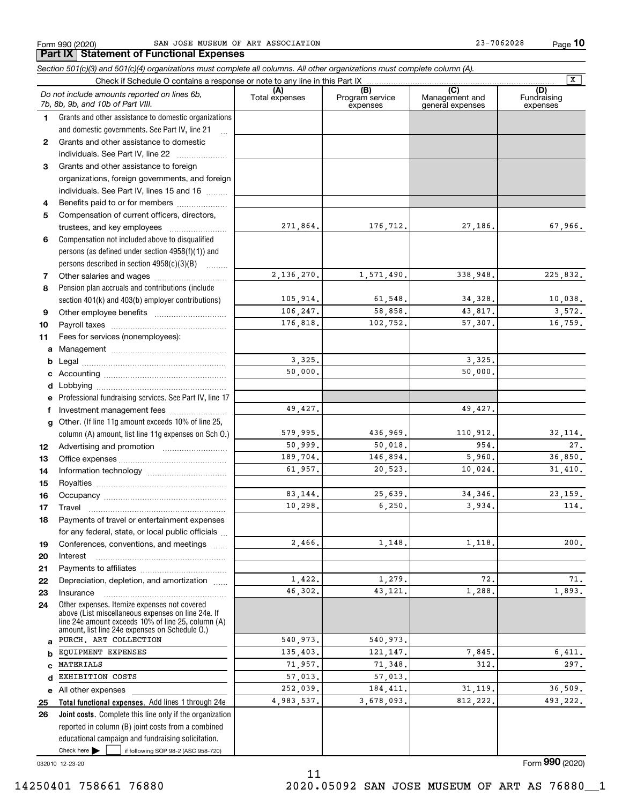Form 990 (2020) Page SAN JOSE MUSEUM OF ART ASSOCIATION 23-7062028 **Part IX Statement of Functional Expenses**

**10**

|    | Section 501(c)(3) and 501(c)(4) organizations must complete all columns. All other organizations must complete column (A). |                       |                                                 |                                           |                                |
|----|----------------------------------------------------------------------------------------------------------------------------|-----------------------|-------------------------------------------------|-------------------------------------------|--------------------------------|
|    | Check if Schedule O contains a response or note to any line in this Part IX                                                |                       |                                                 |                                           | $\overline{\mathbf{x}}$        |
|    | Do not include amounts reported on lines 6b,<br>7b, 8b, 9b, and 10b of Part VIII.                                          | (A)<br>Total expenses | $\overline{(B)}$<br>Program service<br>expenses | (C)<br>Management and<br>general expenses | (D)<br>Fundraising<br>expenses |
| 1. | Grants and other assistance to domestic organizations                                                                      |                       |                                                 |                                           |                                |
|    | and domestic governments. See Part IV, line 21                                                                             |                       |                                                 |                                           |                                |
| 2  | Grants and other assistance to domestic                                                                                    |                       |                                                 |                                           |                                |
|    | individuals. See Part IV, line 22                                                                                          |                       |                                                 |                                           |                                |
| 3  | Grants and other assistance to foreign                                                                                     |                       |                                                 |                                           |                                |
|    | organizations, foreign governments, and foreign                                                                            |                       |                                                 |                                           |                                |
|    | individuals. See Part IV, lines 15 and 16                                                                                  |                       |                                                 |                                           |                                |
| 4  | Benefits paid to or for members                                                                                            |                       |                                                 |                                           |                                |
| 5  | Compensation of current officers, directors,                                                                               |                       |                                                 |                                           |                                |
|    |                                                                                                                            | 271,864.              | 176,712.                                        | 27,186.                                   | 67,966.                        |
| 6  | Compensation not included above to disqualified                                                                            |                       |                                                 |                                           |                                |
|    | persons (as defined under section 4958(f)(1)) and                                                                          |                       |                                                 |                                           |                                |
|    | persons described in section 4958(c)(3)(B)                                                                                 |                       |                                                 |                                           |                                |
| 7  |                                                                                                                            | 2,136,270.            | 1,571,490.                                      | 338,948.                                  | 225,832.                       |
| 8  | Pension plan accruals and contributions (include                                                                           |                       |                                                 |                                           |                                |
|    | section 401(k) and 403(b) employer contributions)                                                                          | 105,914.              | 61,548.                                         | 34,328.                                   | 10,038.                        |
| 9  |                                                                                                                            | 106,247.              | 58,858.                                         | 43,817.                                   | 3,572.                         |
| 10 |                                                                                                                            | 176,818.              | 102,752.                                        | 57,307.                                   | 16,759.                        |
| 11 | Fees for services (nonemployees):                                                                                          |                       |                                                 |                                           |                                |
| a  |                                                                                                                            |                       |                                                 |                                           |                                |
| b  |                                                                                                                            | 3,325.                |                                                 | 3,325.                                    |                                |
| c  |                                                                                                                            | 50,000.               |                                                 | 50,000.                                   |                                |
| d  |                                                                                                                            |                       |                                                 |                                           |                                |
|    | Professional fundraising services. See Part IV, line 17                                                                    |                       |                                                 |                                           |                                |
| f  | Investment management fees                                                                                                 | 49,427.               |                                                 | 49,427.                                   |                                |
| g  | Other. (If line 11g amount exceeds 10% of line 25,                                                                         |                       |                                                 |                                           |                                |
|    | column (A) amount, list line 11g expenses on Sch O.)                                                                       | 579,995.              | 436,969.                                        | 110,912.<br>954.                          | 32, 114.                       |
| 12 |                                                                                                                            | 50,999.               | 50,018.                                         |                                           | 27.                            |
| 13 |                                                                                                                            | 189,704.<br>61,957.   | 146,894.<br>20,523.                             | 5,960.<br>10,024.                         | 36,850.<br>31,410.             |
| 14 |                                                                                                                            |                       |                                                 |                                           |                                |
| 15 |                                                                                                                            | 83,144.               | 25,639.                                         | 34, 346.                                  | 23, 159.                       |
| 16 |                                                                                                                            | 10,298.               | 6, 250.                                         | 3,934.                                    | 114.                           |
| 17 | Payments of travel or entertainment expenses                                                                               |                       |                                                 |                                           |                                |
| 18 | for any federal, state, or local public officials                                                                          |                       |                                                 |                                           |                                |
| 19 | Conferences, conventions, and meetings                                                                                     | 2,466.                | 1,148.                                          | 1,118.                                    | 200.                           |
| 20 | Interest                                                                                                                   |                       |                                                 |                                           |                                |
| 21 |                                                                                                                            |                       |                                                 |                                           |                                |
| 22 | Depreciation, depletion, and amortization                                                                                  | 1,422.                | 1,279.                                          | 72.                                       | 71.                            |
| 23 | Insurance                                                                                                                  | 46,302.               | 43,121.                                         | 1,288.                                    | 1,893.                         |
| 24 | Other expenses. Itemize expenses not covered<br>above (List miscellaneous expenses on line 24e. If                         |                       |                                                 |                                           |                                |
|    | line 24e amount exceeds 10% of line 25, column (A)<br>amount, list line 24e expenses on Schedule O.)                       |                       |                                                 |                                           |                                |
| a  | PURCH. ART COLLECTION                                                                                                      | 540,973.              | 540,973.                                        |                                           |                                |
| b  | EQUIPMENT EXPENSES                                                                                                         | 135,403.              | 121, 147.                                       | 7,845.                                    | 6,411.                         |
| C  | MATERIALS                                                                                                                  | 71,957.               | 71,348.                                         | 312.                                      | 297.                           |
| d  | EXHIBITION COSTS                                                                                                           | 57,013.               | 57,013.                                         |                                           |                                |
|    | e All other expenses                                                                                                       | 252,039.              | 184, 411.                                       | 31, 119.                                  | 36,509.                        |
| 25 | Total functional expenses. Add lines 1 through 24e                                                                         | 4,983,537.            | 3,678,093.                                      | 812,222.                                  | 493,222.                       |
| 26 | Joint costs. Complete this line only if the organization                                                                   |                       |                                                 |                                           |                                |
|    | reported in column (B) joint costs from a combined                                                                         |                       |                                                 |                                           |                                |
|    | educational campaign and fundraising solicitation.                                                                         |                       |                                                 |                                           |                                |
|    | Check here $\blacktriangleright$<br>if following SOP 98-2 (ASC 958-720)                                                    |                       |                                                 |                                           |                                |

11

032010 12-23-20

Form (2020) **990**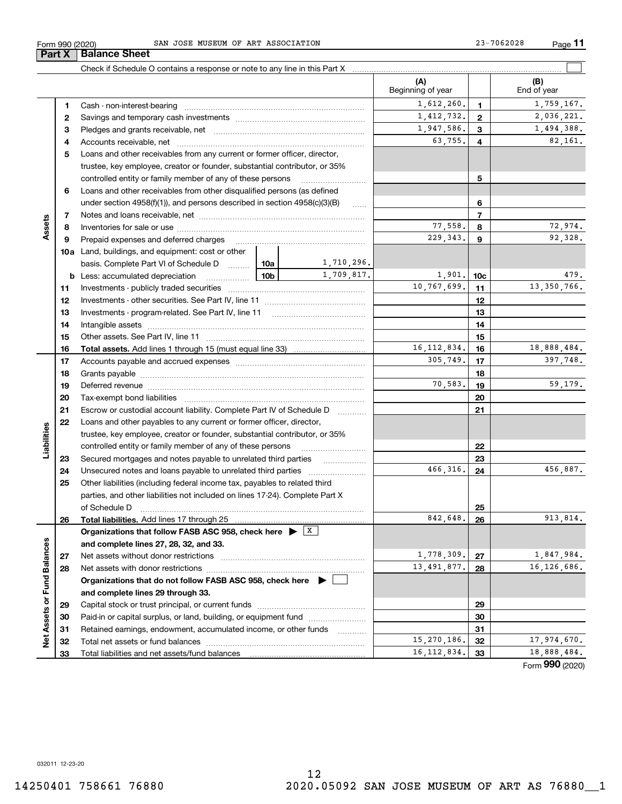# 12 14250401 758661 76880 2020.05092 SAN JOSE MUSEUM OF ART AS 76880\_\_1

|                             |    |                                                                                                                                                                                                                                |            |            | (A)<br>Beginning of year |                 | (B)<br>End of year |
|-----------------------------|----|--------------------------------------------------------------------------------------------------------------------------------------------------------------------------------------------------------------------------------|------------|------------|--------------------------|-----------------|--------------------|
|                             | 1  |                                                                                                                                                                                                                                |            |            | 1,612,260.               | $\mathbf{1}$    | 1,759,167.         |
|                             | 2  |                                                                                                                                                                                                                                |            |            | 1,412,732.               | $\overline{2}$  | 2,036,221.         |
|                             | З  |                                                                                                                                                                                                                                | 1,947,586. | 3          | 1,494,388.               |                 |                    |
|                             | 4  |                                                                                                                                                                                                                                |            |            | 63,755.                  | 4               | 82,161.            |
|                             | 5  | Loans and other receivables from any current or former officer, director,                                                                                                                                                      |            |            |                          |                 |                    |
|                             |    | trustee, key employee, creator or founder, substantial contributor, or 35%                                                                                                                                                     |            |            |                          |                 |                    |
|                             |    | controlled entity or family member of any of these persons                                                                                                                                                                     |            |            |                          | 5               |                    |
|                             | 6  | Loans and other receivables from other disqualified persons (as defined                                                                                                                                                        |            |            |                          |                 |                    |
|                             |    | under section $4958(f)(1)$ , and persons described in section $4958(c)(3)(B)$                                                                                                                                                  |            | $\ldots$   |                          | 6               |                    |
|                             | 7  |                                                                                                                                                                                                                                |            |            |                          | $\overline{7}$  |                    |
| Assets                      | 8  |                                                                                                                                                                                                                                |            |            | 77,558.                  | 8               | 72,974.            |
|                             | 9  | Prepaid expenses and deferred charges                                                                                                                                                                                          |            |            | 229, 343.                | 9               | 92,328.            |
|                             |    | <b>10a</b> Land, buildings, and equipment: cost or other                                                                                                                                                                       |            |            |                          |                 |                    |
|                             |    | basis. Complete Part VI of Schedule D  10a                                                                                                                                                                                     |            | 1,710,296. |                          |                 |                    |
|                             |    | <b>b</b> Less: accumulated depreciation                                                                                                                                                                                        | 10b l      | 1,709,817. | 1,901.                   | 10 <sub>c</sub> | 479.               |
|                             | 11 |                                                                                                                                                                                                                                |            |            | 10,767,699.              | 11              | 13,350,766.        |
|                             | 12 |                                                                                                                                                                                                                                |            |            |                          | 12              |                    |
|                             | 13 |                                                                                                                                                                                                                                |            |            |                          | 13              |                    |
|                             | 14 |                                                                                                                                                                                                                                |            |            |                          | 14              |                    |
|                             | 15 |                                                                                                                                                                                                                                |            |            |                          | 15              |                    |
|                             | 16 |                                                                                                                                                                                                                                |            |            | 16, 112, 834.            | 16              | 18,888,484.        |
|                             | 17 |                                                                                                                                                                                                                                |            |            | 305,749.                 | 17              | 397,748.           |
|                             | 18 |                                                                                                                                                                                                                                |            | 18         |                          |                 |                    |
|                             | 19 | Deferred revenue manual contracts and contracts are contracted and contract and contract are contracted and contract are contracted and contract are contracted and contract are contracted and contract are contracted and co | 70,583.    | 19         | 59,179.                  |                 |                    |
|                             | 20 |                                                                                                                                                                                                                                |            | 20         |                          |                 |                    |
|                             | 21 | Escrow or custodial account liability. Complete Part IV of Schedule D                                                                                                                                                          |            | 21         |                          |                 |                    |
|                             | 22 | Loans and other payables to any current or former officer, director,                                                                                                                                                           |            |            |                          |                 |                    |
| Liabilities                 |    | trustee, key employee, creator or founder, substantial contributor, or 35%                                                                                                                                                     |            |            |                          |                 |                    |
|                             |    | controlled entity or family member of any of these persons                                                                                                                                                                     |            |            |                          | 22              |                    |
|                             | 23 | Secured mortgages and notes payable to unrelated third parties                                                                                                                                                                 |            |            |                          | 23              |                    |
|                             | 24 | Unsecured notes and loans payable to unrelated third parties                                                                                                                                                                   |            |            | 466,316.                 | 24              | 456,887.           |
|                             | 25 | Other liabilities (including federal income tax, payables to related third                                                                                                                                                     |            |            |                          |                 |                    |
|                             |    | parties, and other liabilities not included on lines 17-24). Complete Part X                                                                                                                                                   |            |            |                          |                 |                    |
|                             |    | of Schedule D                                                                                                                                                                                                                  |            |            |                          | 25              |                    |
|                             | 26 |                                                                                                                                                                                                                                |            |            | 842,648.                 | 26              | 913,814.           |
|                             |    | Organizations that follow FASB ASC 958, check here $\blacktriangleright$ $\boxed{\text{X}}$                                                                                                                                    |            |            |                          |                 |                    |
|                             |    | and complete lines 27, 28, 32, and 33.                                                                                                                                                                                         |            |            |                          |                 |                    |
|                             | 27 | Net assets without donor restrictions                                                                                                                                                                                          |            |            | 1,778,309.               | 27              | 1,847,984.         |
|                             | 28 | Net assets with donor restrictions                                                                                                                                                                                             |            |            | 13, 491, 877.            | 28              | 16, 126, 686.      |
|                             |    | Organizations that do not follow FASB ASC 958, check here $\blacktriangleright$                                                                                                                                                |            |            |                          |                 |                    |
|                             |    | and complete lines 29 through 33.                                                                                                                                                                                              |            |            |                          |                 |                    |
|                             | 29 |                                                                                                                                                                                                                                |            |            |                          | 29              |                    |
|                             | 30 | Paid-in or capital surplus, or land, building, or equipment fund                                                                                                                                                               |            |            |                          | 30              |                    |
|                             | 31 | Retained earnings, endowment, accumulated income, or other funds                                                                                                                                                               |            | $\cdots$   |                          | 31              |                    |
| Net Assets or Fund Balances | 32 | Total net assets or fund balances                                                                                                                                                                                              |            |            | 15,270,186.              | 32              | 17,974,670.        |
|                             | 33 | Total liabilities and net assets/fund balances                                                                                                                                                                                 |            |            | 16, 112, 834.            | 33              | 18,888,484.        |
|                             |    |                                                                                                                                                                                                                                |            |            |                          |                 | Form 990 (2020)    |

Form 990 (2020) Page SAN JOSE MUSEUM OF ART ASSOCIATION 23-7062028

Check if Schedule O contains a response or note to any line in this Part X

**11**

 $\mathcal{L}^{\text{max}}$ 

**Part X Balance Sheet**

 $\overline{\phantom{0}}$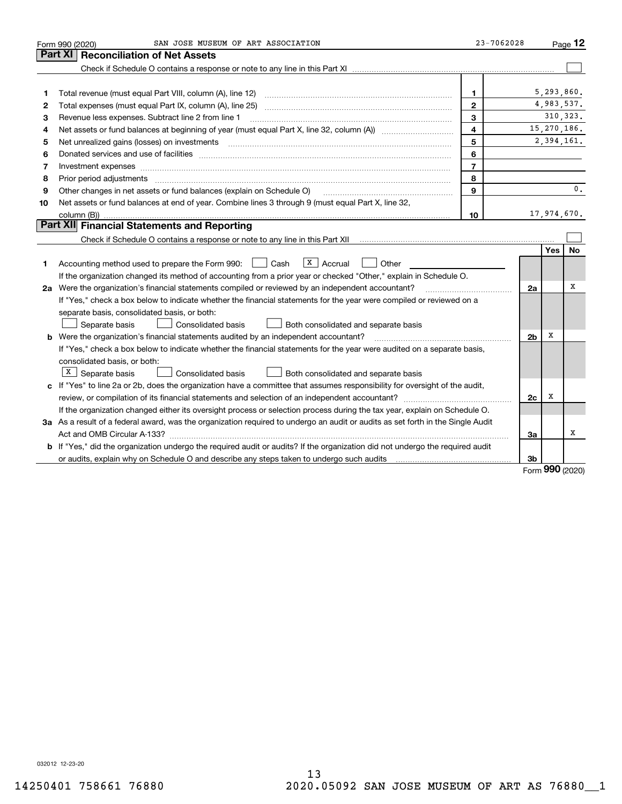|    | SAN JOSE MUSEUM OF ART ASSOCIATION<br>Form 990 (2020)                                                                           | 23-7062028     |                |            | Page $12$     |
|----|---------------------------------------------------------------------------------------------------------------------------------|----------------|----------------|------------|---------------|
|    | Part XI<br><b>Reconciliation of Net Assets</b>                                                                                  |                |                |            |               |
|    |                                                                                                                                 |                |                |            |               |
|    |                                                                                                                                 |                |                |            |               |
| 1  | Total revenue (must equal Part VIII, column (A), line 12)                                                                       | 1              |                |            | 5,293,860.    |
| 2  |                                                                                                                                 | $\mathbf{2}$   |                |            | 4,983,537.    |
| 3  | Revenue less expenses. Subtract line 2 from line 1                                                                              | 3              |                |            | 310, 323.     |
| 4  |                                                                                                                                 | 4              |                |            | 15, 270, 186. |
| 5  |                                                                                                                                 | 5              |                |            | 2,394,161.    |
| 6  |                                                                                                                                 | 6              |                |            |               |
| 7  | Investment expenses www.communication.communication.com/www.communication.com/www.communication.com                             | $\overline{7}$ |                |            |               |
| 8  | Prior period adjustments                                                                                                        | 8              |                |            |               |
| 9  | Other changes in net assets or fund balances (explain on Schedule O)                                                            | 9              |                |            | 0.            |
| 10 | Net assets or fund balances at end of year. Combine lines 3 through 9 (must equal Part X, line 32,                              |                |                |            |               |
|    | column (B))                                                                                                                     | 10             |                |            | 17,974,670.   |
|    | Part XII Financial Statements and Reporting                                                                                     |                |                |            |               |
|    |                                                                                                                                 |                |                |            |               |
|    |                                                                                                                                 |                |                | <b>Yes</b> | <b>No</b>     |
| 1  | Accounting method used to prepare the Form 990: [16] Cash<br>$X$   Accrual<br>Other                                             |                |                |            |               |
|    | If the organization changed its method of accounting from a prior year or checked "Other," explain in Schedule O.               |                |                |            |               |
|    | 2a Were the organization's financial statements compiled or reviewed by an independent accountant?                              |                | 2a             |            | x             |
|    | If "Yes," check a box below to indicate whether the financial statements for the year were compiled or reviewed on a            |                |                |            |               |
|    | separate basis, consolidated basis, or both:                                                                                    |                |                |            |               |
|    | Separate basis<br>Consolidated basis<br>Both consolidated and separate basis                                                    |                |                |            |               |
|    | <b>b</b> Were the organization's financial statements audited by an independent accountant?                                     |                | 2 <sub>b</sub> | х          |               |
|    | If "Yes," check a box below to indicate whether the financial statements for the year were audited on a separate basis,         |                |                |            |               |
|    | consolidated basis, or both:                                                                                                    |                |                |            |               |
|    | $X$ Separate basis<br><b>Consolidated basis</b><br>Both consolidated and separate basis                                         |                |                |            |               |
|    | c If "Yes" to line 2a or 2b, does the organization have a committee that assumes responsibility for oversight of the audit,     |                |                |            |               |
|    |                                                                                                                                 |                | 2c             | х          |               |
|    | If the organization changed either its oversight process or selection process during the tax year, explain on Schedule O.       |                |                |            |               |
|    | 3a As a result of a federal award, was the organization required to undergo an audit or audits as set forth in the Single Audit |                |                |            |               |
|    |                                                                                                                                 |                | 3a             |            | X             |
|    | b If "Yes," did the organization undergo the required audit or audits? If the organization did not undergo the required audit   |                |                |            |               |
|    |                                                                                                                                 |                | 3b             | <u>nnn</u> |               |

Form (2020) **990**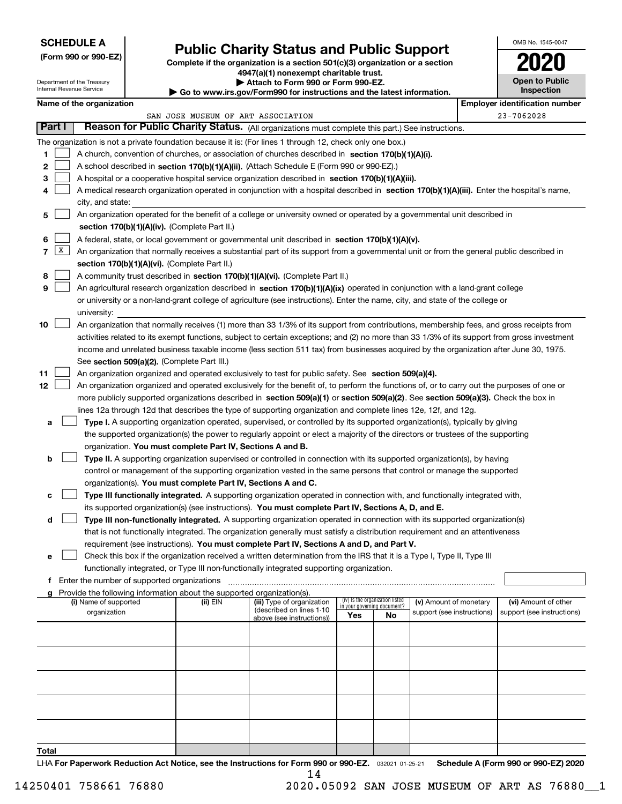# **SCHEDULE A**

Department of the Treasury Internal Revenue Service

**(Form 990 or 990-EZ)**

# **Public Charity Status and Public Support**

**Complete if the organization is a section 501(c)(3) organization or a section 4947(a)(1) nonexempt charitable trust.**

| Attach to Form 990 or Form 990-EZ. |
|------------------------------------|
|                                    |

**| Go to www.irs.gov/Form990 for instructions and the latest information.**

OMB No. 1545-0047

**Open to Public Inspection**

**2020**

| Name of the organization           |                                                                                                                                              |          |                                                        |                             |                                 |                            | <b>Employer identification number</b> |                            |
|------------------------------------|----------------------------------------------------------------------------------------------------------------------------------------------|----------|--------------------------------------------------------|-----------------------------|---------------------------------|----------------------------|---------------------------------------|----------------------------|
| SAN JOSE MUSEUM OF ART ASSOCIATION |                                                                                                                                              |          |                                                        |                             |                                 |                            | 23-7062028                            |                            |
| Part I                             | Reason for Public Charity Status. (All organizations must complete this part.) See instructions.                                             |          |                                                        |                             |                                 |                            |                                       |                            |
|                                    | The organization is not a private foundation because it is: (For lines 1 through 12, check only one box.)                                    |          |                                                        |                             |                                 |                            |                                       |                            |
| 1                                  | A church, convention of churches, or association of churches described in section 170(b)(1)(A)(i).                                           |          |                                                        |                             |                                 |                            |                                       |                            |
| 2                                  | A school described in section 170(b)(1)(A)(ii). (Attach Schedule E (Form 990 or 990-EZ).)                                                    |          |                                                        |                             |                                 |                            |                                       |                            |
| 3                                  | A hospital or a cooperative hospital service organization described in section 170(b)(1)(A)(iii).                                            |          |                                                        |                             |                                 |                            |                                       |                            |
| 4                                  | A medical research organization operated in conjunction with a hospital described in section 170(b)(1)(A)(iii). Enter the hospital's name,   |          |                                                        |                             |                                 |                            |                                       |                            |
|                                    | city, and state:                                                                                                                             |          |                                                        |                             |                                 |                            |                                       |                            |
|                                    | An organization operated for the benefit of a college or university owned or operated by a governmental unit described in                    |          |                                                        |                             |                                 |                            |                                       |                            |
| 5                                  |                                                                                                                                              |          |                                                        |                             |                                 |                            |                                       |                            |
|                                    | section 170(b)(1)(A)(iv). (Complete Part II.)                                                                                                |          |                                                        |                             |                                 |                            |                                       |                            |
| 6                                  | A federal, state, or local government or governmental unit described in section 170(b)(1)(A)(v).                                             |          |                                                        |                             |                                 |                            |                                       |                            |
| x<br>7                             | An organization that normally receives a substantial part of its support from a governmental unit or from the general public described in    |          |                                                        |                             |                                 |                            |                                       |                            |
|                                    | section 170(b)(1)(A)(vi). (Complete Part II.)                                                                                                |          |                                                        |                             |                                 |                            |                                       |                            |
| 8                                  | A community trust described in section 170(b)(1)(A)(vi). (Complete Part II.)                                                                 |          |                                                        |                             |                                 |                            |                                       |                            |
| 9                                  | An agricultural research organization described in section 170(b)(1)(A)(ix) operated in conjunction with a land-grant college                |          |                                                        |                             |                                 |                            |                                       |                            |
|                                    | or university or a non-land-grant college of agriculture (see instructions). Enter the name, city, and state of the college or               |          |                                                        |                             |                                 |                            |                                       |                            |
|                                    | university:                                                                                                                                  |          |                                                        |                             |                                 |                            |                                       |                            |
| 10                                 | An organization that normally receives (1) more than 33 1/3% of its support from contributions, membership fees, and gross receipts from     |          |                                                        |                             |                                 |                            |                                       |                            |
|                                    | activities related to its exempt functions, subject to certain exceptions; and (2) no more than 33 1/3% of its support from gross investment |          |                                                        |                             |                                 |                            |                                       |                            |
|                                    | income and unrelated business taxable income (less section 511 tax) from businesses acquired by the organization after June 30, 1975.        |          |                                                        |                             |                                 |                            |                                       |                            |
|                                    | See section 509(a)(2). (Complete Part III.)                                                                                                  |          |                                                        |                             |                                 |                            |                                       |                            |
| 11                                 | An organization organized and operated exclusively to test for public safety. See section 509(a)(4).                                         |          |                                                        |                             |                                 |                            |                                       |                            |
| 12                                 | An organization organized and operated exclusively for the benefit of, to perform the functions of, or to carry out the purposes of one or   |          |                                                        |                             |                                 |                            |                                       |                            |
|                                    | more publicly supported organizations described in section 509(a)(1) or section 509(a)(2). See section 509(a)(3). Check the box in           |          |                                                        |                             |                                 |                            |                                       |                            |
|                                    | lines 12a through 12d that describes the type of supporting organization and complete lines 12e, 12f, and 12g.                               |          |                                                        |                             |                                 |                            |                                       |                            |
| а                                  | Type I. A supporting organization operated, supervised, or controlled by its supported organization(s), typically by giving                  |          |                                                        |                             |                                 |                            |                                       |                            |
|                                    | the supported organization(s) the power to regularly appoint or elect a majority of the directors or trustees of the supporting              |          |                                                        |                             |                                 |                            |                                       |                            |
|                                    | organization. You must complete Part IV, Sections A and B.                                                                                   |          |                                                        |                             |                                 |                            |                                       |                            |
| b                                  | Type II. A supporting organization supervised or controlled in connection with its supported organization(s), by having                      |          |                                                        |                             |                                 |                            |                                       |                            |
|                                    |                                                                                                                                              |          |                                                        |                             |                                 |                            |                                       |                            |
|                                    | control or management of the supporting organization vested in the same persons that control or manage the supported                         |          |                                                        |                             |                                 |                            |                                       |                            |
|                                    | organization(s). You must complete Part IV, Sections A and C.                                                                                |          |                                                        |                             |                                 |                            |                                       |                            |
| с                                  | Type III functionally integrated. A supporting organization operated in connection with, and functionally integrated with,                   |          |                                                        |                             |                                 |                            |                                       |                            |
|                                    | its supported organization(s) (see instructions). You must complete Part IV, Sections A, D, and E.                                           |          |                                                        |                             |                                 |                            |                                       |                            |
| d                                  | Type III non-functionally integrated. A supporting organization operated in connection with its supported organization(s)                    |          |                                                        |                             |                                 |                            |                                       |                            |
|                                    | that is not functionally integrated. The organization generally must satisfy a distribution requirement and an attentiveness                 |          |                                                        |                             |                                 |                            |                                       |                            |
|                                    | requirement (see instructions). You must complete Part IV, Sections A and D, and Part V.                                                     |          |                                                        |                             |                                 |                            |                                       |                            |
|                                    | Check this box if the organization received a written determination from the IRS that it is a Type I, Type II, Type III                      |          |                                                        |                             |                                 |                            |                                       |                            |
|                                    | functionally integrated, or Type III non-functionally integrated supporting organization.                                                    |          |                                                        |                             |                                 |                            |                                       |                            |
| f.                                 | Enter the number of supported organizations                                                                                                  |          |                                                        |                             |                                 |                            |                                       |                            |
|                                    | Provide the following information about the supported organization(s).                                                                       |          |                                                        |                             | (iv) Is the organization listed |                            |                                       |                            |
|                                    | (i) Name of supported                                                                                                                        | (ii) EIN | (iii) Type of organization<br>(described on lines 1-10 | in your governing document? |                                 | (v) Amount of monetary     |                                       | (vi) Amount of other       |
|                                    | organization                                                                                                                                 |          | above (see instructions))                              | <b>Yes</b>                  | No                              | support (see instructions) |                                       | support (see instructions) |
|                                    |                                                                                                                                              |          |                                                        |                             |                                 |                            |                                       |                            |
|                                    |                                                                                                                                              |          |                                                        |                             |                                 |                            |                                       |                            |
|                                    |                                                                                                                                              |          |                                                        |                             |                                 |                            |                                       |                            |
|                                    |                                                                                                                                              |          |                                                        |                             |                                 |                            |                                       |                            |
|                                    |                                                                                                                                              |          |                                                        |                             |                                 |                            |                                       |                            |
|                                    |                                                                                                                                              |          |                                                        |                             |                                 |                            |                                       |                            |
|                                    |                                                                                                                                              |          |                                                        |                             |                                 |                            |                                       |                            |
|                                    |                                                                                                                                              |          |                                                        |                             |                                 |                            |                                       |                            |
|                                    |                                                                                                                                              |          |                                                        |                             |                                 |                            |                                       |                            |
|                                    |                                                                                                                                              |          |                                                        |                             |                                 |                            |                                       |                            |
| Total                              |                                                                                                                                              |          |                                                        |                             |                                 |                            |                                       |                            |
|                                    |                                                                                                                                              |          |                                                        |                             |                                 |                            |                                       |                            |

LHA For Paperwork Reduction Act Notice, see the Instructions for Form 990 or 990-EZ. <sub>032021</sub> o1-25-21 Schedule A (Form 990 or 990-EZ) 2020 14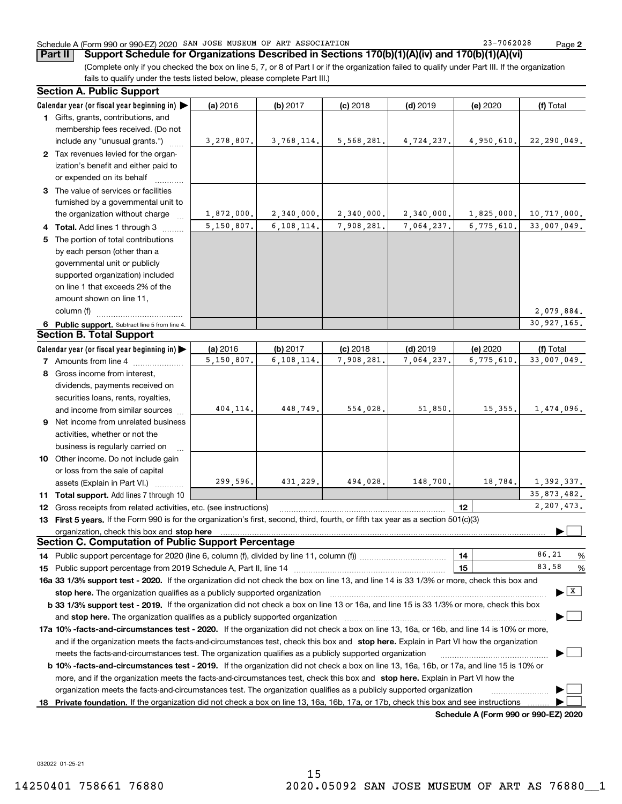# Schedule A (Form 990 or 990-EZ) 2020 SAN JOSE MUSEUM OF ART ASSOCIATION 23-7062028 Page

(Complete only if you checked the box on line 5, 7, or 8 of Part I or if the organization failed to qualify under Part III. If the organization fails to qualify under the tests listed below, please complete Part III.) **Part II Support Schedule for Organizations Described in Sections 170(b)(1)(A)(iv) and 170(b)(1)(A)(vi)**

|    | <b>Section A. Public Support</b>                                                                                                                                                                                              |            |              |            |            |            |                                |
|----|-------------------------------------------------------------------------------------------------------------------------------------------------------------------------------------------------------------------------------|------------|--------------|------------|------------|------------|--------------------------------|
|    | Calendar year (or fiscal year beginning in)                                                                                                                                                                                   | (a) 2016   | (b) 2017     | $(c)$ 2018 | $(d)$ 2019 | (e) 2020   | (f) Total                      |
|    | 1 Gifts, grants, contributions, and                                                                                                                                                                                           |            |              |            |            |            |                                |
|    | membership fees received. (Do not                                                                                                                                                                                             |            |              |            |            |            |                                |
|    | include any "unusual grants.")                                                                                                                                                                                                | 3,278,807. | 3,768,114.   | 5,568,281. | 4,724,237. | 4,950,610. | 22,290,049.                    |
|    | 2 Tax revenues levied for the organ-                                                                                                                                                                                          |            |              |            |            |            |                                |
|    | ization's benefit and either paid to                                                                                                                                                                                          |            |              |            |            |            |                                |
|    | or expended on its behalf                                                                                                                                                                                                     |            |              |            |            |            |                                |
|    | 3 The value of services or facilities                                                                                                                                                                                         |            |              |            |            |            |                                |
|    | furnished by a governmental unit to                                                                                                                                                                                           |            |              |            |            |            |                                |
|    | the organization without charge                                                                                                                                                                                               | 1,872,000. | 2,340,000.   | 2,340,000. | 2,340,000. | 1,825,000. | 10,717,000.                    |
|    | 4 Total. Add lines 1 through 3                                                                                                                                                                                                | 5,150,807. | 6,108,114.   | 7,908,281. | 7,064,237. | 6,775,610. | 33,007,049.                    |
| 5  | The portion of total contributions                                                                                                                                                                                            |            |              |            |            |            |                                |
|    | by each person (other than a                                                                                                                                                                                                  |            |              |            |            |            |                                |
|    | governmental unit or publicly                                                                                                                                                                                                 |            |              |            |            |            |                                |
|    | supported organization) included                                                                                                                                                                                              |            |              |            |            |            |                                |
|    | on line 1 that exceeds 2% of the                                                                                                                                                                                              |            |              |            |            |            |                                |
|    | amount shown on line 11,                                                                                                                                                                                                      |            |              |            |            |            |                                |
|    | column (f)                                                                                                                                                                                                                    |            |              |            |            |            | 2,079,884.                     |
|    | 6 Public support. Subtract line 5 from line 4.                                                                                                                                                                                |            |              |            |            |            | 30, 927, 165.                  |
|    | <b>Section B. Total Support</b>                                                                                                                                                                                               |            |              |            |            |            |                                |
|    | Calendar year (or fiscal year beginning in) $\blacktriangleright$                                                                                                                                                             | (a) 2016   | (b) 2017     | $(c)$ 2018 | $(d)$ 2019 | (e) 2020   | (f) Total                      |
|    | <b>7</b> Amounts from line 4                                                                                                                                                                                                  | 5,150,807. | 6, 108, 114. | 7,908,281  | 7,064,237. | 6,775,610. | 33,007,049.                    |
|    | 8 Gross income from interest,                                                                                                                                                                                                 |            |              |            |            |            |                                |
|    | dividends, payments received on                                                                                                                                                                                               |            |              |            |            |            |                                |
|    | securities loans, rents, royalties,                                                                                                                                                                                           |            |              |            |            |            |                                |
|    | and income from similar sources                                                                                                                                                                                               | 404,114.   | 448,749.     | 554,028.   | 51,850.    | 15,355.    | 1,474,096.                     |
|    | 9 Net income from unrelated business                                                                                                                                                                                          |            |              |            |            |            |                                |
|    | activities, whether or not the                                                                                                                                                                                                |            |              |            |            |            |                                |
|    | business is regularly carried on                                                                                                                                                                                              |            |              |            |            |            |                                |
|    | 10 Other income. Do not include gain                                                                                                                                                                                          |            |              |            |            |            |                                |
|    | or loss from the sale of capital                                                                                                                                                                                              |            |              |            |            |            |                                |
|    | assets (Explain in Part VI.)                                                                                                                                                                                                  | 299,596.   | 431,229.     | 494,028.   | 148,700.   | 18,784.    | 1,392,337.                     |
|    | 11 Total support. Add lines 7 through 10                                                                                                                                                                                      |            |              |            |            |            | 35,873,482.                    |
| 12 | Gross receipts from related activities, etc. (see instructions)                                                                                                                                                               |            |              |            |            | 12         | 2,207,473.                     |
|    | 13 First 5 years. If the Form 990 is for the organization's first, second, third, fourth, or fifth tax year as a section 501(c)(3)                                                                                            |            |              |            |            |            |                                |
|    | organization, check this box and stop here manufactured and stop in the set of the set of the set of the set of the set of the set of the set of the set of the set of the set of the set of the set of the set of the set of |            |              |            |            |            |                                |
|    | <b>Section C. Computation of Public Support Percentage</b>                                                                                                                                                                    |            |              |            |            |            |                                |
|    |                                                                                                                                                                                                                               |            |              |            |            | 14         | 86.21<br>%                     |
|    |                                                                                                                                                                                                                               |            |              |            |            | 15         | 83.58<br>$\%$                  |
|    | 16a 33 1/3% support test - 2020. If the organization did not check the box on line 13, and line 14 is 33 1/3% or more, check this box and                                                                                     |            |              |            |            |            |                                |
|    | stop here. The organization qualifies as a publicly supported organization                                                                                                                                                    |            |              |            |            |            | $\blacktriangleright$ $\mid$ X |
|    | b 33 1/3% support test - 2019. If the organization did not check a box on line 13 or 16a, and line 15 is 33 1/3% or more, check this box                                                                                      |            |              |            |            |            |                                |
|    | and stop here. The organization qualifies as a publicly supported organization                                                                                                                                                |            |              |            |            |            |                                |
|    | 17a 10% -facts-and-circumstances test - 2020. If the organization did not check a box on line 13, 16a, or 16b, and line 14 is 10% or more,                                                                                    |            |              |            |            |            |                                |
|    | and if the organization meets the facts-and-circumstances test, check this box and stop here. Explain in Part VI how the organization                                                                                         |            |              |            |            |            |                                |
|    | meets the facts-and-circumstances test. The organization qualifies as a publicly supported organization                                                                                                                       |            |              |            |            |            |                                |
|    | <b>b 10% -facts-and-circumstances test - 2019.</b> If the organization did not check a box on line 13, 16a, 16b, or 17a, and line 15 is 10% or                                                                                |            |              |            |            |            |                                |
|    | more, and if the organization meets the facts-and-circumstances test, check this box and stop here. Explain in Part VI how the                                                                                                |            |              |            |            |            |                                |
|    | organization meets the facts-and-circumstances test. The organization qualifies as a publicly supported organization                                                                                                          |            |              |            |            |            |                                |
|    | Private foundation. If the organization did not check a box on line 13, 16a, 16b, 17a, or 17b, check this box and see instructions                                                                                            |            |              |            |            |            |                                |
|    |                                                                                                                                                                                                                               |            |              |            |            |            |                                |

**Schedule A (Form 990 or 990-EZ) 2020**

032022 01-25-21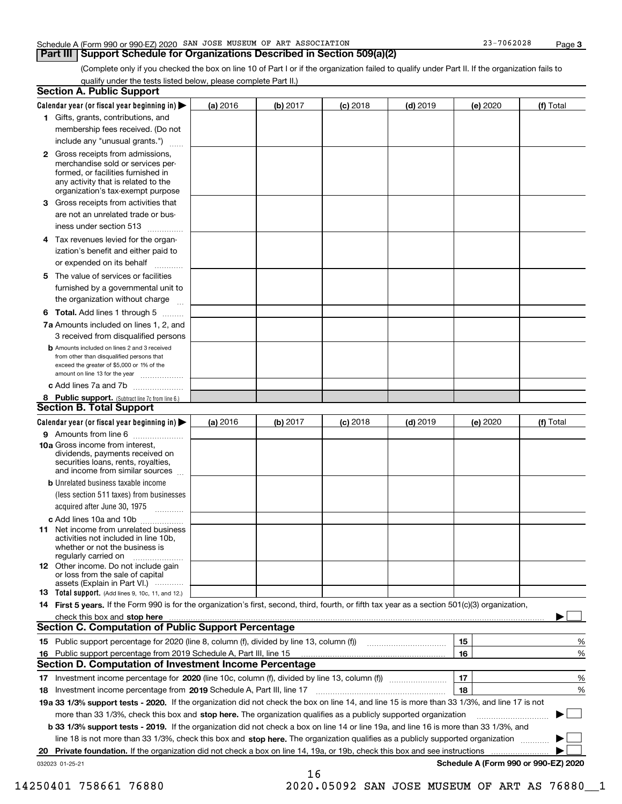## Schedule A (Form 990 or 990-EZ) 2020 SAN JOSE MUSEUM OF ART ASSOCIATION 23-7062028 Page

**Part III Support Schedule for Organizations Described in Section 509(a)(2)** 

(Complete only if you checked the box on line 10 of Part I or if the organization failed to qualify under Part II. If the organization fails to qualify under the tests listed below, please complete Part II.)

|     | <b>Section A. Public Support</b>                                                                                                                                                                |          |          |            |            |          |                                      |
|-----|-------------------------------------------------------------------------------------------------------------------------------------------------------------------------------------------------|----------|----------|------------|------------|----------|--------------------------------------|
|     | Calendar year (or fiscal year beginning in) $\blacktriangleright$                                                                                                                               | (a) 2016 | (b) 2017 | $(c)$ 2018 | $(d)$ 2019 | (e) 2020 | (f) Total                            |
|     | 1 Gifts, grants, contributions, and                                                                                                                                                             |          |          |            |            |          |                                      |
|     | membership fees received. (Do not                                                                                                                                                               |          |          |            |            |          |                                      |
|     | include any "unusual grants.")                                                                                                                                                                  |          |          |            |            |          |                                      |
|     | <b>2</b> Gross receipts from admissions,<br>merchandise sold or services per-<br>formed, or facilities furnished in<br>any activity that is related to the<br>organization's tax-exempt purpose |          |          |            |            |          |                                      |
|     | 3 Gross receipts from activities that                                                                                                                                                           |          |          |            |            |          |                                      |
|     | are not an unrelated trade or bus-                                                                                                                                                              |          |          |            |            |          |                                      |
|     | iness under section 513                                                                                                                                                                         |          |          |            |            |          |                                      |
|     | 4 Tax revenues levied for the organ-                                                                                                                                                            |          |          |            |            |          |                                      |
|     | ization's benefit and either paid to                                                                                                                                                            |          |          |            |            |          |                                      |
|     | or expended on its behalf                                                                                                                                                                       |          |          |            |            |          |                                      |
|     | 5 The value of services or facilities                                                                                                                                                           |          |          |            |            |          |                                      |
|     | furnished by a governmental unit to                                                                                                                                                             |          |          |            |            |          |                                      |
|     | the organization without charge                                                                                                                                                                 |          |          |            |            |          |                                      |
|     | <b>6 Total.</b> Add lines 1 through 5                                                                                                                                                           |          |          |            |            |          |                                      |
|     | 7a Amounts included on lines 1, 2, and                                                                                                                                                          |          |          |            |            |          |                                      |
|     | 3 received from disqualified persons                                                                                                                                                            |          |          |            |            |          |                                      |
|     | <b>b</b> Amounts included on lines 2 and 3 received<br>from other than disqualified persons that<br>exceed the greater of \$5,000 or 1% of the<br>amount on line 13 for the year                |          |          |            |            |          |                                      |
|     | c Add lines 7a and 7b                                                                                                                                                                           |          |          |            |            |          |                                      |
|     | 8 Public support. (Subtract line 7c from line 6.)<br><b>Section B. Total Support</b>                                                                                                            |          |          |            |            |          |                                      |
|     | Calendar year (or fiscal year beginning in)                                                                                                                                                     | (a) 2016 | (b) 2017 | $(c)$ 2018 | $(d)$ 2019 | (e) 2020 | (f) Total                            |
|     | 9 Amounts from line 6                                                                                                                                                                           |          |          |            |            |          |                                      |
|     | <b>10a</b> Gross income from interest,<br>dividends, payments received on<br>securities loans, rents, royalties,<br>and income from similar sources                                             |          |          |            |            |          |                                      |
|     | <b>b</b> Unrelated business taxable income                                                                                                                                                      |          |          |            |            |          |                                      |
|     | (less section 511 taxes) from businesses<br>acquired after June 30, 1975                                                                                                                        |          |          |            |            |          |                                      |
|     | c Add lines 10a and 10b                                                                                                                                                                         |          |          |            |            |          |                                      |
|     | 11 Net income from unrelated business<br>activities not included in line 10b,<br>whether or not the business is<br>regularly carried on                                                         |          |          |            |            |          |                                      |
|     | 12 Other income. Do not include gain<br>or loss from the sale of capital<br>assets (Explain in Part VI.)                                                                                        |          |          |            |            |          |                                      |
|     | 13 Total support. (Add lines 9, 10c, 11, and 12.)                                                                                                                                               |          |          |            |            |          |                                      |
|     | 14 First 5 years. If the Form 990 is for the organization's first, second, third, fourth, or fifth tax year as a section 501(c)(3) organization,                                                |          |          |            |            |          |                                      |
|     | check this box and stop here with the continuum control to the state of the state of the state of the state of                                                                                  |          |          |            |            |          |                                      |
|     | <b>Section C. Computation of Public Support Percentage</b>                                                                                                                                      |          |          |            |            |          |                                      |
|     | 15 Public support percentage for 2020 (line 8, column (f), divided by line 13, column (f))                                                                                                      |          |          |            |            | 15       | %                                    |
| 16. | Public support percentage from 2019 Schedule A, Part III, line 15                                                                                                                               |          |          |            |            | 16       | %                                    |
|     | Section D. Computation of Investment Income Percentage                                                                                                                                          |          |          |            |            |          |                                      |
|     | 17 Investment income percentage for 2020 (line 10c, column (f), divided by line 13, column (f))                                                                                                 |          |          |            |            | 17       | %                                    |
|     | 18 Investment income percentage from 2019 Schedule A, Part III, line 17                                                                                                                         |          |          |            |            | 18       | %                                    |
|     | 19a 33 1/3% support tests - 2020. If the organization did not check the box on line 14, and line 15 is more than 33 1/3%, and line 17 is not                                                    |          |          |            |            |          |                                      |
|     | more than 33 1/3%, check this box and stop here. The organization qualifies as a publicly supported organization                                                                                |          |          |            |            |          |                                      |
|     | b 33 1/3% support tests - 2019. If the organization did not check a box on line 14 or line 19a, and line 16 is more than 33 1/3%, and                                                           |          |          |            |            |          |                                      |
|     | line 18 is not more than 33 1/3%, check this box and stop here. The organization qualifies as a publicly supported organization                                                                 |          |          |            |            |          |                                      |
| 20  | Private foundation. If the organization did not check a box on line 14, 19a, or 19b, check this box and see instructions                                                                        |          |          |            |            | .        |                                      |
|     | 032023 01-25-21                                                                                                                                                                                 |          |          |            |            |          | Schedule A (Form 990 or 990-EZ) 2020 |
|     |                                                                                                                                                                                                 |          | 16       |            |            |          |                                      |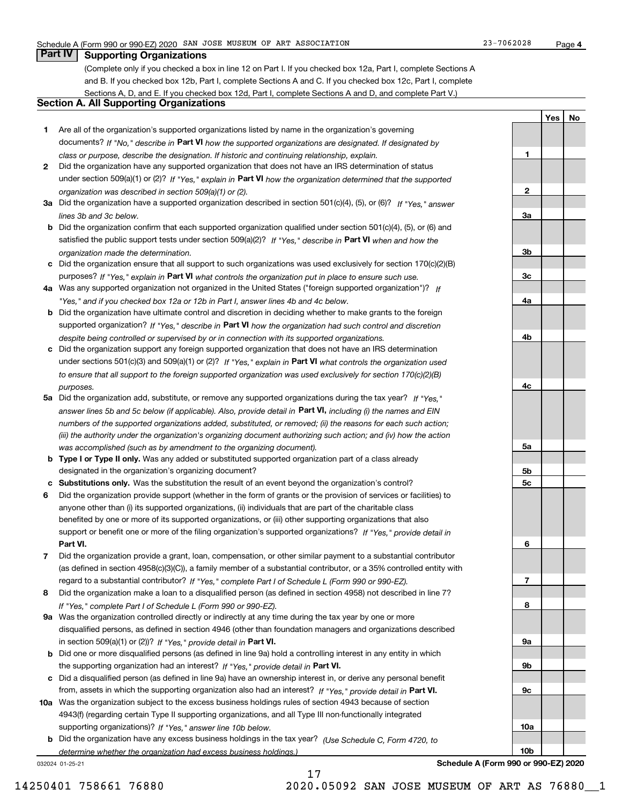**1**

**2**

**3a**

**3b**

**3c**

**4a**

**4b**

**4c**

**5a**

**5b5c**

**6**

**7**

**8**

**9a**

**9b**

**9c**

**10a**

**10b**

**YesNo**

# **Part IV Supporting Organizations**

(Complete only if you checked a box in line 12 on Part I. If you checked box 12a, Part I, complete Sections A and B. If you checked box 12b, Part I, complete Sections A and C. If you checked box 12c, Part I, complete Sections A, D, and E. If you checked box 12d, Part I, complete Sections A and D, and complete Part V.)

# **Section A. All Supporting Organizations**

- **1** Are all of the organization's supported organizations listed by name in the organization's governing documents? If "No," describe in **Part VI** how the supported organizations are designated. If designated by *class or purpose, describe the designation. If historic and continuing relationship, explain.*
- **2** Did the organization have any supported organization that does not have an IRS determination of status under section 509(a)(1) or (2)? If "Yes," explain in Part VI how the organization determined that the supported *organization was described in section 509(a)(1) or (2).*
- **3a** Did the organization have a supported organization described in section 501(c)(4), (5), or (6)? If "Yes," answer *lines 3b and 3c below.*
- **b** Did the organization confirm that each supported organization qualified under section 501(c)(4), (5), or (6) and satisfied the public support tests under section 509(a)(2)? If "Yes," describe in **Part VI** when and how the *organization made the determination.*
- **c**Did the organization ensure that all support to such organizations was used exclusively for section 170(c)(2)(B) purposes? If "Yes," explain in **Part VI** what controls the organization put in place to ensure such use.
- **4a***If* Was any supported organization not organized in the United States ("foreign supported organization")? *"Yes," and if you checked box 12a or 12b in Part I, answer lines 4b and 4c below.*
- **b** Did the organization have ultimate control and discretion in deciding whether to make grants to the foreign supported organization? If "Yes," describe in **Part VI** how the organization had such control and discretion *despite being controlled or supervised by or in connection with its supported organizations.*
- **c** Did the organization support any foreign supported organization that does not have an IRS determination under sections 501(c)(3) and 509(a)(1) or (2)? If "Yes," explain in **Part VI** what controls the organization used *to ensure that all support to the foreign supported organization was used exclusively for section 170(c)(2)(B) purposes.*
- **5a** Did the organization add, substitute, or remove any supported organizations during the tax year? If "Yes," answer lines 5b and 5c below (if applicable). Also, provide detail in **Part VI,** including (i) the names and EIN *numbers of the supported organizations added, substituted, or removed; (ii) the reasons for each such action; (iii) the authority under the organization's organizing document authorizing such action; and (iv) how the action was accomplished (such as by amendment to the organizing document).*
- **b** Type I or Type II only. Was any added or substituted supported organization part of a class already designated in the organization's organizing document?
- **cSubstitutions only.**  Was the substitution the result of an event beyond the organization's control?
- **6** Did the organization provide support (whether in the form of grants or the provision of services or facilities) to **Part VI.** *If "Yes," provide detail in* support or benefit one or more of the filing organization's supported organizations? anyone other than (i) its supported organizations, (ii) individuals that are part of the charitable class benefited by one or more of its supported organizations, or (iii) other supporting organizations that also
- **7**Did the organization provide a grant, loan, compensation, or other similar payment to a substantial contributor *If "Yes," complete Part I of Schedule L (Form 990 or 990-EZ).* regard to a substantial contributor? (as defined in section 4958(c)(3)(C)), a family member of a substantial contributor, or a 35% controlled entity with
- **8** Did the organization make a loan to a disqualified person (as defined in section 4958) not described in line 7? *If "Yes," complete Part I of Schedule L (Form 990 or 990-EZ).*
- **9a** Was the organization controlled directly or indirectly at any time during the tax year by one or more in section 509(a)(1) or (2))? If "Yes," *provide detail in* <code>Part VI.</code> disqualified persons, as defined in section 4946 (other than foundation managers and organizations described
- **b** Did one or more disqualified persons (as defined in line 9a) hold a controlling interest in any entity in which the supporting organization had an interest? If "Yes," provide detail in P**art VI**.
- **c**Did a disqualified person (as defined in line 9a) have an ownership interest in, or derive any personal benefit from, assets in which the supporting organization also had an interest? If "Yes," provide detail in P**art VI.**
- **10a** Was the organization subject to the excess business holdings rules of section 4943 because of section supporting organizations)? If "Yes," answer line 10b below. 4943(f) (regarding certain Type II supporting organizations, and all Type III non-functionally integrated
- **b** Did the organization have any excess business holdings in the tax year? (Use Schedule C, Form 4720, to *determine whether the organization had excess business holdings.)*

17

032024 01-25-21

**Schedule A (Form 990 or 990-EZ) 2020**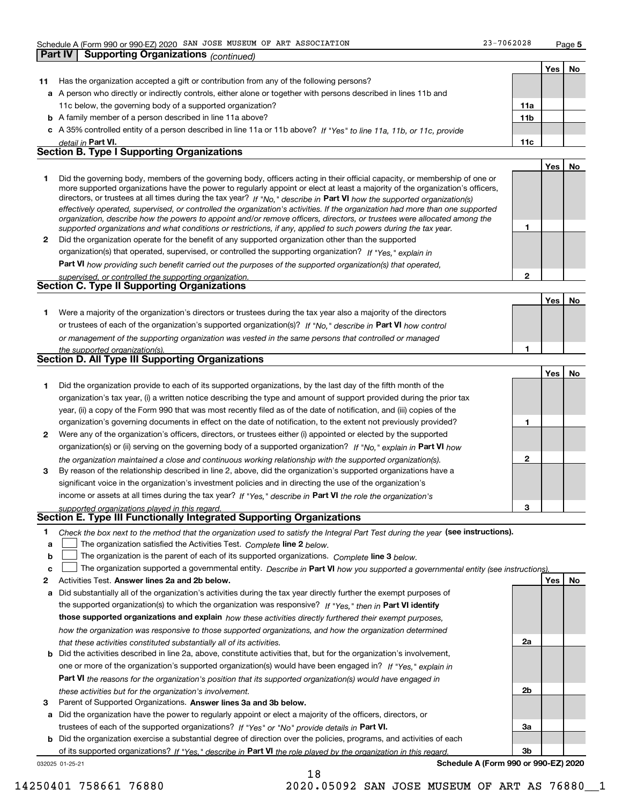**Part IV Supporting Organizations** *(continued)*

**5**

**1**

**2**

**1**

**2**

**3**

**2a**

**2b**

**3a**

**3b**

**YesNo**

|    |                                                                                                                            |     | Yes | No |
|----|----------------------------------------------------------------------------------------------------------------------------|-----|-----|----|
| 11 | Has the organization accepted a gift or contribution from any of the following persons?                                    |     |     |    |
|    | a A person who directly or indirectly controls, either alone or together with persons described in lines 11b and           |     |     |    |
|    | 11c below, the governing body of a supported organization?                                                                 | 11a |     |    |
|    | <b>b</b> A family member of a person described in line 11a above?                                                          | 11b |     |    |
|    | c A 35% controlled entity of a person described in line 11a or 11b above? If "Yes" to line 11a, 11b, or 11c, provide       |     |     |    |
|    | detail in Part VI.                                                                                                         | 11c |     |    |
|    | <b>Section B. Type I Supporting Organizations</b>                                                                          |     |     |    |
|    |                                                                                                                            |     | Yes | No |
|    | Did the governing body, members of the governing body, officers acting in their official capacity, or membership of one or |     |     |    |

|   | more supported organizations have the power to regularly appoint or elect at least a majority of the organization's officers,  |
|---|--------------------------------------------------------------------------------------------------------------------------------|
|   | directors, or trustees at all times during the tax year? If "No," describe in Part VI how the supported organization(s)        |
|   | effectively operated, supervised, or controlled the organization's activities. If the organization had more than one supported |
|   | organization, describe how the powers to appoint and/or remove officers, directors, or trustees were allocated among the       |
|   | supported organizations and what conditions or restrictions, if any, applied to such powers during the tax year.               |
| 2 | Did the organization operate for the benefit of any supported organization other than the supported                            |
|   | organization(s) that operated, supervised, or controlled the supporting organization? If "Yes," explain in                     |

**Part VI**  *how providing such benefit carried out the purposes of the supported organization(s) that operated,*

| supervised, or controlled the supporting organization. |  |
|--------------------------------------------------------|--|
| Section C. Type II Supporting Organizations            |  |
|                                                        |  |

**Yes No 1**or trustees of each of the organization's supported organization(s)? If "No," describe in **Part VI** how control **1***or management of the supporting organization was vested in the same persons that controlled or managed the supported organization(s).* Were a majority of the organization's directors or trustees during the tax year also a majority of the directors

|   | Section D. All Type III Supporting Organizations                                                                                                                                                                                                |  |  |  |  |  |  |  |  |
|---|-------------------------------------------------------------------------------------------------------------------------------------------------------------------------------------------------------------------------------------------------|--|--|--|--|--|--|--|--|
|   | Did the organization provide to each of its supported organizations, by the last day of the fifth month of the                                                                                                                                  |  |  |  |  |  |  |  |  |
|   | organization's tax year, (i) a written notice describing the type and amount of support provided during the prior tax<br>year, (ii) a copy of the Form 990 that was most recently filed as of the date of notification, and (iii) copies of the |  |  |  |  |  |  |  |  |
|   | organization's governing documents in effect on the date of notification, to the extent not previously provided?                                                                                                                                |  |  |  |  |  |  |  |  |
| 2 | Were any of the organization's officers, directors, or trustees either (i) appointed or elected by the supported                                                                                                                                |  |  |  |  |  |  |  |  |
|   | organization(s) or (ii) serving on the governing body of a supported organization? If "No." explain in Part VI how                                                                                                                              |  |  |  |  |  |  |  |  |
|   | the organization maintained a close and continuous working relationship with the supported organization(s).                                                                                                                                     |  |  |  |  |  |  |  |  |

**3**income or assets at all times during the tax year? If "Yes," describe in **Part VI** the role the organization's By reason of the relationship described in line 2, above, did the organization's supported organizations have a significant voice in the organization's investment policies and in directing the use of the organization's

*supported organizations played in this regard.*

# **Section E. Type III Functionally Integrated Supporting Organizations**

- **1**Check the box next to the method that the organization used to satisfy the Integral Part Test during the year (see instructions).
- **alinupy** The organization satisfied the Activities Test. Complete line 2 below.
- **b**The organization is the parent of each of its supported organizations. *Complete* line 3 *below.*  $\mathcal{L}^{\text{max}}$

|  |  |  | The organization supported a governmental entity. Describe in Part VI how you supported a governmental entity (see instructions). |  |
|--|--|--|-----------------------------------------------------------------------------------------------------------------------------------|--|
|--|--|--|-----------------------------------------------------------------------------------------------------------------------------------|--|

- **2Answer lines 2a and 2b below. Yes No** Activities Test.
- **a** Did substantially all of the organization's activities during the tax year directly further the exempt purposes of the supported organization(s) to which the organization was responsive? If "Yes," then in **Part VI identify those supported organizations and explain**  *how these activities directly furthered their exempt purposes, how the organization was responsive to those supported organizations, and how the organization determined that these activities constituted substantially all of its activities.*
- **b** Did the activities described in line 2a, above, constitute activities that, but for the organization's involvement, **Part VI**  *the reasons for the organization's position that its supported organization(s) would have engaged in* one or more of the organization's supported organization(s) would have been engaged in? If "Yes," e*xplain in these activities but for the organization's involvement.*
- **3** Parent of Supported Organizations. Answer lines 3a and 3b below.

**a** Did the organization have the power to regularly appoint or elect a majority of the officers, directors, or trustees of each of the supported organizations? If "Yes" or "No" provide details in **Part VI.** 

032025 01-25-21 **b** Did the organization exercise a substantial degree of direction over the policies, programs, and activities of each of its supported organizations? If "Yes," describe in Part VI the role played by the organization in this regard.

**Schedule A (Form 990 or 990-EZ) 2020**

14250401 758661 76880 2020.05092 SAN JOSE MUSEUM OF ART AS 76880\_\_1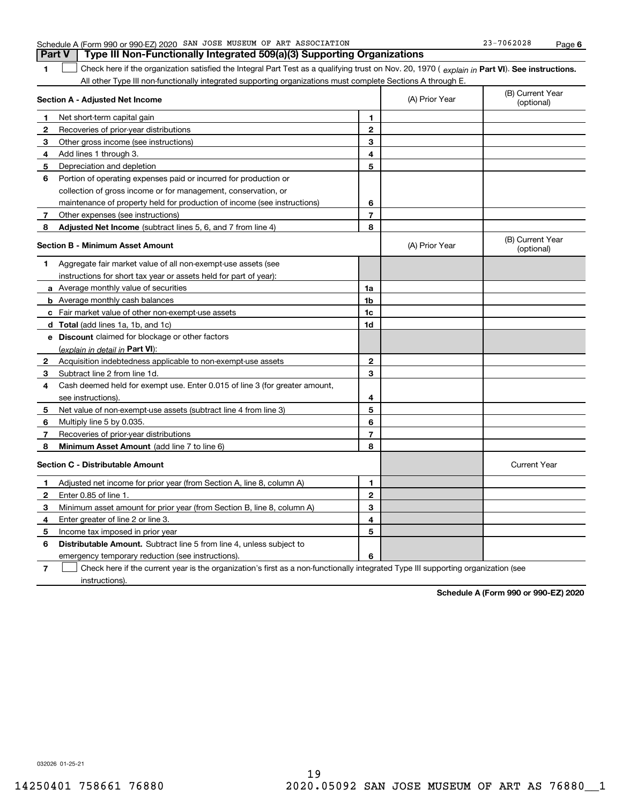| Type III Non-Functionally Integrated 509(a)(3) Supporting Organizations<br><b>Part V</b>                                                            |                |                |                                |  |  |
|-----------------------------------------------------------------------------------------------------------------------------------------------------|----------------|----------------|--------------------------------|--|--|
| Check here if the organization satisfied the Integral Part Test as a qualifying trust on Nov. 20, 1970 (explain in Part VI). See instructions.<br>1 |                |                |                                |  |  |
| All other Type III non-functionally integrated supporting organizations must complete Sections A through E.                                         |                |                |                                |  |  |
| Section A - Adjusted Net Income                                                                                                                     |                | (A) Prior Year | (B) Current Year<br>(optional) |  |  |
| Net short-term capital gain<br>$\mathbf{1}$                                                                                                         | 1              |                |                                |  |  |
| $\mathbf{2}$<br>Recoveries of prior-year distributions                                                                                              | $\overline{2}$ |                |                                |  |  |
| Other gross income (see instructions)<br>З.                                                                                                         | 3              |                |                                |  |  |
| 4<br>Add lines 1 through 3.                                                                                                                         | 4              |                |                                |  |  |
| Depreciation and depletion<br>5                                                                                                                     | 5              |                |                                |  |  |
| Portion of operating expenses paid or incurred for production or<br>6                                                                               |                |                |                                |  |  |
| collection of gross income or for management, conservation, or                                                                                      |                |                |                                |  |  |
| maintenance of property held for production of income (see instructions)                                                                            | 6              |                |                                |  |  |
| 7<br>Other expenses (see instructions)                                                                                                              | 7              |                |                                |  |  |
| <b>Adjusted Net Income</b> (subtract lines 5, 6, and 7 from line 4)<br>8                                                                            | 8              |                |                                |  |  |
| <b>Section B - Minimum Asset Amount</b>                                                                                                             |                | (A) Prior Year | (B) Current Year<br>(optional) |  |  |
| Aggregate fair market value of all non-exempt-use assets (see<br>1                                                                                  |                |                |                                |  |  |
| instructions for short tax year or assets held for part of year):                                                                                   |                |                |                                |  |  |
| <b>a</b> Average monthly value of securities                                                                                                        | 1a             |                |                                |  |  |
| <b>b</b> Average monthly cash balances                                                                                                              | 1b             |                |                                |  |  |
| c Fair market value of other non-exempt-use assets                                                                                                  | 1c             |                |                                |  |  |
| d Total (add lines 1a, 1b, and 1c)                                                                                                                  | 1d             |                |                                |  |  |
| e Discount claimed for blockage or other factors                                                                                                    |                |                |                                |  |  |
| (explain in detail in Part VI):                                                                                                                     |                |                |                                |  |  |
| Acquisition indebtedness applicable to non-exempt-use assets<br>$\mathbf{2}$                                                                        | $\mathbf{2}$   |                |                                |  |  |
| Subtract line 2 from line 1d.<br>3                                                                                                                  | 3              |                |                                |  |  |
| Cash deemed held for exempt use. Enter 0.015 of line 3 (for greater amount,<br>4                                                                    |                |                |                                |  |  |
| see instructions)                                                                                                                                   | 4              |                |                                |  |  |
| Net value of non-exempt-use assets (subtract line 4 from line 3)<br>5                                                                               | 5              |                |                                |  |  |
| Multiply line 5 by 0.035.<br>6                                                                                                                      | 6              |                |                                |  |  |
| Recoveries of prior-year distributions<br>7                                                                                                         | 7              |                |                                |  |  |
| Minimum Asset Amount (add line 7 to line 6)<br>8                                                                                                    | 8              |                |                                |  |  |
| <b>Section C - Distributable Amount</b>                                                                                                             |                |                | <b>Current Year</b>            |  |  |
| Adjusted net income for prior year (from Section A, line 8, column A)<br>1                                                                          | 1              |                |                                |  |  |
| $\mathbf{2}$<br>Enter 0.85 of line 1.                                                                                                               | $\overline{2}$ |                |                                |  |  |
| 3<br>Minimum asset amount for prior year (from Section B, line 8, column A)                                                                         | 3              |                |                                |  |  |
| Enter greater of line 2 or line 3.<br>4                                                                                                             | 4              |                |                                |  |  |
| 5.<br>Income tax imposed in prior year                                                                                                              | 5              |                |                                |  |  |
| 6<br><b>Distributable Amount.</b> Subtract line 5 from line 4, unless subject to                                                                    |                |                |                                |  |  |
| emergency temporary reduction (see instructions).                                                                                                   | 6              |                |                                |  |  |
| 7<br>Check here if the current year is the organization's first as a non-functionally integrated Type III supporting organization (see              |                |                |                                |  |  |

Schedule A (Form 990 or 990-EZ) 2020 SAN JOSE MUSEUM OF ART ASSOCIATION Page

SAN JOSE MUSEUM OF ART ASSOCIATION 23-7062028

instructions).

**Schedule A (Form 990 or 990-EZ) 2020**

**6**

032026 01-25-21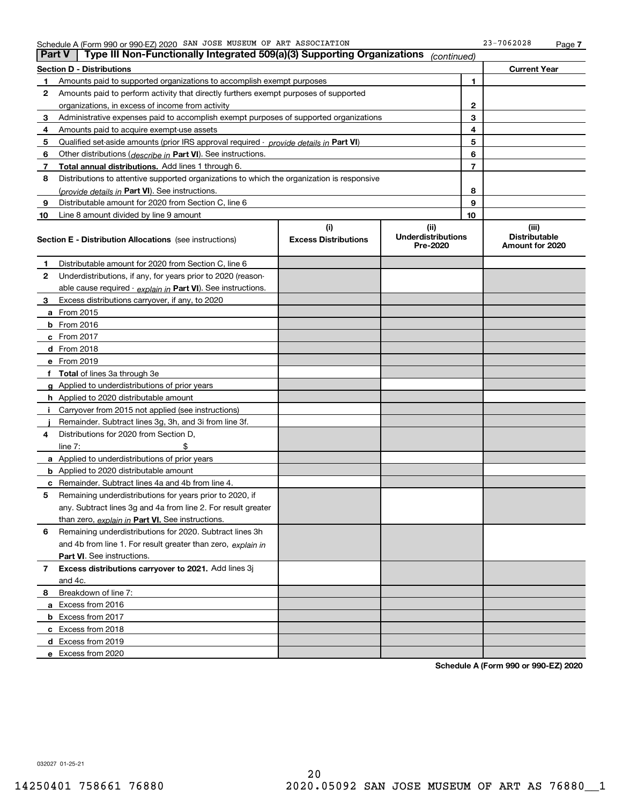### Schedule A (Form 990 or 990-EZ) 2020 SAN JOSE MUSEUM OF ART ASSOCIATION 23-7062028 Page

| <b>Part V</b> | Type III Non-Functionally Integrated 509(a)(3) Supporting Organizations                    |                             | (continued)                           |    |                                         |
|---------------|--------------------------------------------------------------------------------------------|-----------------------------|---------------------------------------|----|-----------------------------------------|
|               | <b>Section D - Distributions</b>                                                           |                             |                                       |    | <b>Current Year</b>                     |
| 1             | Amounts paid to supported organizations to accomplish exempt purposes                      |                             |                                       | 1  |                                         |
| 2             | Amounts paid to perform activity that directly furthers exempt purposes of supported       |                             |                                       |    |                                         |
|               | organizations, in excess of income from activity                                           |                             |                                       | 2  |                                         |
| 3             | Administrative expenses paid to accomplish exempt purposes of supported organizations      |                             |                                       | 3  |                                         |
| 4             | Amounts paid to acquire exempt-use assets                                                  |                             |                                       | 4  |                                         |
| 5             | Qualified set-aside amounts (prior IRS approval required - provide details in Part VI)     |                             |                                       | 5  |                                         |
| 6             | Other distributions (describe in Part VI). See instructions.                               |                             |                                       | 6  |                                         |
| 7             | Total annual distributions. Add lines 1 through 6.                                         |                             |                                       | 7  |                                         |
| 8             | Distributions to attentive supported organizations to which the organization is responsive |                             |                                       |    |                                         |
|               | (provide details in Part VI). See instructions.                                            |                             |                                       | 8  |                                         |
| 9             | Distributable amount for 2020 from Section C, line 6                                       |                             |                                       | 9  |                                         |
| 10            | Line 8 amount divided by line 9 amount                                                     |                             |                                       | 10 |                                         |
|               |                                                                                            | (i)                         | (ii)                                  |    | (iii)                                   |
|               | <b>Section E - Distribution Allocations</b> (see instructions)                             | <b>Excess Distributions</b> | <b>Underdistributions</b><br>Pre-2020 |    | <b>Distributable</b><br>Amount for 2020 |
| 1             | Distributable amount for 2020 from Section C, line 6                                       |                             |                                       |    |                                         |
| 2             | Underdistributions, if any, for years prior to 2020 (reason-                               |                             |                                       |    |                                         |
|               | able cause required - explain in Part VI). See instructions.                               |                             |                                       |    |                                         |
| 3             | Excess distributions carryover, if any, to 2020                                            |                             |                                       |    |                                         |
|               | <b>a</b> From 2015                                                                         |                             |                                       |    |                                         |
|               | <b>b</b> From 2016                                                                         |                             |                                       |    |                                         |
|               | c From 2017                                                                                |                             |                                       |    |                                         |
|               | d From 2018                                                                                |                             |                                       |    |                                         |
|               | e From 2019                                                                                |                             |                                       |    |                                         |
|               | f Total of lines 3a through 3e                                                             |                             |                                       |    |                                         |
|               | <b>g</b> Applied to underdistributions of prior years                                      |                             |                                       |    |                                         |
|               | <b>h</b> Applied to 2020 distributable amount                                              |                             |                                       |    |                                         |
|               | Carryover from 2015 not applied (see instructions)                                         |                             |                                       |    |                                         |
|               | Remainder. Subtract lines 3g, 3h, and 3i from line 3f.                                     |                             |                                       |    |                                         |
| 4             | Distributions for 2020 from Section D,                                                     |                             |                                       |    |                                         |
|               | line $7:$                                                                                  |                             |                                       |    |                                         |
|               | <b>a</b> Applied to underdistributions of prior years                                      |                             |                                       |    |                                         |
|               | <b>b</b> Applied to 2020 distributable amount                                              |                             |                                       |    |                                         |
| c             | Remainder. Subtract lines 4a and 4b from line 4.                                           |                             |                                       |    |                                         |
| 5             | Remaining underdistributions for years prior to 2020, if                                   |                             |                                       |    |                                         |
|               | any. Subtract lines 3g and 4a from line 2. For result greater                              |                             |                                       |    |                                         |
|               | than zero, explain in Part VI. See instructions.                                           |                             |                                       |    |                                         |
| 6             | Remaining underdistributions for 2020. Subtract lines 3h                                   |                             |                                       |    |                                         |
|               | and 4b from line 1. For result greater than zero, explain in                               |                             |                                       |    |                                         |
|               | Part VI. See instructions.                                                                 |                             |                                       |    |                                         |
| 7             | Excess distributions carryover to 2021. Add lines 3j                                       |                             |                                       |    |                                         |
|               | and 4c.                                                                                    |                             |                                       |    |                                         |
| 8             | Breakdown of line 7:                                                                       |                             |                                       |    |                                         |
|               | a Excess from 2016                                                                         |                             |                                       |    |                                         |
|               | <b>b</b> Excess from 2017                                                                  |                             |                                       |    |                                         |
|               | c Excess from 2018                                                                         |                             |                                       |    |                                         |
|               | d Excess from 2019                                                                         |                             |                                       |    |                                         |
|               | e Excess from 2020                                                                         |                             |                                       |    |                                         |
|               |                                                                                            |                             |                                       |    |                                         |

**Schedule A (Form 990 or 990-EZ) 2020**

032027 01-25-21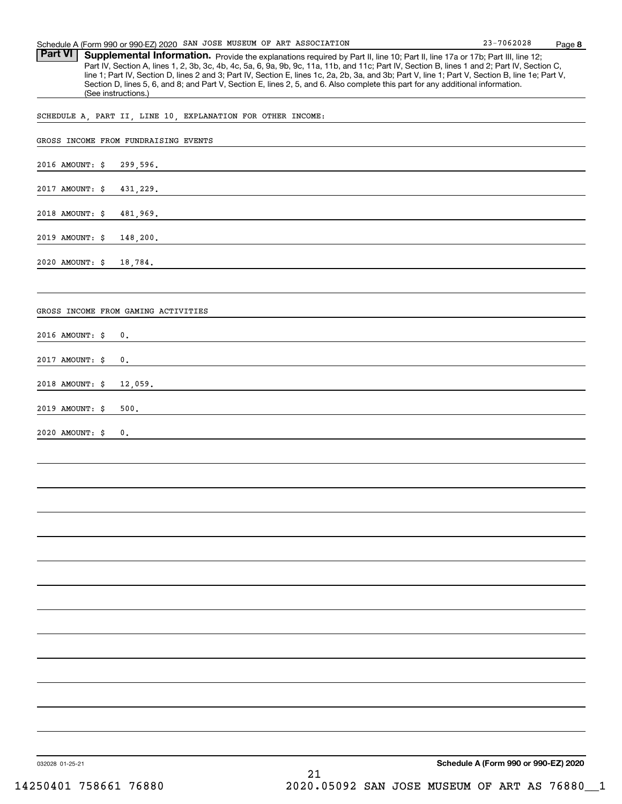| Schedule A (Form 990 or 990-EZ) 2020 SAN JOSE MUSEUM OF ART ASSOCIATION                                                                                                                                                                                                                                                                                                                                                                                                                                                                                                                | 23-7062028 | Page 8 |
|----------------------------------------------------------------------------------------------------------------------------------------------------------------------------------------------------------------------------------------------------------------------------------------------------------------------------------------------------------------------------------------------------------------------------------------------------------------------------------------------------------------------------------------------------------------------------------------|------------|--------|
| <b>Part VI</b><br>Supplemental Information. Provide the explanations required by Part II, line 10; Part II, line 17a or 17b; Part III, line 12;<br>Part IV, Section A, lines 1, 2, 3b, 3c, 4b, 4c, 5a, 6, 9a, 9b, 9c, 11a, 11b, and 11c; Part IV, Section B, lines 1 and 2; Part IV, Section C,<br>line 1; Part IV, Section D, lines 2 and 3; Part IV, Section E, lines 1c, 2a, 2b, 3a, and 3b; Part V, line 1; Part V, Section B, line 1e; Part V,<br>Section D, lines 5, 6, and 8; and Part V, Section E, lines 2, 5, and 6. Also complete this part for any additional information. |            |        |
| (See instructions.)                                                                                                                                                                                                                                                                                                                                                                                                                                                                                                                                                                    |            |        |
| SCHEDULE A, PART II, LINE 10, EXPLANATION FOR OTHER INCOME:                                                                                                                                                                                                                                                                                                                                                                                                                                                                                                                            |            |        |
| GROSS INCOME FROM FUNDRAISING EVENTS                                                                                                                                                                                                                                                                                                                                                                                                                                                                                                                                                   |            |        |
| 2016 AMOUNT: \$<br>299,596.                                                                                                                                                                                                                                                                                                                                                                                                                                                                                                                                                            |            |        |
| 2017 AMOUNT: \$<br>431,229.                                                                                                                                                                                                                                                                                                                                                                                                                                                                                                                                                            |            |        |
| 2018 AMOUNT: \$<br>481,969.                                                                                                                                                                                                                                                                                                                                                                                                                                                                                                                                                            |            |        |
| 2019 AMOUNT: \$<br>148,200.<br><u>and the state of the state of the state of the state of the state of the state of the state of the state of the state of the state of the state of the state of the state of the state of the state of the state of the state</u>                                                                                                                                                                                                                                                                                                                    |            |        |
| 2020 AMOUNT: \$<br>18,784.                                                                                                                                                                                                                                                                                                                                                                                                                                                                                                                                                             |            |        |
| GROSS INCOME FROM GAMING ACTIVITIES                                                                                                                                                                                                                                                                                                                                                                                                                                                                                                                                                    |            |        |
| 2016 AMOUNT: \$<br>0.                                                                                                                                                                                                                                                                                                                                                                                                                                                                                                                                                                  |            |        |
| 2017 AMOUNT: \$<br>0.                                                                                                                                                                                                                                                                                                                                                                                                                                                                                                                                                                  |            |        |
| 2018 AMOUNT: \$<br>12,059.                                                                                                                                                                                                                                                                                                                                                                                                                                                                                                                                                             |            |        |
| 2019 AMOUNT: \$<br>500.                                                                                                                                                                                                                                                                                                                                                                                                                                                                                                                                                                |            |        |
| 2020 AMOUNT: \$<br>$\mathbf 0$ .                                                                                                                                                                                                                                                                                                                                                                                                                                                                                                                                                       |            |        |
|                                                                                                                                                                                                                                                                                                                                                                                                                                                                                                                                                                                        |            |        |
|                                                                                                                                                                                                                                                                                                                                                                                                                                                                                                                                                                                        |            |        |
|                                                                                                                                                                                                                                                                                                                                                                                                                                                                                                                                                                                        |            |        |
|                                                                                                                                                                                                                                                                                                                                                                                                                                                                                                                                                                                        |            |        |
|                                                                                                                                                                                                                                                                                                                                                                                                                                                                                                                                                                                        |            |        |
|                                                                                                                                                                                                                                                                                                                                                                                                                                                                                                                                                                                        |            |        |
|                                                                                                                                                                                                                                                                                                                                                                                                                                                                                                                                                                                        |            |        |
|                                                                                                                                                                                                                                                                                                                                                                                                                                                                                                                                                                                        |            |        |
|                                                                                                                                                                                                                                                                                                                                                                                                                                                                                                                                                                                        |            |        |
|                                                                                                                                                                                                                                                                                                                                                                                                                                                                                                                                                                                        |            |        |
|                                                                                                                                                                                                                                                                                                                                                                                                                                                                                                                                                                                        |            |        |
|                                                                                                                                                                                                                                                                                                                                                                                                                                                                                                                                                                                        |            |        |
|                                                                                                                                                                                                                                                                                                                                                                                                                                                                                                                                                                                        |            |        |

032028 01-25-21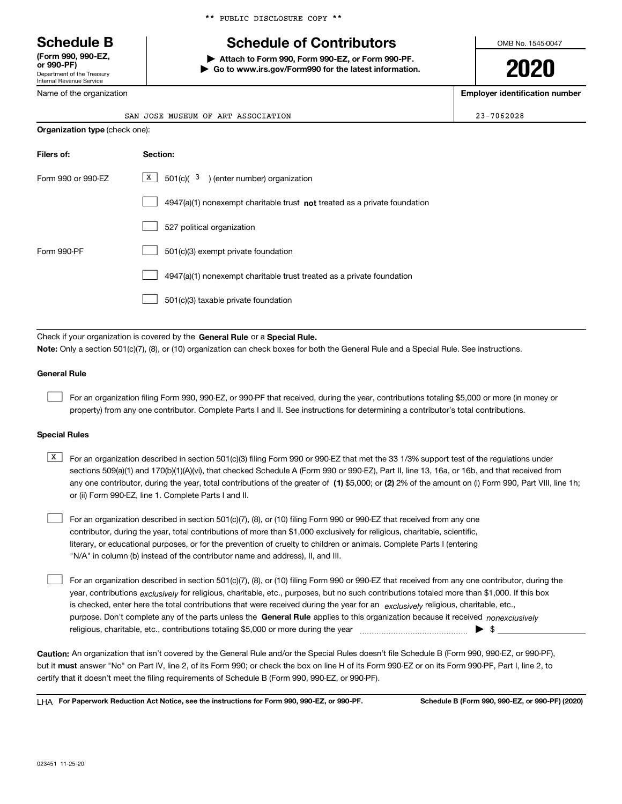# \*\* PUBLIC DISCLOSURE COPY \*\*

# **Schedule B Schedule of Contributors**

**| Attach to Form 990, Form 990-EZ, or Form 990-PF. | Go to www.irs.gov/Form990 for the latest information.** OMB No. 1545-0047

**2020**

**Employer identification number**

| ernal Revenue Service |  |
|-----------------------|--|
|                       |  |

Name of the organization

Department of the Treasury

**(Form 990, 990-EZ, or 990-PF)**

 $Inte$ 

| SAN JOSE MUSEUM OF ART<br>ASSOCIATION | $23 - 7062028$ |
|---------------------------------------|----------------|
| Organization type (check one):        |                |

| Filers of:         | Section:                                                                    |
|--------------------|-----------------------------------------------------------------------------|
| Form 990 or 990-EZ | $X$ 501(c)( 3) (enter number) organization                                  |
|                    | $4947(a)(1)$ nonexempt charitable trust not treated as a private foundation |
|                    | 527 political organization                                                  |
| Form 990-PF        | 501(c)(3) exempt private foundation                                         |
|                    | 4947(a)(1) nonexempt charitable trust treated as a private foundation       |
|                    | 501(c)(3) taxable private foundation                                        |

Check if your organization is covered by the **General Rule** or a **Special Rule. Note:**  Only a section 501(c)(7), (8), or (10) organization can check boxes for both the General Rule and a Special Rule. See instructions.

# **General Rule**

 $\mathcal{L}^{\text{max}}$ 

For an organization filing Form 990, 990-EZ, or 990-PF that received, during the year, contributions totaling \$5,000 or more (in money or property) from any one contributor. Complete Parts I and II. See instructions for determining a contributor's total contributions.

## **Special Rules**

any one contributor, during the year, total contributions of the greater of  $\,$  (1) \$5,000; or **(2)** 2% of the amount on (i) Form 990, Part VIII, line 1h;  $\overline{X}$  For an organization described in section 501(c)(3) filing Form 990 or 990-EZ that met the 33 1/3% support test of the regulations under sections 509(a)(1) and 170(b)(1)(A)(vi), that checked Schedule A (Form 990 or 990-EZ), Part II, line 13, 16a, or 16b, and that received from or (ii) Form 990-EZ, line 1. Complete Parts I and II.

For an organization described in section 501(c)(7), (8), or (10) filing Form 990 or 990-EZ that received from any one contributor, during the year, total contributions of more than \$1,000 exclusively for religious, charitable, scientific, literary, or educational purposes, or for the prevention of cruelty to children or animals. Complete Parts I (entering "N/A" in column (b) instead of the contributor name and address), II, and III.  $\mathcal{L}^{\text{max}}$ 

purpose. Don't complete any of the parts unless the **General Rule** applies to this organization because it received *nonexclusively* year, contributions <sub>exclusively</sub> for religious, charitable, etc., purposes, but no such contributions totaled more than \$1,000. If this box is checked, enter here the total contributions that were received during the year for an  $\;$ exclusively religious, charitable, etc., For an organization described in section 501(c)(7), (8), or (10) filing Form 990 or 990-EZ that received from any one contributor, during the religious, charitable, etc., contributions totaling \$5,000 or more during the year  $\Box$ — $\Box$   $\Box$  $\mathcal{L}^{\text{max}}$ 

**Caution:**  An organization that isn't covered by the General Rule and/or the Special Rules doesn't file Schedule B (Form 990, 990-EZ, or 990-PF),  **must** but it answer "No" on Part IV, line 2, of its Form 990; or check the box on line H of its Form 990-EZ or on its Form 990-PF, Part I, line 2, to certify that it doesn't meet the filing requirements of Schedule B (Form 990, 990-EZ, or 990-PF).

**For Paperwork Reduction Act Notice, see the instructions for Form 990, 990-EZ, or 990-PF. Schedule B (Form 990, 990-EZ, or 990-PF) (2020)** LHA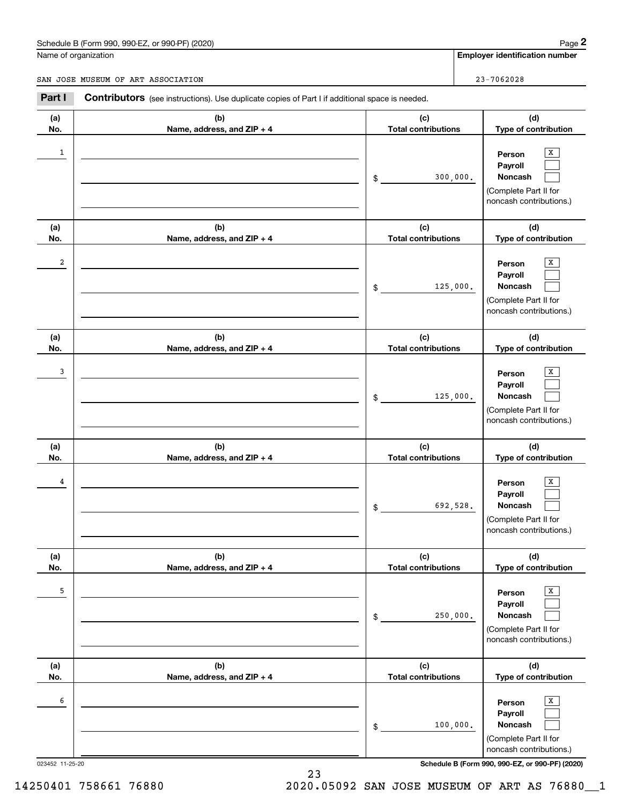# Schedule B (Form 990, 990-EZ, or 990-PF) (2020) Page 2

|              | Schedule B (Form 990, 990-EZ, or 990-PF) (2020)                                                       |                                   | Page 2                                                                                            |
|--------------|-------------------------------------------------------------------------------------------------------|-----------------------------------|---------------------------------------------------------------------------------------------------|
|              | Name of organization                                                                                  |                                   | <b>Employer identification number</b>                                                             |
|              | SAN JOSE MUSEUM OF ART ASSOCIATION                                                                    |                                   | 23-7062028                                                                                        |
| Part I       | <b>Contributors</b> (see instructions). Use duplicate copies of Part I if additional space is needed. |                                   |                                                                                                   |
| (a)<br>No.   | (b)<br>Name, address, and ZIP + 4                                                                     | (c)<br><b>Total contributions</b> | (d)<br>Type of contribution                                                                       |
| $\mathbf{1}$ |                                                                                                       | \$                                | X<br>Person<br>Payroll<br>300,000.<br>Noncash<br>(Complete Part II for<br>noncash contributions.) |
| (a)<br>No.   | (b)<br>Name, address, and ZIP + 4                                                                     | (c)<br><b>Total contributions</b> | (d)<br>Type of contribution                                                                       |
| 2            |                                                                                                       | \$                                | X<br>Person<br>Payroll<br>Noncash<br>125,000.<br>(Complete Part II for<br>noncash contributions.) |
| (a)<br>No.   | (b)<br>Name, address, and ZIP + 4                                                                     | (c)<br><b>Total contributions</b> | (d)<br>Type of contribution                                                                       |
| 3            |                                                                                                       | \$                                | X<br>Person<br>Payroll<br>Noncash<br>125,000.<br>(Complete Part II for<br>noncash contributions.) |
| (a)<br>No.   | (b)<br>Name, address, and ZIP + 4                                                                     | (c)<br><b>Total contributions</b> | (d)<br>Type of contribution                                                                       |
| 4            |                                                                                                       | \$                                | х<br>Person<br>Payroll<br>692,528.<br>Noncash<br>(Complete Part II for<br>noncash contributions.) |
| (a)<br>No.   | (b)<br>Name, address, and ZIP + 4                                                                     | (c)<br><b>Total contributions</b> | (d)<br>Type of contribution                                                                       |
| 5            |                                                                                                       | \$                                | X<br>Person<br>Payroll<br>Noncash<br>250,000.<br>(Complete Part II for<br>noncash contributions.) |
| (a)<br>No.   | (b)<br>Name, address, and ZIP + 4                                                                     | (c)<br><b>Total contributions</b> | (d)<br>Type of contribution                                                                       |
| 6            |                                                                                                       | \$                                | X<br>Person<br>Payroll<br>Noncash<br>100,000.<br>(Complete Part II for<br>noncash contributions.) |

023452 11-25-20 **Schedule B (Form 990, 990-EZ, or 990-PF) (2020)**

14250401 758661 76880 2020.05092 SAN JOSE MUSEUM OF ART AS 76880\_\_1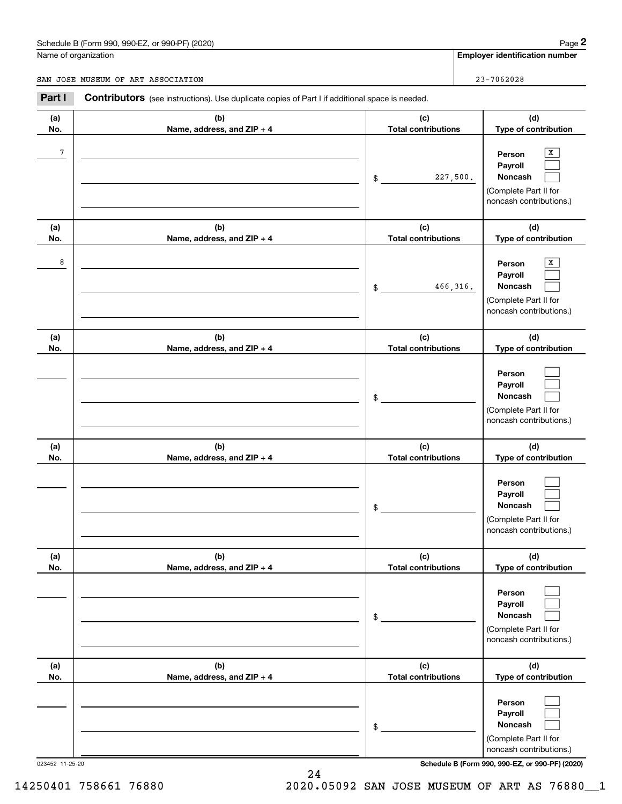# Schedule B (Form 990, 990-EZ, or 990-PF) (2020) Page 2

|                | Schedule B (Form 990, 990-EZ, or 990-PF) (2020)                                                       |                                   | Page 2                                                                                |
|----------------|-------------------------------------------------------------------------------------------------------|-----------------------------------|---------------------------------------------------------------------------------------|
|                | Name of organization                                                                                  |                                   | <b>Employer identification number</b>                                                 |
|                | SAN JOSE MUSEUM OF ART ASSOCIATION                                                                    |                                   | 23-7062028                                                                            |
| Part I         | <b>Contributors</b> (see instructions). Use duplicate copies of Part I if additional space is needed. |                                   |                                                                                       |
| (a)<br>No.     | (b)<br>Name, address, and ZIP + 4                                                                     | (c)<br><b>Total contributions</b> | (d)<br>Type of contribution                                                           |
| $\overline{7}$ |                                                                                                       | 227,500.<br>\$                    | X<br>Person<br>Payroll<br>Noncash<br>(Complete Part II for<br>noncash contributions.) |
| (a)<br>No.     | (b)<br>Name, address, and ZIP + 4                                                                     | (c)<br><b>Total contributions</b> | (d)<br>Type of contribution                                                           |
| 8              |                                                                                                       | 466,316.<br>\$                    | х<br>Person<br>Payroll<br>Noncash<br>(Complete Part II for<br>noncash contributions.) |
| (a)<br>No.     | (b)<br>Name, address, and ZIP + 4                                                                     | (c)<br><b>Total contributions</b> | (d)<br>Type of contribution                                                           |
|                |                                                                                                       | \$                                | Person<br>Payroll<br>Noncash<br>(Complete Part II for<br>noncash contributions.)      |
| (a)<br>No.     | (b)<br>Name, address, and ZIP + 4                                                                     | (c)<br><b>Total contributions</b> | (d)<br>Type of contribution                                                           |
|                |                                                                                                       | \$                                | Person<br>Payroll<br>Noncash<br>(Complete Part II for<br>noncash contributions.)      |
| (a)<br>No.     | (b)<br>Name, address, and ZIP + 4                                                                     | (c)<br><b>Total contributions</b> | (d)<br>Type of contribution                                                           |
|                |                                                                                                       | \$                                | Person<br>Payroll<br>Noncash<br>(Complete Part II for<br>noncash contributions.)      |
| (a)<br>No.     | (b)<br>Name, address, and ZIP + 4                                                                     | (c)<br><b>Total contributions</b> | (d)<br>Type of contribution                                                           |
|                |                                                                                                       | \$                                | Person<br>Payroll<br>Noncash<br>(Complete Part II for<br>noncash contributions.)      |

023452 11-25-20 **Schedule B (Form 990, 990-EZ, or 990-PF) (2020)**

14250401 758661 76880 2020.05092 SAN JOSE MUSEUM OF ART AS 76880\_\_1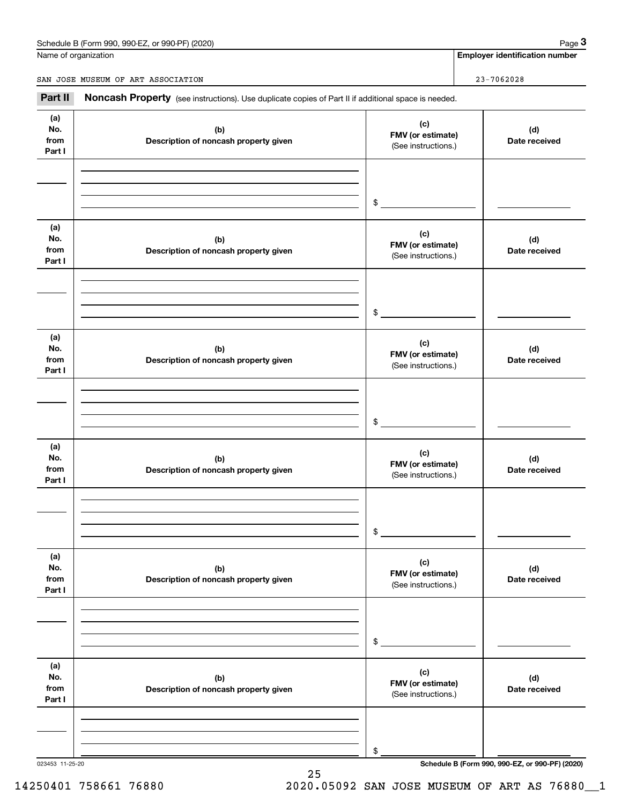# Schedule B (Form 990, 990-EZ, or 990-PF) (2020) Page 3

Name of organization

**Employer identification number**

SAN JOSE MUSEUM OF ART ASSOCIATION **23-7062028** 

Chedule B (Form 990, 990-EZ, or 990-PF) (2020)<br> **23-7062028**<br> **23-7062028**<br> **23-7062028**<br> **23-7062028**<br> **23-7062028**<br> **23-7062028** 

| (a)<br>No.<br>from<br>Part I | (b)<br>Description of noncash property given | (c)<br>FMV (or estimate)<br>(See instructions.) | (d)<br>Date received |
|------------------------------|----------------------------------------------|-------------------------------------------------|----------------------|
|                              |                                              | \$                                              |                      |
| (a)<br>No.<br>from<br>Part I | (b)<br>Description of noncash property given | (c)<br>FMV (or estimate)<br>(See instructions.) | (d)<br>Date received |
|                              |                                              | \$                                              |                      |
| (a)<br>No.<br>from<br>Part I | (b)<br>Description of noncash property given | (c)<br>FMV (or estimate)<br>(See instructions.) | (d)<br>Date received |
|                              |                                              | \$                                              |                      |
| (a)<br>No.<br>from<br>Part I | (b)<br>Description of noncash property given | (c)<br>FMV (or estimate)<br>(See instructions.) | (d)<br>Date received |
|                              |                                              | \$                                              |                      |
| (a)<br>No.<br>from<br>Part I | (b)<br>Description of noncash property given | (c)<br>FMV (or estimate)<br>(See instructions.) | (d)<br>Date received |
|                              |                                              | \$                                              |                      |
| (a)<br>No.<br>from<br>Part I | (b)<br>Description of noncash property given | (c)<br>FMV (or estimate)<br>(See instructions.) | (d)<br>Date received |
|                              |                                              | \$                                              |                      |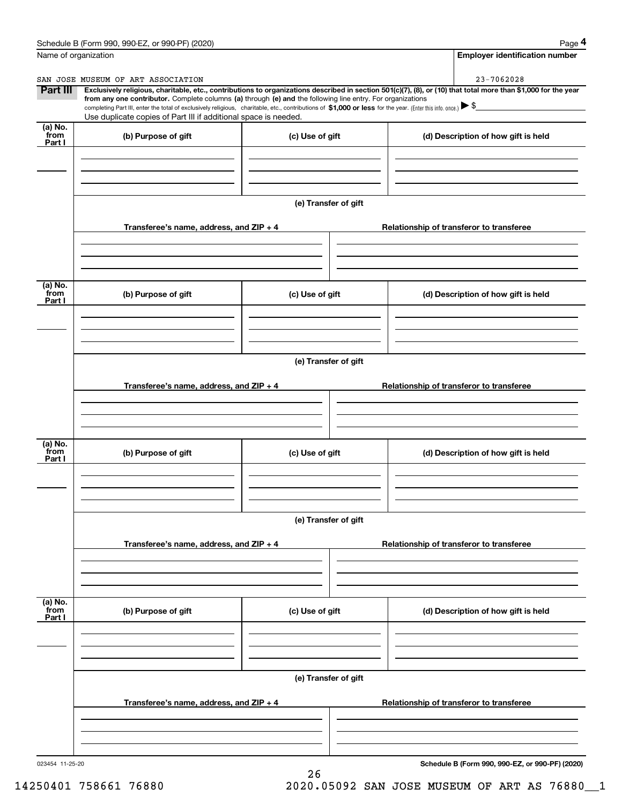|                           | Schedule B (Form 990, 990-EZ, or 990-PF) (2020)                                                                                                                                                                                                                            |                      | Page 4                                                                                                                                                         |
|---------------------------|----------------------------------------------------------------------------------------------------------------------------------------------------------------------------------------------------------------------------------------------------------------------------|----------------------|----------------------------------------------------------------------------------------------------------------------------------------------------------------|
| Name of organization      |                                                                                                                                                                                                                                                                            |                      | <b>Employer identification number</b>                                                                                                                          |
|                           | SAN JOSE MUSEUM OF ART ASSOCIATION                                                                                                                                                                                                                                         |                      | 23-7062028                                                                                                                                                     |
| Part III                  | from any one contributor. Complete columns (a) through (e) and the following line entry. For organizations<br>completing Part III, enter the total of exclusively religious, charitable, etc., contributions of \$1,000 or less for the year. (Enter this info. once.) \\$ |                      | Exclusively religious, charitable, etc., contributions to organizations described in section 501(c)(7), (8), or (10) that total more than \$1,000 for the year |
| $(a)$ No.                 | Use duplicate copies of Part III if additional space is needed.                                                                                                                                                                                                            |                      |                                                                                                                                                                |
| from<br>Part I            | (b) Purpose of gift                                                                                                                                                                                                                                                        | (c) Use of gift      | (d) Description of how gift is held                                                                                                                            |
|                           |                                                                                                                                                                                                                                                                            |                      |                                                                                                                                                                |
|                           | Transferee's name, address, and ZIP + 4                                                                                                                                                                                                                                    | (e) Transfer of gift | Relationship of transferor to transferee                                                                                                                       |
|                           |                                                                                                                                                                                                                                                                            |                      |                                                                                                                                                                |
| (a) No.<br>from<br>Part I | (b) Purpose of gift                                                                                                                                                                                                                                                        | (c) Use of gift      | (d) Description of how gift is held                                                                                                                            |
|                           |                                                                                                                                                                                                                                                                            |                      |                                                                                                                                                                |
|                           |                                                                                                                                                                                                                                                                            | (e) Transfer of gift |                                                                                                                                                                |
|                           | Transferee's name, address, and ZIP + 4                                                                                                                                                                                                                                    |                      | Relationship of transferor to transferee                                                                                                                       |
| (a) No.                   |                                                                                                                                                                                                                                                                            |                      |                                                                                                                                                                |
| from<br>Part I            | (b) Purpose of gift                                                                                                                                                                                                                                                        | (c) Use of gift      | (d) Description of how gift is held                                                                                                                            |
|                           |                                                                                                                                                                                                                                                                            | (e) Transfer of gift |                                                                                                                                                                |
|                           | Transferee's name, address, and ZIP + 4                                                                                                                                                                                                                                    |                      | Relationship of transferor to transferee                                                                                                                       |
|                           |                                                                                                                                                                                                                                                                            |                      |                                                                                                                                                                |
| (a) No.<br>from<br>Part I | (b) Purpose of gift                                                                                                                                                                                                                                                        | (c) Use of gift      | (d) Description of how gift is held                                                                                                                            |
|                           |                                                                                                                                                                                                                                                                            |                      |                                                                                                                                                                |
|                           | Transferee's name, address, and $ZIP + 4$                                                                                                                                                                                                                                  | (e) Transfer of gift | Relationship of transferor to transferee                                                                                                                       |
|                           |                                                                                                                                                                                                                                                                            |                      |                                                                                                                                                                |
|                           |                                                                                                                                                                                                                                                                            |                      |                                                                                                                                                                |

26

023454 11-25-20

**Schedule B (Form 990, 990-EZ, or 990-PF) (2020)**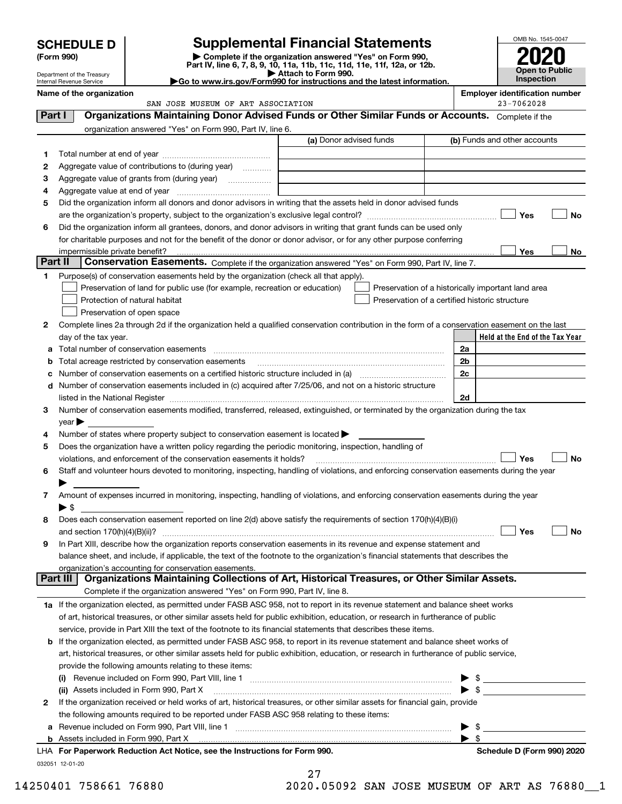|                                                                                                                               | <b>Supplemental Financial Statements</b><br><b>SCHEDULE D</b> |                                                                                                                                                                                                                                |  |                                                    |                       | OMB No. 1545-0047                                   |
|-------------------------------------------------------------------------------------------------------------------------------|---------------------------------------------------------------|--------------------------------------------------------------------------------------------------------------------------------------------------------------------------------------------------------------------------------|--|----------------------------------------------------|-----------------------|-----------------------------------------------------|
| Complete if the organization answered "Yes" on Form 990,<br>(Form 990)                                                        |                                                               |                                                                                                                                                                                                                                |  |                                                    |                       |                                                     |
| Part IV, line 6, 7, 8, 9, 10, 11a, 11b, 11c, 11d, 11e, 11f, 12a, or 12b.<br>Attach to Form 990.<br>Department of the Treasury |                                                               |                                                                                                                                                                                                                                |  |                                                    | <b>Open to Public</b> |                                                     |
| Go to www.irs.gov/Form990 for instructions and the latest information.<br>Internal Revenue Service                            |                                                               |                                                                                                                                                                                                                                |  |                                                    |                       | Inspection                                          |
|                                                                                                                               | Name of the organization                                      | SAN JOSE MUSEUM OF ART ASSOCIATION                                                                                                                                                                                             |  |                                                    |                       | <b>Employer identification number</b><br>23-7062028 |
| Part I                                                                                                                        |                                                               | Organizations Maintaining Donor Advised Funds or Other Similar Funds or Accounts. Complete if the                                                                                                                              |  |                                                    |                       |                                                     |
|                                                                                                                               |                                                               | organization answered "Yes" on Form 990, Part IV, line 6.                                                                                                                                                                      |  |                                                    |                       |                                                     |
|                                                                                                                               |                                                               |                                                                                                                                                                                                                                |  | (a) Donor advised funds                            |                       | (b) Funds and other accounts                        |
| 1                                                                                                                             |                                                               |                                                                                                                                                                                                                                |  |                                                    |                       |                                                     |
| 2                                                                                                                             |                                                               | Aggregate value of contributions to (during year)                                                                                                                                                                              |  |                                                    |                       |                                                     |
| 3                                                                                                                             |                                                               |                                                                                                                                                                                                                                |  |                                                    |                       |                                                     |
| 4                                                                                                                             |                                                               |                                                                                                                                                                                                                                |  |                                                    |                       |                                                     |
| 5                                                                                                                             |                                                               | Did the organization inform all donors and donor advisors in writing that the assets held in donor advised funds                                                                                                               |  |                                                    |                       |                                                     |
|                                                                                                                               |                                                               |                                                                                                                                                                                                                                |  |                                                    |                       | Yes<br><b>No</b>                                    |
| 6                                                                                                                             |                                                               | Did the organization inform all grantees, donors, and donor advisors in writing that grant funds can be used only                                                                                                              |  |                                                    |                       |                                                     |
|                                                                                                                               |                                                               | for charitable purposes and not for the benefit of the donor or donor advisor, or for any other purpose conferring                                                                                                             |  |                                                    |                       |                                                     |
| Part II                                                                                                                       |                                                               |                                                                                                                                                                                                                                |  |                                                    |                       | Yes<br>No                                           |
|                                                                                                                               |                                                               | Conservation Easements. Complete if the organization answered "Yes" on Form 990, Part IV, line 7.                                                                                                                              |  |                                                    |                       |                                                     |
| 1                                                                                                                             |                                                               | Purpose(s) of conservation easements held by the organization (check all that apply).<br>Preservation of land for public use (for example, recreation or education)                                                            |  | Preservation of a historically important land area |                       |                                                     |
|                                                                                                                               |                                                               | Protection of natural habitat                                                                                                                                                                                                  |  | Preservation of a certified historic structure     |                       |                                                     |
|                                                                                                                               |                                                               | Preservation of open space                                                                                                                                                                                                     |  |                                                    |                       |                                                     |
| 2                                                                                                                             |                                                               | Complete lines 2a through 2d if the organization held a qualified conservation contribution in the form of a conservation easement on the last                                                                                 |  |                                                    |                       |                                                     |
|                                                                                                                               | day of the tax year.                                          |                                                                                                                                                                                                                                |  |                                                    |                       | Held at the End of the Tax Year                     |
| а                                                                                                                             |                                                               | Total number of conservation easements                                                                                                                                                                                         |  |                                                    | 2a                    |                                                     |
| b                                                                                                                             |                                                               | Total acreage restricted by conservation easements                                                                                                                                                                             |  |                                                    | 2 <sub>b</sub>        |                                                     |
|                                                                                                                               |                                                               | Number of conservation easements on a certified historic structure included in (a) manufacture included in (a)                                                                                                                 |  |                                                    | 2c                    |                                                     |
| d                                                                                                                             |                                                               | Number of conservation easements included in (c) acquired after 7/25/06, and not on a historic structure                                                                                                                       |  |                                                    |                       |                                                     |
|                                                                                                                               |                                                               | listed in the National Register [1,1,2000] [1,2000] [1,2000] [1,2000] [1,2000] [1,2000] [1,2000] [1,2000] [1,2000] [1,2000] [1,2000] [1,2000] [1,2000] [1,2000] [1,2000] [1,2000] [1,2000] [1,2000] [1,2000] [1,2000] [1,2000] |  |                                                    | 2d                    |                                                     |
| 3                                                                                                                             |                                                               | Number of conservation easements modified, transferred, released, extinguished, or terminated by the organization during the tax                                                                                               |  |                                                    |                       |                                                     |
|                                                                                                                               | $year \blacktriangleright$                                    |                                                                                                                                                                                                                                |  |                                                    |                       |                                                     |
| 4                                                                                                                             |                                                               | Number of states where property subject to conservation easement is located $\blacktriangleright$                                                                                                                              |  |                                                    |                       |                                                     |
| 5                                                                                                                             |                                                               | Does the organization have a written policy regarding the periodic monitoring, inspection, handling of                                                                                                                         |  |                                                    |                       |                                                     |
|                                                                                                                               |                                                               | violations, and enforcement of the conservation easements it holds?                                                                                                                                                            |  |                                                    |                       | Yes<br><b>No</b>                                    |
| 6                                                                                                                             |                                                               | Staff and volunteer hours devoted to monitoring, inspecting, handling of violations, and enforcing conservation easements during the year                                                                                      |  |                                                    |                       |                                                     |
|                                                                                                                               |                                                               |                                                                                                                                                                                                                                |  |                                                    |                       |                                                     |
| 7                                                                                                                             | $\blacktriangleright$ \$                                      | Amount of expenses incurred in monitoring, inspecting, handling of violations, and enforcing conservation easements during the year                                                                                            |  |                                                    |                       |                                                     |
| 8                                                                                                                             |                                                               | Does each conservation easement reported on line 2(d) above satisfy the requirements of section 170(h)(4)(B)(i)                                                                                                                |  |                                                    |                       |                                                     |
|                                                                                                                               |                                                               |                                                                                                                                                                                                                                |  |                                                    |                       | Yes<br>No                                           |
| 9                                                                                                                             |                                                               | In Part XIII, describe how the organization reports conservation easements in its revenue and expense statement and                                                                                                            |  |                                                    |                       |                                                     |
|                                                                                                                               |                                                               | balance sheet, and include, if applicable, the text of the footnote to the organization's financial statements that describes the                                                                                              |  |                                                    |                       |                                                     |
|                                                                                                                               |                                                               | organization's accounting for conservation easements.                                                                                                                                                                          |  |                                                    |                       |                                                     |
|                                                                                                                               | Part III                                                      | Organizations Maintaining Collections of Art, Historical Treasures, or Other Similar Assets.                                                                                                                                   |  |                                                    |                       |                                                     |
|                                                                                                                               |                                                               | Complete if the organization answered "Yes" on Form 990, Part IV, line 8.                                                                                                                                                      |  |                                                    |                       |                                                     |
|                                                                                                                               |                                                               | 1a If the organization elected, as permitted under FASB ASC 958, not to report in its revenue statement and balance sheet works                                                                                                |  |                                                    |                       |                                                     |
|                                                                                                                               |                                                               | of art, historical treasures, or other similar assets held for public exhibition, education, or research in furtherance of public                                                                                              |  |                                                    |                       |                                                     |
|                                                                                                                               |                                                               | service, provide in Part XIII the text of the footnote to its financial statements that describes these items.                                                                                                                 |  |                                                    |                       |                                                     |
| b                                                                                                                             |                                                               | If the organization elected, as permitted under FASB ASC 958, to report in its revenue statement and balance sheet works of                                                                                                    |  |                                                    |                       |                                                     |
|                                                                                                                               |                                                               | art, historical treasures, or other similar assets held for public exhibition, education, or research in furtherance of public service,                                                                                        |  |                                                    |                       |                                                     |
|                                                                                                                               |                                                               | provide the following amounts relating to these items:                                                                                                                                                                         |  |                                                    |                       |                                                     |
|                                                                                                                               |                                                               |                                                                                                                                                                                                                                |  |                                                    |                       |                                                     |
| 2                                                                                                                             |                                                               | (ii) Assets included in Form 990, Part X<br>If the organization received or held works of art, historical treasures, or other similar assets for financial gain, provide                                                       |  |                                                    |                       |                                                     |
|                                                                                                                               |                                                               | the following amounts required to be reported under FASB ASC 958 relating to these items:                                                                                                                                      |  |                                                    |                       |                                                     |
|                                                                                                                               |                                                               |                                                                                                                                                                                                                                |  |                                                    | ▶ \$                  |                                                     |

**b** Assets included in Form 990, Part X

032051 12-01-20 **For Paperwork Reduction Act Notice, see the Instructions for Form 990. Schedule D (Form 990) 2020** LHA

27

14250401 758661 76880 2020.05092 SAN JOSE MUSEUM OF ART AS 76880\_\_1

 $\blacktriangleright$  \$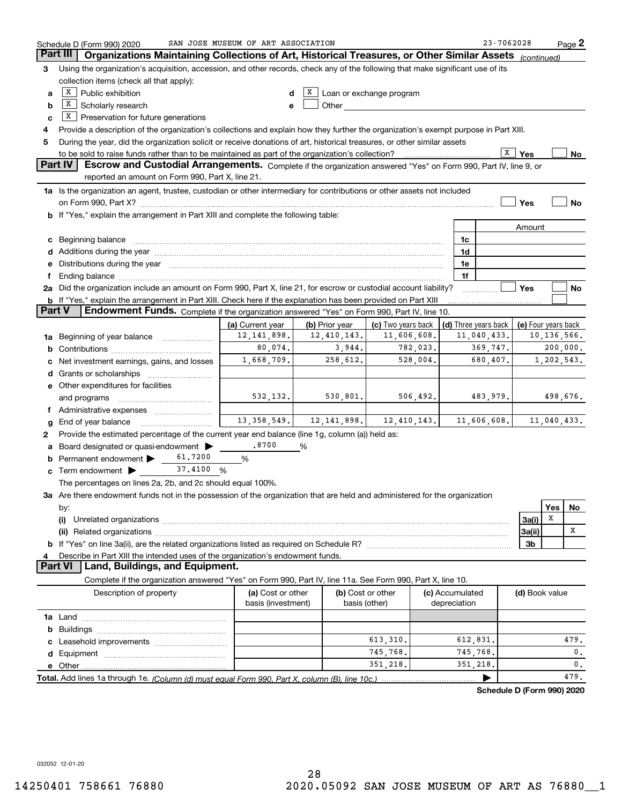|               | Schedule D (Form 990) 2020                                                                                                                                                                                                                                    | SAN JOSE MUSEUM OF ART ASSOCIATION |                             |                    |                 | 23-7062028                                 |                |             | Page 2 |
|---------------|---------------------------------------------------------------------------------------------------------------------------------------------------------------------------------------------------------------------------------------------------------------|------------------------------------|-----------------------------|--------------------|-----------------|--------------------------------------------|----------------|-------------|--------|
|               | Part III<br>Organizations Maintaining Collections of Art, Historical Treasures, or Other Similar Assets (continued)                                                                                                                                           |                                    |                             |                    |                 |                                            |                |             |        |
| 3             | Using the organization's acquisition, accession, and other records, check any of the following that make significant use of its                                                                                                                               |                                    |                             |                    |                 |                                            |                |             |        |
|               | collection items (check all that apply):                                                                                                                                                                                                                      |                                    |                             |                    |                 |                                            |                |             |        |
| a             | $X$ Public exhibition<br>$X$ Loan or exchange program                                                                                                                                                                                                         |                                    |                             |                    |                 |                                            |                |             |        |
| b             | $X$ Scholarly research<br>Other and the control of the control of the control of the control of the control of the control of the control of the control of the control of the control of the control of the control of the control of the control of th<br>e |                                    |                             |                    |                 |                                            |                |             |        |
| c             | $X$ Preservation for future generations                                                                                                                                                                                                                       |                                    |                             |                    |                 |                                            |                |             |        |
| 4             | Provide a description of the organization's collections and explain how they further the organization's exempt purpose in Part XIII.                                                                                                                          |                                    |                             |                    |                 |                                            |                |             |        |
| 5             | During the year, did the organization solicit or receive donations of art, historical treasures, or other similar assets                                                                                                                                      |                                    |                             |                    |                 |                                            |                |             |        |
|               |                                                                                                                                                                                                                                                               |                                    |                             |                    |                 | X                                          | Yes            |             | No     |
|               | <b>Part IV</b><br>Escrow and Custodial Arrangements. Complete if the organization answered "Yes" on Form 990, Part IV, line 9, or                                                                                                                             |                                    |                             |                    |                 |                                            |                |             |        |
|               | reported an amount on Form 990, Part X, line 21.                                                                                                                                                                                                              |                                    |                             |                    |                 |                                            |                |             |        |
|               | 1a Is the organization an agent, trustee, custodian or other intermediary for contributions or other assets not included                                                                                                                                      |                                    |                             |                    |                 |                                            |                |             |        |
|               | on Form 990, Part X? [11] matter and the contract of the contract of the contract of the contract of the contract of the contract of the contract of the contract of the contract of the contract of the contract of the contr                                |                                    |                             |                    |                 |                                            | Yes            |             | No     |
|               | b If "Yes," explain the arrangement in Part XIII and complete the following table:                                                                                                                                                                            |                                    |                             |                    |                 |                                            |                |             |        |
|               |                                                                                                                                                                                                                                                               |                                    |                             |                    |                 |                                            | Amount         |             |        |
|               |                                                                                                                                                                                                                                                               |                                    |                             |                    | 1c              |                                            |                |             |        |
|               | c Beginning balance measurements and the contract of the contract of the contract of the contract of the contract of the contract of the contract of the contract of the contract of the contract of the contract of the contr                                |                                    |                             |                    | 1d              |                                            |                |             |        |
|               | d Additions during the year measurement contains and a state of the year measurement of the year measurement of                                                                                                                                               |                                    |                             |                    |                 |                                            |                |             |        |
|               | e Distributions during the year manufactured and contained and contained and contained and contained and contained and contained and contained and contained and contained and contained and contained and contained and conta                                |                                    |                             |                    | 1e<br>1f        |                                            |                |             |        |
|               | 2a Did the organization include an amount on Form 990, Part X, line 21, for escrow or custodial account liability?                                                                                                                                            |                                    |                             |                    |                 |                                            | <b>Yes</b>     |             |        |
|               |                                                                                                                                                                                                                                                               |                                    |                             |                    |                 |                                            |                |             | No     |
| <b>Part V</b> | b If "Yes," explain the arrangement in Part XIII. Check here if the explanation has been provided on Part XIII<br>Endowment Funds. Complete if the organization answered "Yes" on Form 990, Part IV, line 10.                                                 |                                    |                             |                    |                 |                                            |                |             |        |
|               |                                                                                                                                                                                                                                                               |                                    |                             |                    |                 |                                            |                |             |        |
|               |                                                                                                                                                                                                                                                               | (a) Current year                   | (b) Prior year              | (c) Two years back |                 | (d) Three years back   (e) Four years back |                |             |        |
|               | <b>1a</b> Beginning of year balance <i>manument</i>                                                                                                                                                                                                           | 12, 141, 898.                      | 12,410,143.                 | 11,606,608.        |                 | 11,040,433.                                |                | 10,136,566. |        |
| b             |                                                                                                                                                                                                                                                               | 80,074.                            | 3,944.                      | 782,023.           |                 | 369,747.                                   |                | 200,000.    |        |
| c             | Net investment earnings, gains, and losses                                                                                                                                                                                                                    | 1,668,709.                         | 258,612.                    | 528,004.           |                 | 680,407.                                   |                | 1,202,543.  |        |
|               |                                                                                                                                                                                                                                                               |                                    |                             |                    |                 |                                            |                |             |        |
|               | e Other expenditures for facilities                                                                                                                                                                                                                           |                                    |                             |                    |                 |                                            |                |             |        |
|               | 498,676.<br>532, 132.<br>530, 801.<br>506, 492.<br>483,979.<br>and programs                                                                                                                                                                                   |                                    |                             |                    |                 |                                            |                |             |        |
|               | f Administrative expenses                                                                                                                                                                                                                                     |                                    |                             |                    |                 |                                            |                |             |        |
| g             | End of year balance                                                                                                                                                                                                                                           |                                    | $13,358,549.$ 12, 141, 898. | 12,410,143.        |                 | 11,606,608.                                |                | 11,040,433. |        |
| 2             | Provide the estimated percentage of the current year end balance (line 1g, column (a)) held as:                                                                                                                                                               |                                    |                             |                    |                 |                                            |                |             |        |
|               | a Board designated or quasi-endowment >                                                                                                                                                                                                                       | .8700                              | %                           |                    |                 |                                            |                |             |        |
| b             | 61.7200<br>Permanent endowment $\blacktriangleright$                                                                                                                                                                                                          | %                                  |                             |                    |                 |                                            |                |             |        |
|               | 37.4100 %<br>c Term endowment $\blacktriangleright$                                                                                                                                                                                                           |                                    |                             |                    |                 |                                            |                |             |        |
|               | The percentages on lines 2a, 2b, and 2c should equal 100%.                                                                                                                                                                                                    |                                    |                             |                    |                 |                                            |                |             |        |
|               | 3a Are there endowment funds not in the possession of the organization that are held and administered for the organization                                                                                                                                    |                                    |                             |                    |                 |                                            |                |             |        |
|               | by:                                                                                                                                                                                                                                                           |                                    |                             |                    |                 |                                            |                | Yes         | No.    |
|               | (i)                                                                                                                                                                                                                                                           |                                    |                             |                    |                 |                                            | 3a(i)          | X           |        |
|               |                                                                                                                                                                                                                                                               |                                    |                             |                    |                 |                                            | 3a(ii)         |             | х      |
|               |                                                                                                                                                                                                                                                               |                                    |                             |                    |                 |                                            | 3b             |             |        |
|               | Describe in Part XIII the intended uses of the organization's endowment funds.                                                                                                                                                                                |                                    |                             |                    |                 |                                            |                |             |        |
|               | Land, Buildings, and Equipment.<br><b>Part VI</b>                                                                                                                                                                                                             |                                    |                             |                    |                 |                                            |                |             |        |
|               | Complete if the organization answered "Yes" on Form 990, Part IV, line 11a. See Form 990, Part X, line 10.                                                                                                                                                    |                                    |                             |                    |                 |                                            |                |             |        |
|               | Description of property                                                                                                                                                                                                                                       | (a) Cost or other                  |                             | (b) Cost or other  | (c) Accumulated |                                            | (d) Book value |             |        |
|               |                                                                                                                                                                                                                                                               | basis (investment)                 |                             | basis (other)      | depreciation    |                                            |                |             |        |
|               |                                                                                                                                                                                                                                                               |                                    |                             |                    |                 |                                            |                |             |        |
|               |                                                                                                                                                                                                                                                               |                                    |                             |                    |                 |                                            |                |             |        |
|               |                                                                                                                                                                                                                                                               |                                    |                             | 613,310.           |                 | 612,831.                                   |                |             | 479.   |
|               |                                                                                                                                                                                                                                                               |                                    |                             | 745,768.           |                 | 745,768.                                   |                |             | 0.     |
|               |                                                                                                                                                                                                                                                               |                                    |                             | 351,218.           |                 | 351.218.                                   |                |             | 0.     |
|               | Total. Add lines 1a through 1e. (Column (d) must equal Form 990. Part X, column (B), line 10c.)                                                                                                                                                               |                                    |                             |                    |                 |                                            |                |             | 479.   |
|               |                                                                                                                                                                                                                                                               |                                    |                             |                    |                 | Schedule D (Form 990) 2020                 |                |             |        |
|               |                                                                                                                                                                                                                                                               |                                    |                             |                    |                 |                                            |                |             |        |

032052 12-01-20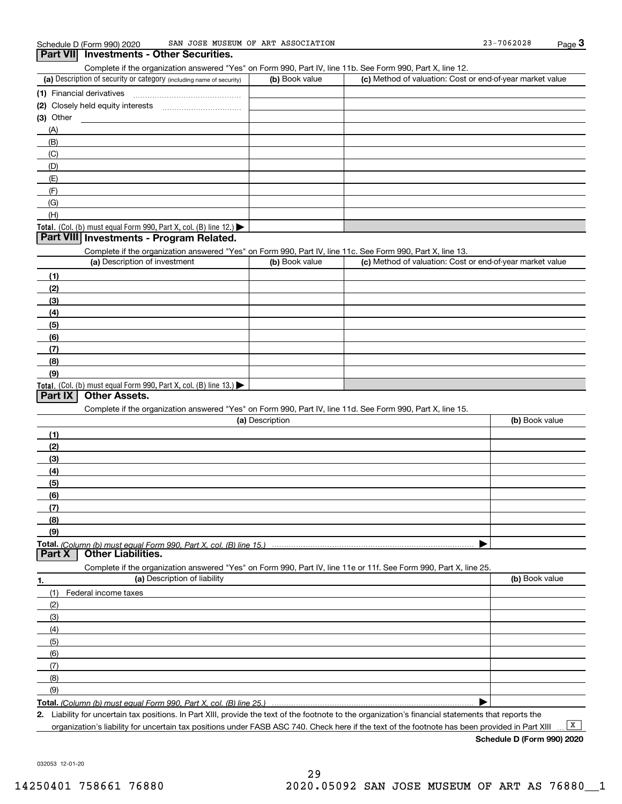Complete if the organization answered "Yes" on Form 990, Part IV, line 11b. See Form 990, Part X, line 12.

| (a) Description of security or category (including name of security)                          | (b) Book value | (c) Method of valuation: Cost or end-of-year market value |
|-----------------------------------------------------------------------------------------------|----------------|-----------------------------------------------------------|
| (1) Financial derivatives                                                                     |                |                                                           |
| (2) Closely held equity interests                                                             |                |                                                           |
| $(3)$ Other                                                                                   |                |                                                           |
| (A)                                                                                           |                |                                                           |
| (B)                                                                                           |                |                                                           |
| (C)                                                                                           |                |                                                           |
| (D)                                                                                           |                |                                                           |
| (E)                                                                                           |                |                                                           |
| (F)                                                                                           |                |                                                           |
| (G)                                                                                           |                |                                                           |
| (H)                                                                                           |                |                                                           |
| <b>Total.</b> (Col. (b) must equal Form 990, Part X, col. (B) line 12.) $\blacktriangleright$ |                |                                                           |

# **Part VIII Investments - Program Related.**

Complete if the organization answered "Yes" on Form 990, Part IV, line 11c. See Form 990, Part X, line 13.

| (a) Description of investment                                       | (b) Book value | (c) Method of valuation: Cost or end-of-year market value |
|---------------------------------------------------------------------|----------------|-----------------------------------------------------------|
| (1)                                                                 |                |                                                           |
| (2)                                                                 |                |                                                           |
| $\frac{1}{2}$                                                       |                |                                                           |
| (4)                                                                 |                |                                                           |
| (5)                                                                 |                |                                                           |
| (6)                                                                 |                |                                                           |
| (7)                                                                 |                |                                                           |
| (8)                                                                 |                |                                                           |
| (9)                                                                 |                |                                                           |
| Total. (Col. (b) must equal Form 990, Part X, col. (B) line $13.$ ) |                |                                                           |

# **Part IX Other Assets.**

Complete if the organization answered "Yes" on Form 990, Part IV, line 11d. See Form 990, Part X, line 15.

| (a) Description                                                                                                   | (b) Book value |
|-------------------------------------------------------------------------------------------------------------------|----------------|
| (1)                                                                                                               |                |
| (2)                                                                                                               |                |
| $\frac{1}{2}$                                                                                                     |                |
| (4)                                                                                                               |                |
| (5)                                                                                                               |                |
| (6)                                                                                                               |                |
| (7)                                                                                                               |                |
| (8)                                                                                                               |                |
| (9)                                                                                                               |                |
|                                                                                                                   |                |
| <b>Other Liabilities.</b><br>Part X                                                                               |                |
| Complete if the organization answered "Yes" on Form 990, Part IV, line 11e or 11f. See Form 990, Part X, line 25. |                |

**1. (a)** Description of liability **Book value** Book value Book value Book value Book value (1)Federal income taxes (2)(3)(4)(5) (6)(7)(8)(9) $\blacktriangleright$ 

**Total.**  *(Column (b) must equal Form 990, Part X, col. (B) line 25.)* 

**2.**Liability for uncertain tax positions. In Part XIII, provide the text of the footnote to the organization's financial statements that reports the organization's liability for uncertain tax positions under FASB ASC 740. Check here if the text of the footnote has been provided in Part XIII

 $\boxed{\mathbf{X}}$ 

**Schedule D (Form 990) 2020**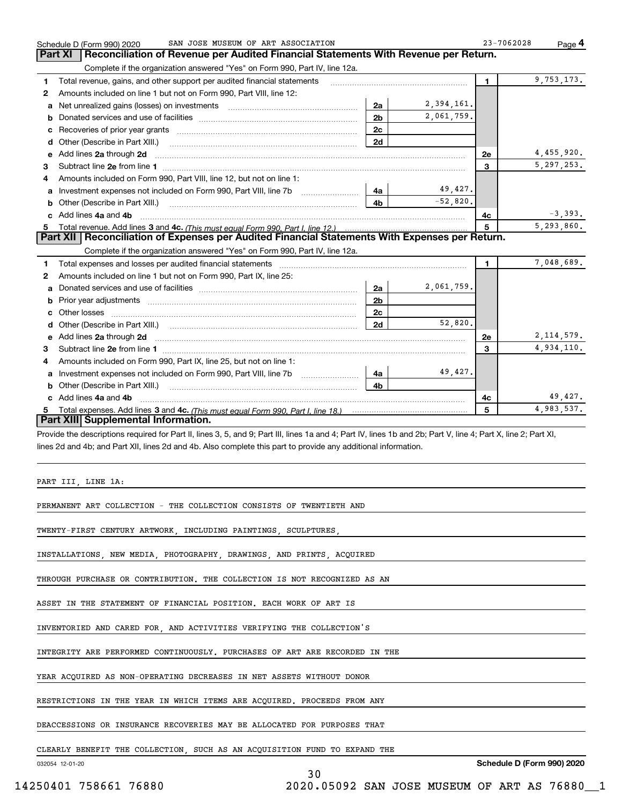|   | SAN JOSE MUSEUM OF ART ASSOCIATION<br>Schedule D (Form 990) 2020                                                                                               |                |            | 23-7062028 | Page 4       |
|---|----------------------------------------------------------------------------------------------------------------------------------------------------------------|----------------|------------|------------|--------------|
|   | Reconciliation of Revenue per Audited Financial Statements With Revenue per Return.<br>Part XI                                                                 |                |            |            |              |
|   | Complete if the organization answered "Yes" on Form 990, Part IV, line 12a.                                                                                    |                |            |            |              |
| 1 | Total revenue, gains, and other support per audited financial statements                                                                                       |                |            | 1.         | 9,753,173.   |
| 2 | Amounts included on line 1 but not on Form 990, Part VIII, line 12:                                                                                            |                |            |            |              |
| а | Net unrealized gains (losses) on investments [11] matter contracts and the unrealized gains (losses) on investments                                            | 2a             | 2,394,161. |            |              |
| b |                                                                                                                                                                | 2 <sub>b</sub> | 2,061,759. |            |              |
| с |                                                                                                                                                                | 2c             |            |            |              |
| d |                                                                                                                                                                | 2d             |            |            |              |
| е | Add lines 2a through 2d                                                                                                                                        |                |            | <b>2e</b>  | 4,455,920.   |
| З |                                                                                                                                                                |                |            | 3          | 5, 297, 253. |
| 4 | Amounts included on Form 990, Part VIII, line 12, but not on line 1:                                                                                           |                |            |            |              |
| а | Investment expenses not included on Form 990, Part VIII, line 7b                                                                                               | 4a             | 49,427.    |            |              |
| b |                                                                                                                                                                | 4b             | $-52,820.$ |            |              |
|   | Add lines 4a and 4b                                                                                                                                            |                |            | 4c         | $-3,393.$    |
|   |                                                                                                                                                                |                |            | 5          | 5,293,860.   |
|   | Part XII   Reconciliation of Expenses per Audited Financial Statements With Expenses per Return.                                                               |                |            |            |              |
|   | Complete if the organization answered "Yes" on Form 990, Part IV, line 12a.                                                                                    |                |            |            |              |
| 1 |                                                                                                                                                                |                |            | 1.         | 7,048,689.   |
| 2 | Amounts included on line 1 but not on Form 990, Part IX, line 25:                                                                                              |                |            |            |              |
| a |                                                                                                                                                                | 2a             | 2,061,759. |            |              |
| b |                                                                                                                                                                | 2 <sub>b</sub> |            |            |              |
|   |                                                                                                                                                                | 2 <sub>c</sub> |            |            |              |
| d |                                                                                                                                                                | 2d             | 52,820.    |            |              |
|   | Add lines 2a through 2d                                                                                                                                        |                |            | <b>2e</b>  | 2, 114, 579. |
| е |                                                                                                                                                                |                |            | 3          | 4,934,110.   |
| 3 |                                                                                                                                                                |                |            |            |              |
| 4 | Amounts included on Form 990, Part IX, line 25, but not on line 1:                                                                                             |                |            |            |              |
| а |                                                                                                                                                                | 4a             | 49,427.    |            |              |
| b |                                                                                                                                                                | 4 <sub>h</sub> |            |            |              |
|   | c Add lines 4a and 4b                                                                                                                                          |                |            | 4c         | 49,427.      |
|   |                                                                                                                                                                |                |            | 5          | 4,983,537.   |
|   | Part XIII Supplemental Information.                                                                                                                            |                |            |            |              |
|   | Provide the descriptions required for Part II, lines 3, 5, and 9; Part III, lines 1a and 4; Part IV, lines 1b and 2b; Part V, line 4; Part X, line 2; Part XI, |                |            |            |              |
|   | lines 2d and 4b; and Part XII, lines 2d and 4b. Also complete this part to provide any additional information.                                                 |                |            |            |              |
|   |                                                                                                                                                                |                |            |            |              |
|   |                                                                                                                                                                |                |            |            |              |
|   | PART III, LINE 1A:                                                                                                                                             |                |            |            |              |
|   |                                                                                                                                                                |                |            |            |              |
|   | PERMANENT ART COLLECTION - THE COLLECTION CONSISTS OF TWENTIETH AND                                                                                            |                |            |            |              |
|   |                                                                                                                                                                |                |            |            |              |
|   | TWENTY-FIRST CENTURY ARTWORK, INCLUDING PAINTINGS, SCULPTURES,                                                                                                 |                |            |            |              |
|   |                                                                                                                                                                |                |            |            |              |
|   | INSTALLATIONS, NEW MEDIA, PHOTOGRAPHY, DRAWINGS, AND PRINTS, ACQUIRED                                                                                          |                |            |            |              |
|   |                                                                                                                                                                |                |            |            |              |
|   | THROUGH PURCHASE OR CONTRIBUTION. THE COLLECTION IS NOT RECOGNIZED AS AN                                                                                       |                |            |            |              |
|   |                                                                                                                                                                |                |            |            |              |
|   | ASSET IN THE STATEMENT OF FINANCIAL POSITION. EACH WORK OF ART IS                                                                                              |                |            |            |              |
|   |                                                                                                                                                                |                |            |            |              |
|   | INVENTORIED AND CARED FOR, AND ACTIVITIES VERIFYING THE COLLECTION'S                                                                                           |                |            |            |              |
|   |                                                                                                                                                                |                |            |            |              |
|   | INTEGRITY ARE PERFORMED CONTINUOUSLY. PURCHASES OF ART ARE RECORDED IN THE                                                                                     |                |            |            |              |
|   |                                                                                                                                                                |                |            |            |              |
|   | YEAR ACQUIRED AS NON-OPERATING DECREASES IN NET ASSETS WITHOUT DONOR                                                                                           |                |            |            |              |
|   |                                                                                                                                                                |                |            |            |              |
|   | RESTRICTIONS IN THE YEAR IN WHICH ITEMS ARE ACQUIRED. PROCEEDS FROM ANY                                                                                        |                |            |            |              |
|   |                                                                                                                                                                |                |            |            |              |
|   | DEACCESSIONS OR INSURANCE RECOVERIES MAY BE ALLOCATED FOR PURPOSES THAT                                                                                        |                |            |            |              |

CLEARLY BENEFIT THE COLLECTION, SUCH AS AN ACQUISITION FUND TO EXPAND THE

032054 12-01-20

**Schedule D (Form 990) 2020**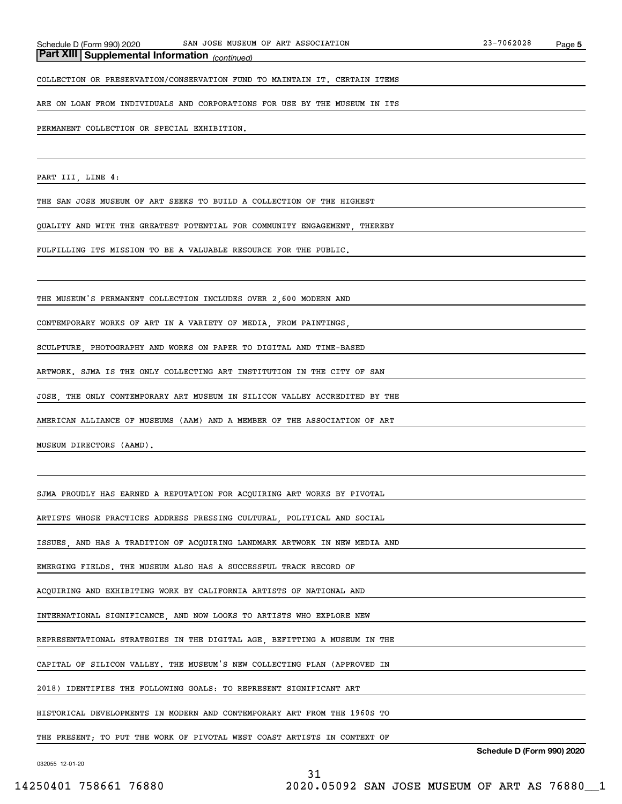# *(continued)* **Part XIII Supplemental Information**

COLLECTION OR PRESERVATION/CONSERVATION FUND TO MAINTAIN IT. CERTAIN ITEMS

ARE ON LOAN FROM INDIVIDUALS AND CORPORATIONS FOR USE BY THE MUSEUM IN ITS

### PERMANENT COLLECTION OR SPECIAL EXHIBITION.

PART III, LINE 4:

THE SAN JOSE MUSEUM OF ART SEEKS TO BUILD A COLLECTION OF THE HIGHEST

QUALITY AND WITH THE GREATEST POTENTIAL FOR COMMUNITY ENGAGEMENT, THEREBY

FULFILLING ITS MISSION TO BE A VALUABLE RESOURCE FOR THE PUBLIC.

THE MUSEUM'S PERMANENT COLLECTION INCLUDES OVER 2,600 MODERN AND

CONTEMPORARY WORKS OF ART IN A VARIETY OF MEDIA, FROM PAINTINGS,

SCULPTURE, PHOTOGRAPHY AND WORKS ON PAPER TO DIGITAL AND TIME-BASED

ARTWORK. SJMA IS THE ONLY COLLECTING ART INSTITUTION IN THE CITY OF SAN

JOSE, THE ONLY CONTEMPORARY ART MUSEUM IN SILICON VALLEY ACCREDITED BY THE

AMERICAN ALLIANCE OF MUSEUMS (AAM) AND A MEMBER OF THE ASSOCIATION OF ART

MUSEUM DIRECTORS (AAMD).

SJMA PROUDLY HAS EARNED A REPUTATION FOR ACQUIRING ART WORKS BY PIVOTAL

ARTISTS WHOSE PRACTICES ADDRESS PRESSING CULTURAL, POLITICAL AND SOCIAL

ISSUES, AND HAS A TRADITION OF ACQUIRING LANDMARK ARTWORK IN NEW MEDIA AND

EMERGING FIELDS. THE MUSEUM ALSO HAS A SUCCESSFUL TRACK RECORD OF

ACQUIRING AND EXHIBITING WORK BY CALIFORNIA ARTISTS OF NATIONAL AND

INTERNATIONAL SIGNIFICANCE, AND NOW LOOKS TO ARTISTS WHO EXPLORE NEW

REPRESENTATIONAL STRATEGIES IN THE DIGITAL AGE, BEFITTING A MUSEUM IN THE

CAPITAL OF SILICON VALLEY. THE MUSEUM'S NEW COLLECTING PLAN (APPROVED IN

2018) IDENTIFIES THE FOLLOWING GOALS: TO REPRESENT SIGNIFICANT ART

HISTORICAL DEVELOPMENTS IN MODERN AND CONTEMPORARY ART FROM THE 1960S TO

THE PRESENT; TO PUT THE WORK OF PIVOTAL WEST COAST ARTISTS IN CONTEXT OF

31

**Schedule D (Form 990) 2020**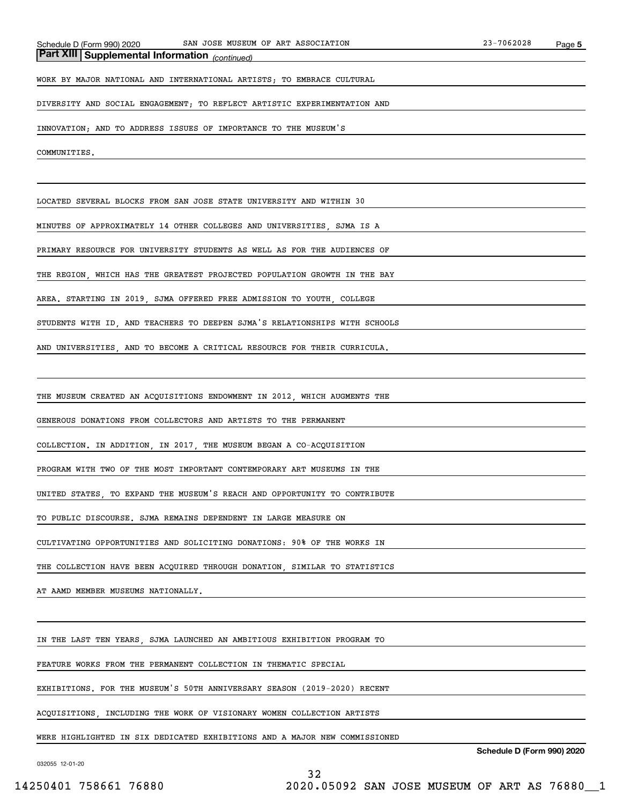# *(continued)* **Part XIII Supplemental Information**

WORK BY MAJOR NATIONAL AND INTERNATIONAL ARTISTS; TO EMBRACE CULTURAL

DIVERSITY AND SOCIAL ENGAGEMENT; TO REFLECT ARTISTIC EXPERIMENTATION AND

INNOVATION; AND TO ADDRESS ISSUES OF IMPORTANCE TO THE MUSEUM'S

COMMUNITIES.

LOCATED SEVERAL BLOCKS FROM SAN JOSE STATE UNIVERSITY AND WITHIN 30

MINUTES OF APPROXIMATELY 14 OTHER COLLEGES AND UNIVERSITIES, SJMA IS A

PRIMARY RESOURCE FOR UNIVERSITY STUDENTS AS WELL AS FOR THE AUDIENCES OF

THE REGION, WHICH HAS THE GREATEST PROJECTED POPULATION GROWTH IN THE BAY

AREA. STARTING IN 2019, SJMA OFFERED FREE ADMISSION TO YOUTH, COLLEGE

STUDENTS WITH ID, AND TEACHERS TO DEEPEN SJMA'S RELATIONSHIPS WITH SCHOOLS

AND UNIVERSITIES, AND TO BECOME A CRITICAL RESOURCE FOR THEIR CURRICULA.

THE MUSEUM CREATED AN ACQUISITIONS ENDOWMENT IN 2012, WHICH AUGMENTS THE

GENEROUS DONATIONS FROM COLLECTORS AND ARTISTS TO THE PERMANENT

COLLECTION. IN ADDITION, IN 2017, THE MUSEUM BEGAN A CO-ACQUISITION

PROGRAM WITH TWO OF THE MOST IMPORTANT CONTEMPORARY ART MUSEUMS IN THE

UNITED STATES, TO EXPAND THE MUSEUM'S REACH AND OPPORTUNITY TO CONTRIBUTE

TO PUBLIC DISCOURSE. SJMA REMAINS DEPENDENT IN LARGE MEASURE ON

CULTIVATING OPPORTUNITIES AND SOLICITING DONATIONS: 90% OF THE WORKS IN

THE COLLECTION HAVE BEEN ACQUIRED THROUGH DONATION, SIMILAR TO STATISTICS

AT AAMD MEMBER MUSEUMS NATIONALLY.

IN THE LAST TEN YEARS, SJMA LAUNCHED AN AMBITIOUS EXHIBITION PROGRAM TO

FEATURE WORKS FROM THE PERMANENT COLLECTION IN THEMATIC SPECIAL

EXHIBITIONS. FOR THE MUSEUM'S 50TH ANNIVERSARY SEASON (2019-2020) RECENT

ACQUISITIONS, INCLUDING THE WORK OF VISIONARY WOMEN COLLECTION ARTISTS

WERE HIGHLIGHTED IN SIX DEDICATED EXHIBITIONS AND A MAJOR NEW COMMISSIONED

32

032055 12-01-20

**Schedule D (Form 990) 2020**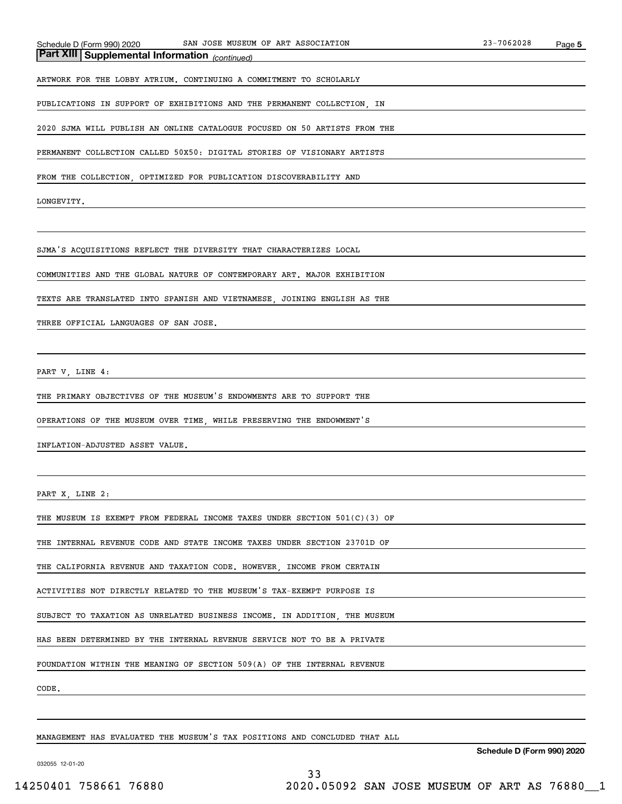# *(continued)* **Part XIII Supplemental Information**

ARTWORK FOR THE LOBBY ATRIUM. CONTINUING A COMMITMENT TO SCHOLARLY

PUBLICATIONS IN SUPPORT OF EXHIBITIONS AND THE PERMANENT COLLECTION, IN

2020 SJMA WILL PUBLISH AN ONLINE CATALOGUE FOCUSED ON 50 ARTISTS FROM THE

PERMANENT COLLECTION CALLED 50X50: DIGITAL STORIES OF VISIONARY ARTISTS

FROM THE COLLECTION, OPTIMIZED FOR PUBLICATION DISCOVERABILITY AND

LONGEVITY.

SJMA'S ACQUISITIONS REFLECT THE DIVERSITY THAT CHARACTERIZES LOCAL

COMMUNITIES AND THE GLOBAL NATURE OF CONTEMPORARY ART. MAJOR EXHIBITION

TEXTS ARE TRANSLATED INTO SPANISH AND VIETNAMESE, JOINING ENGLISH AS THE

THREE OFFICIAL LANGUAGES OF SAN JOSE.

PART V, LINE 4:

THE PRIMARY OBJECTIVES OF THE MUSEUM'S ENDOWMENTS ARE TO SUPPORT THE

OPERATIONS OF THE MUSEUM OVER TIME, WHILE PRESERVING THE ENDOWMENT'S

INFLATION-ADJUSTED ASSET VALUE.

PART X, LINE 2:

THE MUSEUM IS EXEMPT FROM FEDERAL INCOME TAXES UNDER SECTION 501(C)(3) OF

THE INTERNAL REVENUE CODE AND STATE INCOME TAXES UNDER SECTION 23701D OF

THE CALIFORNIA REVENUE AND TAXATION CODE. HOWEVER, INCOME FROM CERTAIN

ACTIVITIES NOT DIRECTLY RELATED TO THE MUSEUM'S TAX-EXEMPT PURPOSE IS

SUBJECT TO TAXATION AS UNRELATED BUSINESS INCOME. IN ADDITION, THE MUSEUM

HAS BEEN DETERMINED BY THE INTERNAL REVENUE SERVICE NOT TO BE A PRIVATE

FOUNDATION WITHIN THE MEANING OF SECTION 509(A) OF THE INTERNAL REVENUE

CODE.

MANAGEMENT HAS EVALUATED THE MUSEUM'S TAX POSITIONS AND CONCLUDED THAT ALL

**Schedule D (Form 990) 2020**

032055 12-01-20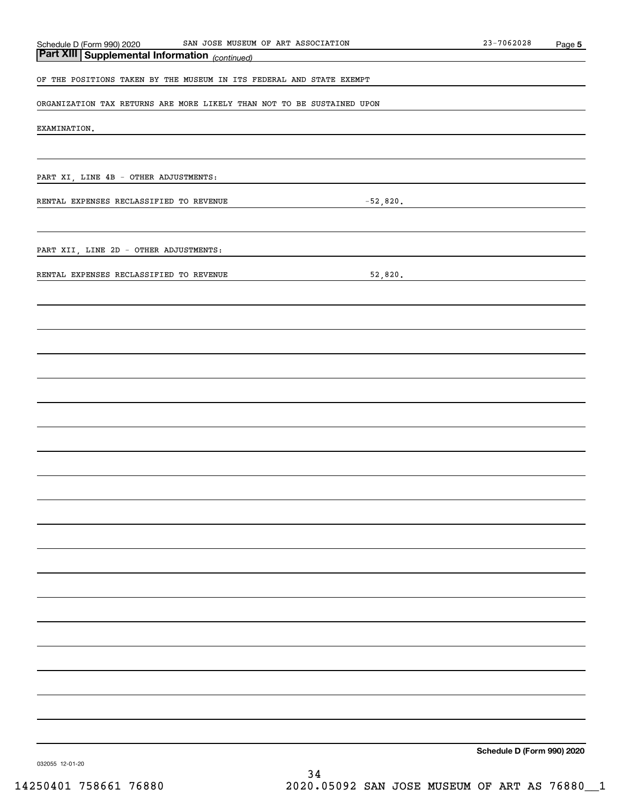| SAN JOSE MUSEUM OF ART ASSOCIATION<br>Schedule D (Form 990) 2020       | 23-7062028                 | Page 5 |
|------------------------------------------------------------------------|----------------------------|--------|
| <b>Part XIII Supplemental Information</b> (continued)                  |                            |        |
| OF THE POSITIONS TAKEN BY THE MUSEUM IN ITS FEDERAL AND STATE EXEMPT   |                            |        |
| ORGANIZATION TAX RETURNS ARE MORE LIKELY THAN NOT TO BE SUSTAINED UPON |                            |        |
| EXAMINATION.                                                           |                            |        |
|                                                                        |                            |        |
| PART XI, LINE 4B - OTHER ADJUSTMENTS:                                  |                            |        |
| $-52,820.$<br>RENTAL EXPENSES RECLASSIFIED TO REVENUE                  |                            |        |
|                                                                        |                            |        |
| PART XII, LINE 2D - OTHER ADJUSTMENTS:                                 |                            |        |
| 52,820.<br>RENTAL EXPENSES RECLASSIFIED TO REVENUE                     |                            |        |
|                                                                        |                            |        |
|                                                                        |                            |        |
|                                                                        |                            |        |
|                                                                        |                            |        |
|                                                                        |                            |        |
|                                                                        |                            |        |
|                                                                        |                            |        |
|                                                                        |                            |        |
|                                                                        |                            |        |
|                                                                        |                            |        |
|                                                                        |                            |        |
|                                                                        |                            |        |
|                                                                        |                            |        |
|                                                                        |                            |        |
|                                                                        |                            |        |
|                                                                        |                            |        |
|                                                                        |                            |        |
|                                                                        |                            |        |
|                                                                        |                            |        |
|                                                                        |                            |        |
|                                                                        | Schedule D (Form 990) 2020 |        |

032055 12-01-20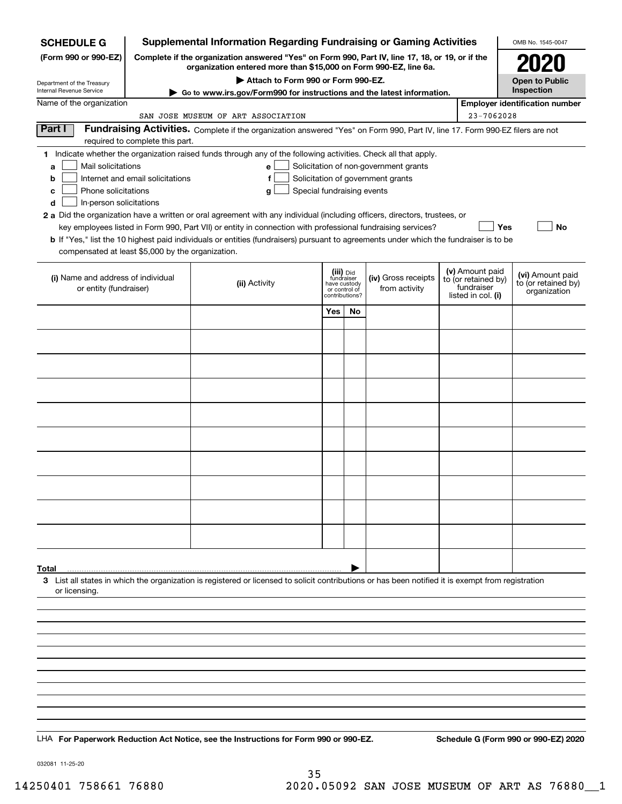| <b>SCHEDULE G</b>                                                                                                                             | <b>Supplemental Information Regarding Fundraising or Gaming Activities</b>                                                                                          |                                                                                                                                                                                                                                                                                                                                                                                                                                                                                                                                                           |                                                                                                        |    |                                                                            |  |                                                                            | OMB No. 1545-0047                                       |  |
|-----------------------------------------------------------------------------------------------------------------------------------------------|---------------------------------------------------------------------------------------------------------------------------------------------------------------------|-----------------------------------------------------------------------------------------------------------------------------------------------------------------------------------------------------------------------------------------------------------------------------------------------------------------------------------------------------------------------------------------------------------------------------------------------------------------------------------------------------------------------------------------------------------|--------------------------------------------------------------------------------------------------------|----|----------------------------------------------------------------------------|--|----------------------------------------------------------------------------|---------------------------------------------------------|--|
| (Form 990 or 990-EZ)                                                                                                                          | Complete if the organization answered "Yes" on Form 990, Part IV, line 17, 18, or 19, or if the<br>organization entered more than \$15,000 on Form 990-EZ, line 6a. |                                                                                                                                                                                                                                                                                                                                                                                                                                                                                                                                                           |                                                                                                        |    |                                                                            |  |                                                                            | 2020                                                    |  |
| Department of the Treasury<br>Internal Revenue Service                                                                                        |                                                                                                                                                                     |                                                                                                                                                                                                                                                                                                                                                                                                                                                                                                                                                           | <b>Open to Public</b><br>Inspection                                                                    |    |                                                                            |  |                                                                            |                                                         |  |
| Name of the organization                                                                                                                      |                                                                                                                                                                     | Go to www.irs.gov/Form990 for instructions and the latest information.                                                                                                                                                                                                                                                                                                                                                                                                                                                                                    |                                                                                                        |    |                                                                            |  |                                                                            | <b>Employer identification number</b>                   |  |
| 23-7062028<br>SAN JOSE MUSEUM OF ART ASSOCIATION                                                                                              |                                                                                                                                                                     |                                                                                                                                                                                                                                                                                                                                                                                                                                                                                                                                                           |                                                                                                        |    |                                                                            |  |                                                                            |                                                         |  |
| Part I                                                                                                                                        | required to complete this part.                                                                                                                                     | Fundraising Activities. Complete if the organization answered "Yes" on Form 990, Part IV, line 17. Form 990-EZ filers are not                                                                                                                                                                                                                                                                                                                                                                                                                             |                                                                                                        |    |                                                                            |  |                                                                            |                                                         |  |
| Mail solicitations<br>a<br>b<br>Phone solicitations<br>c<br>In-person solicitations<br>d<br>compensated at least \$5,000 by the organization. | Internet and email solicitations                                                                                                                                    | 1 Indicate whether the organization raised funds through any of the following activities. Check all that apply.<br>е<br>f<br>Special fundraising events<br>g<br>2 a Did the organization have a written or oral agreement with any individual (including officers, directors, trustees, or<br>key employees listed in Form 990, Part VII) or entity in connection with professional fundraising services?<br><b>b</b> If "Yes," list the 10 highest paid individuals or entities (fundraisers) pursuant to agreements under which the fundraiser is to be |                                                                                                        |    | Solicitation of non-government grants<br>Solicitation of government grants |  | Yes                                                                        | No                                                      |  |
| (i) Name and address of individual<br>or entity (fundraiser)                                                                                  |                                                                                                                                                                     | (ii) Activity                                                                                                                                                                                                                                                                                                                                                                                                                                                                                                                                             | (iii) <sub>Did</sub><br>fundraiser<br>have custody<br>from activity<br>or control of<br>contributions? |    | (iv) Gross receipts                                                        |  | (v) Amount paid<br>to (or retained by)<br>fundraiser<br>listed in col. (i) | (vi) Amount paid<br>to (or retained by)<br>organization |  |
|                                                                                                                                               |                                                                                                                                                                     |                                                                                                                                                                                                                                                                                                                                                                                                                                                                                                                                                           | Yes                                                                                                    | No |                                                                            |  |                                                                            |                                                         |  |
|                                                                                                                                               |                                                                                                                                                                     |                                                                                                                                                                                                                                                                                                                                                                                                                                                                                                                                                           |                                                                                                        |    |                                                                            |  |                                                                            |                                                         |  |
|                                                                                                                                               |                                                                                                                                                                     |                                                                                                                                                                                                                                                                                                                                                                                                                                                                                                                                                           |                                                                                                        |    |                                                                            |  |                                                                            |                                                         |  |
|                                                                                                                                               |                                                                                                                                                                     |                                                                                                                                                                                                                                                                                                                                                                                                                                                                                                                                                           |                                                                                                        |    |                                                                            |  |                                                                            |                                                         |  |
|                                                                                                                                               |                                                                                                                                                                     |                                                                                                                                                                                                                                                                                                                                                                                                                                                                                                                                                           |                                                                                                        |    |                                                                            |  |                                                                            |                                                         |  |
|                                                                                                                                               |                                                                                                                                                                     |                                                                                                                                                                                                                                                                                                                                                                                                                                                                                                                                                           |                                                                                                        |    |                                                                            |  |                                                                            |                                                         |  |
|                                                                                                                                               |                                                                                                                                                                     |                                                                                                                                                                                                                                                                                                                                                                                                                                                                                                                                                           |                                                                                                        |    |                                                                            |  |                                                                            |                                                         |  |
|                                                                                                                                               |                                                                                                                                                                     |                                                                                                                                                                                                                                                                                                                                                                                                                                                                                                                                                           |                                                                                                        |    |                                                                            |  |                                                                            |                                                         |  |
|                                                                                                                                               |                                                                                                                                                                     |                                                                                                                                                                                                                                                                                                                                                                                                                                                                                                                                                           |                                                                                                        |    |                                                                            |  |                                                                            |                                                         |  |
|                                                                                                                                               |                                                                                                                                                                     |                                                                                                                                                                                                                                                                                                                                                                                                                                                                                                                                                           |                                                                                                        |    |                                                                            |  |                                                                            |                                                         |  |
|                                                                                                                                               |                                                                                                                                                                     |                                                                                                                                                                                                                                                                                                                                                                                                                                                                                                                                                           |                                                                                                        |    |                                                                            |  |                                                                            |                                                         |  |
|                                                                                                                                               |                                                                                                                                                                     |                                                                                                                                                                                                                                                                                                                                                                                                                                                                                                                                                           |                                                                                                        |    |                                                                            |  |                                                                            |                                                         |  |
| Total<br>or licensing.                                                                                                                        |                                                                                                                                                                     | 3 List all states in which the organization is registered or licensed to solicit contributions or has been notified it is exempt from registration                                                                                                                                                                                                                                                                                                                                                                                                        |                                                                                                        |    |                                                                            |  |                                                                            |                                                         |  |
|                                                                                                                                               |                                                                                                                                                                     |                                                                                                                                                                                                                                                                                                                                                                                                                                                                                                                                                           |                                                                                                        |    |                                                                            |  |                                                                            |                                                         |  |
|                                                                                                                                               |                                                                                                                                                                     |                                                                                                                                                                                                                                                                                                                                                                                                                                                                                                                                                           |                                                                                                        |    |                                                                            |  |                                                                            |                                                         |  |
|                                                                                                                                               |                                                                                                                                                                     |                                                                                                                                                                                                                                                                                                                                                                                                                                                                                                                                                           |                                                                                                        |    |                                                                            |  |                                                                            |                                                         |  |
|                                                                                                                                               |                                                                                                                                                                     |                                                                                                                                                                                                                                                                                                                                                                                                                                                                                                                                                           |                                                                                                        |    |                                                                            |  |                                                                            |                                                         |  |
|                                                                                                                                               |                                                                                                                                                                     |                                                                                                                                                                                                                                                                                                                                                                                                                                                                                                                                                           |                                                                                                        |    |                                                                            |  |                                                                            |                                                         |  |
|                                                                                                                                               |                                                                                                                                                                     |                                                                                                                                                                                                                                                                                                                                                                                                                                                                                                                                                           |                                                                                                        |    |                                                                            |  |                                                                            |                                                         |  |
|                                                                                                                                               |                                                                                                                                                                     | LHA For Paperwork Reduction Act Notice, see the Instructions for Form 990 or 990-EZ.                                                                                                                                                                                                                                                                                                                                                                                                                                                                      |                                                                                                        |    |                                                                            |  |                                                                            | Schedule G (Form 990 or 990-EZ) 2020                    |  |

032081 11-25-20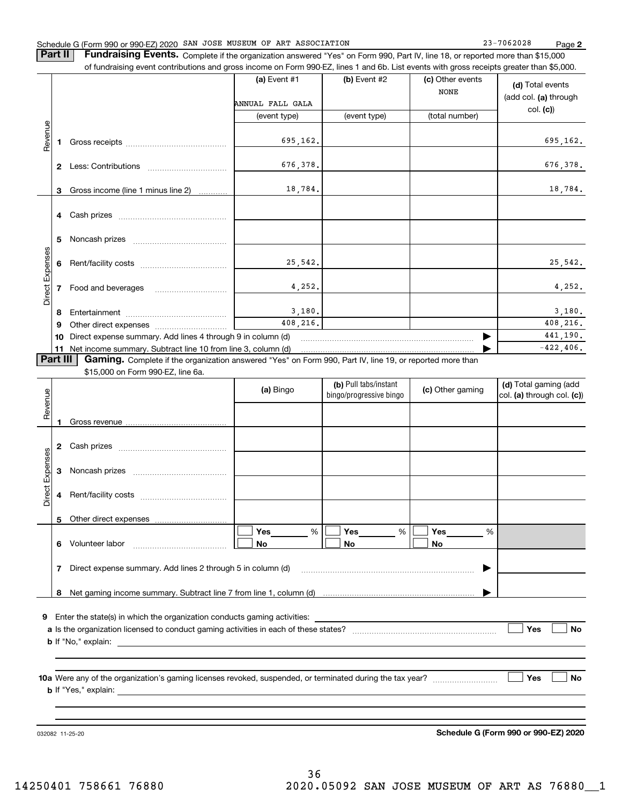# Schedule G (Form 990 or 990-EZ) 2020 SAN JOSE MUSEUM OF ART ASSOCIATION 23-7062028 Page

**2**

**Part II** | Fundraising Events. Complete if the organization answered "Yes" on Form 990, Part IV, line 18, or reported more than \$15,000 of fundraising event contributions and gross income on Form 990-EZ, lines 1 and 6b. List events with gross receipts greater than \$5,000.

|                 |              |                                                                                                          | (a) Event $#1$<br>ANNUAL FALL GALA<br>(event type) | (b) Event #2<br>(event type) | (c) Other events<br><b>NONE</b><br>(total number) | (d) Total events<br>(add col. (a) through<br>col. (c) |
|-----------------|--------------|----------------------------------------------------------------------------------------------------------|----------------------------------------------------|------------------------------|---------------------------------------------------|-------------------------------------------------------|
| Revenue         |              |                                                                                                          | 695,162.                                           |                              |                                                   | 695,162.                                              |
|                 | $\mathbf{2}$ |                                                                                                          | 676,378.                                           |                              |                                                   | 676,378.                                              |
|                 | 3            | Gross income (line 1 minus line 2)                                                                       | 18,784.                                            |                              |                                                   | 18,784.                                               |
|                 |              |                                                                                                          |                                                    |                              |                                                   |                                                       |
|                 | 5            |                                                                                                          |                                                    |                              |                                                   |                                                       |
|                 | 6            |                                                                                                          | 25,542.                                            |                              |                                                   | 25,542.                                               |
| Direct Expenses |              | Food and beverages                                                                                       | 4.252.                                             |                              |                                                   | 4,252.                                                |
|                 | 8            |                                                                                                          | 3,180.                                             |                              |                                                   | 3,180.                                                |
|                 | 9            |                                                                                                          | 408,216.                                           |                              |                                                   | 408,216.                                              |
|                 | 10           | Direct expense summary. Add lines 4 through 9 in column (d)                                              |                                                    |                              |                                                   | 441,190.                                              |
|                 |              | 11 Net income summary. Subtract line 10 from line 3, column (d)                                          |                                                    |                              |                                                   | $-422.406.$                                           |
| Part III        |              | Gaming. Complete if the organization answered "Yes" on Form 990, Part IV, line 19, or reported more than |                                                    |                              |                                                   |                                                       |
|                 |              | \$15,000 on Form 990-EZ, line 6a.                                                                        |                                                    |                              |                                                   |                                                       |
|                 |              |                                                                                                          |                                                    | (b) Pull tabs/instant        |                                                   | (d) Total gaming (add                                 |

|                                                                                                                                                 |                  |  | (a) Bingo | (b) Pull tabs/instant<br>bingo/progressive bingo | (c) Other gaming | (d) Total gaming (add<br>col. (a) through col. (c)) |  |  |  |  |
|-------------------------------------------------------------------------------------------------------------------------------------------------|------------------|--|-----------|--------------------------------------------------|------------------|-----------------------------------------------------|--|--|--|--|
| Revenue                                                                                                                                         |                  |  |           |                                                  |                  |                                                     |  |  |  |  |
|                                                                                                                                                 | 2                |  |           |                                                  |                  |                                                     |  |  |  |  |
| Direct Expenses                                                                                                                                 | 3                |  |           |                                                  |                  |                                                     |  |  |  |  |
|                                                                                                                                                 | 4                |  |           |                                                  |                  |                                                     |  |  |  |  |
|                                                                                                                                                 | 5                |  |           |                                                  |                  |                                                     |  |  |  |  |
|                                                                                                                                                 | 6                |  | %<br>No   | Yes $\%$<br><b>No</b>                            | %<br>No          |                                                     |  |  |  |  |
| Direct expense summary. Add lines 2 through 5 in column (d) [11] matter contract expense summary. Add lines 2 through 5 in column (d)<br>▶<br>7 |                  |  |           |                                                  |                  |                                                     |  |  |  |  |
|                                                                                                                                                 | 8                |  |           |                                                  |                  |                                                     |  |  |  |  |
| 9                                                                                                                                               | Yes<br><b>No</b> |  |           |                                                  |                  |                                                     |  |  |  |  |
|                                                                                                                                                 | Yes<br><b>No</b> |  |           |                                                  |                  |                                                     |  |  |  |  |
|                                                                                                                                                 |                  |  |           |                                                  |                  |                                                     |  |  |  |  |

032082 11-25-20

**Schedule G (Form 990 or 990-EZ) 2020**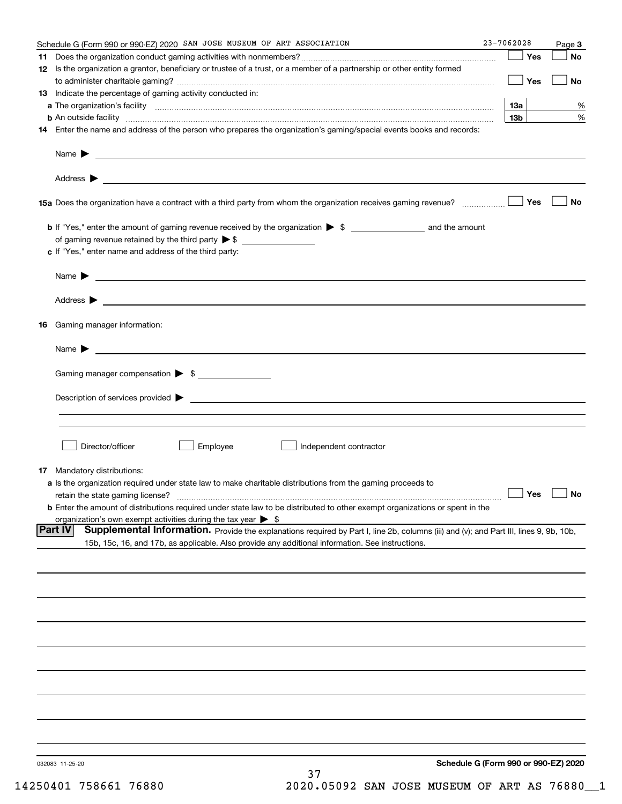| Schedule G (Form 990 or 990-EZ) 2020 SAN JOSE MUSEUM OF ART ASSOCIATION                                                                                                                                                                   | 23-7062028      |     | Page 3               |
|-------------------------------------------------------------------------------------------------------------------------------------------------------------------------------------------------------------------------------------------|-----------------|-----|----------------------|
|                                                                                                                                                                                                                                           |                 | Yes | No                   |
| 12 Is the organization a grantor, beneficiary or trustee of a trust, or a member of a partnership or other entity formed                                                                                                                  |                 | Yes | No                   |
| 13 Indicate the percentage of gaming activity conducted in:                                                                                                                                                                               |                 |     |                      |
|                                                                                                                                                                                                                                           | 13а             |     | %                    |
| <b>b</b> An outside facility <b>contained an according to the contract of the contract of the contract of the contract of the contract of the contract of the contract of the contract of the contract of the contract of the contrac</b> | 13 <sub>b</sub> |     | %                    |
| 14 Enter the name and address of the person who prepares the organization's gaming/special events books and records:                                                                                                                      |                 |     |                      |
|                                                                                                                                                                                                                                           |                 |     |                      |
|                                                                                                                                                                                                                                           |                 |     |                      |
|                                                                                                                                                                                                                                           |                 | Yes | No                   |
|                                                                                                                                                                                                                                           |                 |     |                      |
|                                                                                                                                                                                                                                           |                 |     |                      |
| c If "Yes," enter name and address of the third party:                                                                                                                                                                                    |                 |     |                      |
| Name $\blacktriangleright$ $\bot$                                                                                                                                                                                                         |                 |     |                      |
|                                                                                                                                                                                                                                           |                 |     |                      |
| 16 Gaming manager information:                                                                                                                                                                                                            |                 |     |                      |
| Name $\blacktriangleright$ $\lrcorner$                                                                                                                                                                                                    |                 |     |                      |
|                                                                                                                                                                                                                                           |                 |     |                      |
| Gaming manager compensation > \$                                                                                                                                                                                                          |                 |     |                      |
|                                                                                                                                                                                                                                           |                 |     |                      |
|                                                                                                                                                                                                                                           |                 |     |                      |
| Director/officer<br>Employee<br>Independent contractor                                                                                                                                                                                    |                 |     |                      |
| 17 Mandatory distributions:                                                                                                                                                                                                               |                 |     |                      |
| a Is the organization required under state law to make charitable distributions from the gaming proceeds to                                                                                                                               |                 |     |                      |
| retain the state gaming license?                                                                                                                                                                                                          |                 |     | $\Box$ Yes $\Box$ No |
| <b>b</b> Enter the amount of distributions required under state law to be distributed to other exempt organizations or spent in the                                                                                                       |                 |     |                      |
| organization's own exempt activities during the tax year $\triangleright$ \$<br><b>Part IV</b><br>Supplemental Information. Provide the explanations required by Part I, line 2b, columns (iii) and (v); and Part III, lines 9, 9b, 10b,  |                 |     |                      |
| 15b, 15c, 16, and 17b, as applicable. Also provide any additional information. See instructions.                                                                                                                                          |                 |     |                      |
|                                                                                                                                                                                                                                           |                 |     |                      |
|                                                                                                                                                                                                                                           |                 |     |                      |
|                                                                                                                                                                                                                                           |                 |     |                      |
|                                                                                                                                                                                                                                           |                 |     |                      |
|                                                                                                                                                                                                                                           |                 |     |                      |
|                                                                                                                                                                                                                                           |                 |     |                      |
|                                                                                                                                                                                                                                           |                 |     |                      |
|                                                                                                                                                                                                                                           |                 |     |                      |
|                                                                                                                                                                                                                                           |                 |     |                      |
| Schedule G (Form 990 or 990-EZ) 2020<br>032083 11-25-20                                                                                                                                                                                   |                 |     |                      |
| 37                                                                                                                                                                                                                                        |                 |     |                      |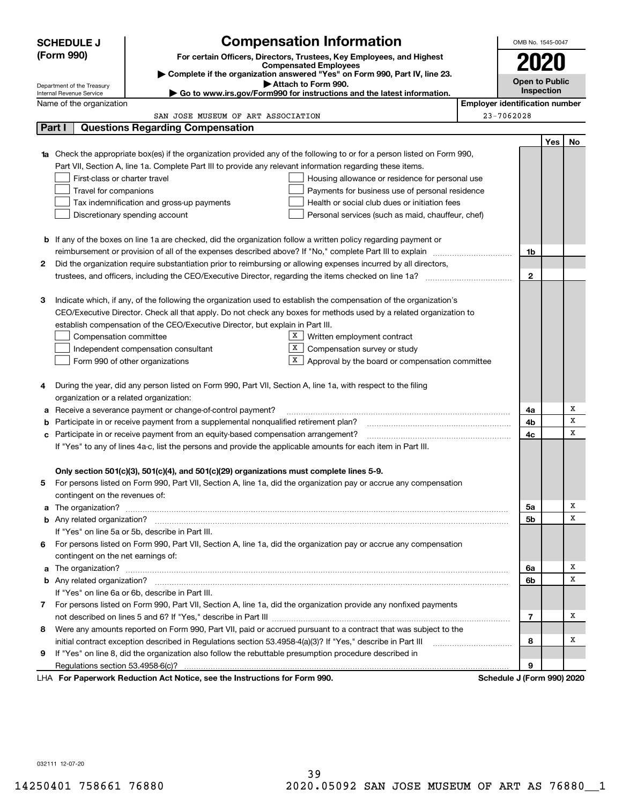|    | <b>SCHEDULE J</b>                                                                                                               | <b>Compensation Information</b>                                                                                                  |  |                                       | OMB No. 1545-0047          |     |                       |
|----|---------------------------------------------------------------------------------------------------------------------------------|----------------------------------------------------------------------------------------------------------------------------------|--|---------------------------------------|----------------------------|-----|-----------------------|
|    | (Form 990)                                                                                                                      | For certain Officers, Directors, Trustees, Key Employees, and Highest                                                            |  |                                       | 2020                       |     |                       |
|    |                                                                                                                                 | <b>Compensated Employees</b>                                                                                                     |  |                                       |                            |     |                       |
|    | Complete if the organization answered "Yes" on Form 990, Part IV, line 23.<br>Attach to Form 990.<br>Department of the Treasury |                                                                                                                                  |  |                                       |                            |     | <b>Open to Public</b> |
|    | ► Go to www.irs.gov/Form990 for instructions and the latest information.<br>Internal Revenue Service                            |                                                                                                                                  |  |                                       |                            |     |                       |
|    | Name of the organization                                                                                                        |                                                                                                                                  |  | <b>Employer identification number</b> |                            |     |                       |
|    |                                                                                                                                 | SAN JOSE MUSEUM OF ART ASSOCIATION                                                                                               |  |                                       | 23-7062028                 |     |                       |
|    | Part I                                                                                                                          | <b>Questions Regarding Compensation</b>                                                                                          |  |                                       |                            |     |                       |
|    |                                                                                                                                 |                                                                                                                                  |  |                                       |                            | Yes | No                    |
|    |                                                                                                                                 | <b>1a</b> Check the appropriate box(es) if the organization provided any of the following to or for a person listed on Form 990, |  |                                       |                            |     |                       |
|    |                                                                                                                                 | Part VII, Section A, line 1a. Complete Part III to provide any relevant information regarding these items.                       |  |                                       |                            |     |                       |
|    | First-class or charter travel                                                                                                   | Housing allowance or residence for personal use                                                                                  |  |                                       |                            |     |                       |
|    | Travel for companions                                                                                                           | Payments for business use of personal residence                                                                                  |  |                                       |                            |     |                       |
|    |                                                                                                                                 | Tax indemnification and gross-up payments<br>Health or social club dues or initiation fees                                       |  |                                       |                            |     |                       |
|    |                                                                                                                                 | Discretionary spending account<br>Personal services (such as maid, chauffeur, chef)                                              |  |                                       |                            |     |                       |
|    |                                                                                                                                 |                                                                                                                                  |  |                                       |                            |     |                       |
|    |                                                                                                                                 | <b>b</b> If any of the boxes on line 1a are checked, did the organization follow a written policy regarding payment or           |  |                                       |                            |     |                       |
|    |                                                                                                                                 |                                                                                                                                  |  |                                       | 1b                         |     |                       |
| 2  |                                                                                                                                 | Did the organization require substantiation prior to reimbursing or allowing expenses incurred by all directors,                 |  |                                       |                            |     |                       |
|    |                                                                                                                                 |                                                                                                                                  |  |                                       | $\mathbf{2}$               |     |                       |
|    |                                                                                                                                 |                                                                                                                                  |  |                                       |                            |     |                       |
| з  |                                                                                                                                 | Indicate which, if any, of the following the organization used to establish the compensation of the organization's               |  |                                       |                            |     |                       |
|    |                                                                                                                                 | CEO/Executive Director. Check all that apply. Do not check any boxes for methods used by a related organization to               |  |                                       |                            |     |                       |
|    |                                                                                                                                 | establish compensation of the CEO/Executive Director, but explain in Part III.                                                   |  |                                       |                            |     |                       |
|    | Compensation committee                                                                                                          | X  <br>Written employment contract<br>X.                                                                                         |  |                                       |                            |     |                       |
|    |                                                                                                                                 | Compensation survey or study<br>Independent compensation consultant<br>X                                                         |  |                                       |                            |     |                       |
|    |                                                                                                                                 | Form 990 of other organizations<br>Approval by the board or compensation committee                                               |  |                                       |                            |     |                       |
| 4  |                                                                                                                                 | During the year, did any person listed on Form 990, Part VII, Section A, line 1a, with respect to the filing                     |  |                                       |                            |     |                       |
|    | organization or a related organization:                                                                                         |                                                                                                                                  |  |                                       |                            |     |                       |
| а  |                                                                                                                                 | Receive a severance payment or change-of-control payment?                                                                        |  |                                       | 4a                         |     | х                     |
| b  |                                                                                                                                 | Participate in or receive payment from a supplemental nonqualified retirement plan?                                              |  |                                       | 4b                         |     | x                     |
| с  |                                                                                                                                 | Participate in or receive payment from an equity-based compensation arrangement?                                                 |  |                                       | 4с                         |     | x                     |
|    |                                                                                                                                 | If "Yes" to any of lines 4a-c, list the persons and provide the applicable amounts for each item in Part III.                    |  |                                       |                            |     |                       |
|    |                                                                                                                                 |                                                                                                                                  |  |                                       |                            |     |                       |
|    |                                                                                                                                 | Only section 501(c)(3), 501(c)(4), and 501(c)(29) organizations must complete lines 5-9.                                         |  |                                       |                            |     |                       |
|    |                                                                                                                                 | For persons listed on Form 990, Part VII, Section A, line 1a, did the organization pay or accrue any compensation                |  |                                       |                            |     |                       |
|    | contingent on the revenues of:                                                                                                  |                                                                                                                                  |  |                                       |                            |     |                       |
|    |                                                                                                                                 |                                                                                                                                  |  |                                       | 5a                         |     | х                     |
|    |                                                                                                                                 |                                                                                                                                  |  |                                       | 5b                         |     | x                     |
|    |                                                                                                                                 | If "Yes" on line 5a or 5b, describe in Part III.                                                                                 |  |                                       |                            |     |                       |
| 6. |                                                                                                                                 | For persons listed on Form 990, Part VII, Section A, line 1a, did the organization pay or accrue any compensation                |  |                                       |                            |     |                       |
|    | contingent on the net earnings of:                                                                                              |                                                                                                                                  |  |                                       |                            |     |                       |
|    |                                                                                                                                 |                                                                                                                                  |  |                                       | 6a                         |     | х                     |
|    |                                                                                                                                 |                                                                                                                                  |  |                                       | 6b                         |     | x                     |
|    |                                                                                                                                 | If "Yes" on line 6a or 6b, describe in Part III.                                                                                 |  |                                       |                            |     |                       |
|    |                                                                                                                                 | 7 For persons listed on Form 990, Part VII, Section A, line 1a, did the organization provide any nonfixed payments               |  |                                       |                            |     |                       |
|    |                                                                                                                                 |                                                                                                                                  |  |                                       | 7                          |     | x                     |
| 8  |                                                                                                                                 | Were any amounts reported on Form 990, Part VII, paid or accrued pursuant to a contract that was subject to the                  |  |                                       |                            |     |                       |
|    |                                                                                                                                 | initial contract exception described in Regulations section 53.4958-4(a)(3)? If "Yes," describe in Part III                      |  |                                       | 8                          |     | x                     |
| 9  |                                                                                                                                 | If "Yes" on line 8, did the organization also follow the rebuttable presumption procedure described in                           |  |                                       |                            |     |                       |
|    |                                                                                                                                 |                                                                                                                                  |  |                                       | 9                          |     |                       |
|    |                                                                                                                                 | LHA For Paperwork Reduction Act Notice, see the Instructions for Form 990.                                                       |  |                                       | Schedule J (Form 990) 2020 |     |                       |

032111 12-07-20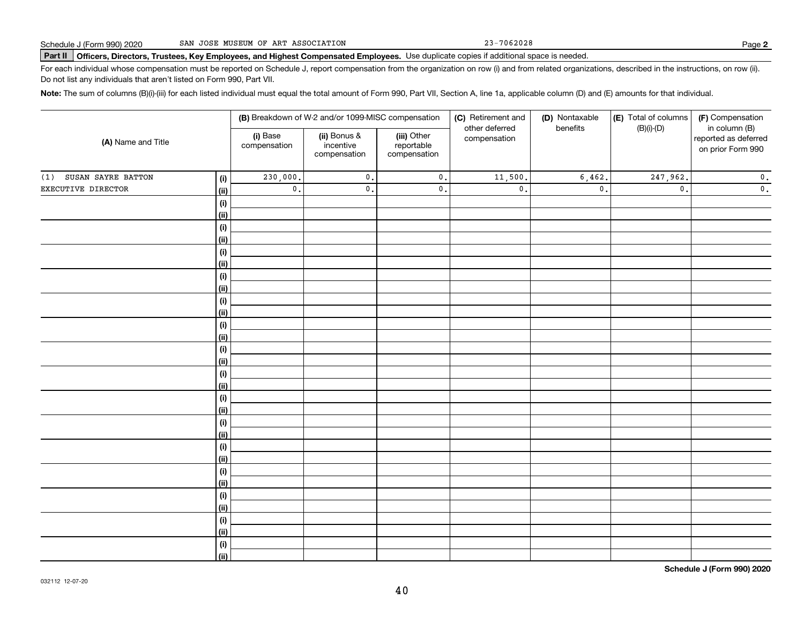23-7062028

# **Part II Officers, Directors, Trustees, Key Employees, and Highest Compensated Employees.**  Schedule J (Form 990) 2020 Page Use duplicate copies if additional space is needed.

For each individual whose compensation must be reported on Schedule J, report compensation from the organization on row (i) and from related organizations, described in the instructions, on row (ii). Do not list any individuals that aren't listed on Form 990, Part VII.

**Note:**  The sum of columns (B)(i)-(iii) for each listed individual must equal the total amount of Form 990, Part VII, Section A, line 1a, applicable column (D) and (E) amounts for that individual.

|                                   |                          | (B) Breakdown of W-2 and/or 1099-MISC compensation |                                           | (C) Retirement and             | (D) Nontaxable  | (E) Total of columns | (F) Compensation                                           |  |
|-----------------------------------|--------------------------|----------------------------------------------------|-------------------------------------------|--------------------------------|-----------------|----------------------|------------------------------------------------------------|--|
| (A) Name and Title                | (i) Base<br>compensation | (ii) Bonus &<br>incentive<br>compensation          | (iii) Other<br>reportable<br>compensation | other deferred<br>compensation | benefits        | $(B)(i)-(D)$         | in column (B)<br>reported as deferred<br>on prior Form 990 |  |
| SUSAN SAYRE BATTON<br>(1)<br>(i)  | 230,000.                 | $\mathfrak o$ .                                    | $\mathbf 0$ .                             | 11,500.                        | 6,462.          | 247,962.             | $\mathbf 0$ .                                              |  |
| EXECUTIVE DIRECTOR<br><u>(ii)</u> | $\mathbf 0$ .            | $\mathfrak o$ .                                    | $\mathbf 0$ .                             | $\mathfrak o$ .                | $\mathfrak o$ . | $\mathfrak o$ .      | $\mathbf 0$ .                                              |  |
| (i)                               |                          |                                                    |                                           |                                |                 |                      |                                                            |  |
| <u>(ii)</u>                       |                          |                                                    |                                           |                                |                 |                      |                                                            |  |
| (i)                               |                          |                                                    |                                           |                                |                 |                      |                                                            |  |
| <u>(ii)</u>                       |                          |                                                    |                                           |                                |                 |                      |                                                            |  |
| (i)                               |                          |                                                    |                                           |                                |                 |                      |                                                            |  |
| <u>(ii)</u>                       |                          |                                                    |                                           |                                |                 |                      |                                                            |  |
| $(\sf{i})$                        |                          |                                                    |                                           |                                |                 |                      |                                                            |  |
| <u>(ii)</u>                       |                          |                                                    |                                           |                                |                 |                      |                                                            |  |
| $(\sf{i})$<br><u>(ii)</u>         |                          |                                                    |                                           |                                |                 |                      |                                                            |  |
| $(\sf{i})$                        |                          |                                                    |                                           |                                |                 |                      |                                                            |  |
| <u>(ii)</u>                       |                          |                                                    |                                           |                                |                 |                      |                                                            |  |
| (i)                               |                          |                                                    |                                           |                                |                 |                      |                                                            |  |
| <u>(ii)</u>                       |                          |                                                    |                                           |                                |                 |                      |                                                            |  |
| (i)                               |                          |                                                    |                                           |                                |                 |                      |                                                            |  |
| <u>(ii)</u>                       |                          |                                                    |                                           |                                |                 |                      |                                                            |  |
| (i)                               |                          |                                                    |                                           |                                |                 |                      |                                                            |  |
| <u>(ii)</u>                       |                          |                                                    |                                           |                                |                 |                      |                                                            |  |
| (i)                               |                          |                                                    |                                           |                                |                 |                      |                                                            |  |
| <u>(ii)</u>                       |                          |                                                    |                                           |                                |                 |                      |                                                            |  |
| (i)                               |                          |                                                    |                                           |                                |                 |                      |                                                            |  |
| <u>(ii)</u>                       |                          |                                                    |                                           |                                |                 |                      |                                                            |  |
| (i)                               |                          |                                                    |                                           |                                |                 |                      |                                                            |  |
| <u>(ii)</u>                       |                          |                                                    |                                           |                                |                 |                      |                                                            |  |
| (i)<br><u>(ii)</u>                |                          |                                                    |                                           |                                |                 |                      |                                                            |  |
| (i)                               |                          |                                                    |                                           |                                |                 |                      |                                                            |  |
| <u>(ii)</u>                       |                          |                                                    |                                           |                                |                 |                      |                                                            |  |
| (i)                               |                          |                                                    |                                           |                                |                 |                      |                                                            |  |
| (ii)                              |                          |                                                    |                                           |                                |                 |                      |                                                            |  |

**Schedule J (Form 990) 2020**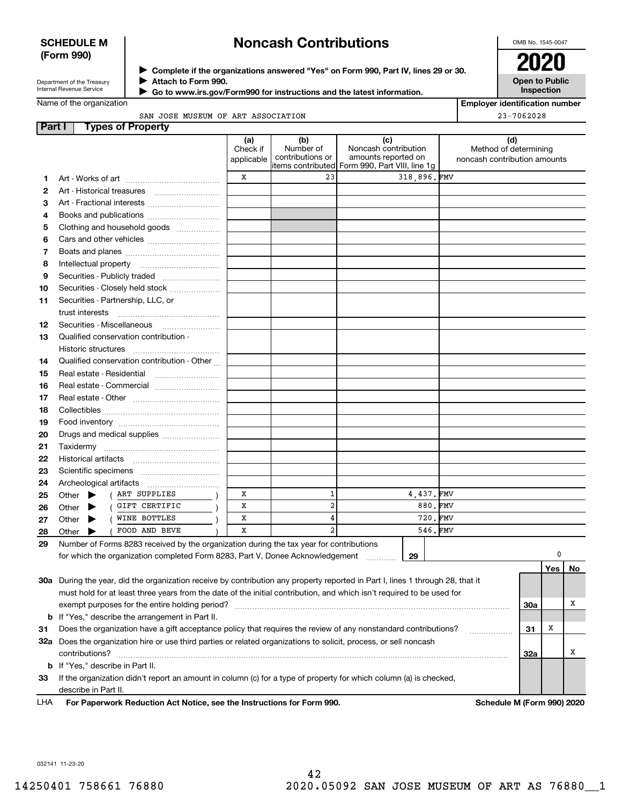# **SCHEDULE M (Form 990)**

# **Noncash Contributions**

OMB No. 1545-0047

| Department of the Treasury |
|----------------------------|
| Internal Revenue Service   |

**Complete if the organizations answered "Yes" on Form 990, Part IV, lines 29 or 30.** <sup>J</sup>**2020 Attach to Form 990.** J

 **Go to www.irs.gov/Form990 for instructions and the latest information.** J

**Open to Public Inspection**

|  | Name of the organization |
|--|--------------------------|
|  |                          |

| <b>Employer identification number</b> |  |
|---------------------------------------|--|
| $23 - 7062028$                        |  |

SAN JOSE MUSEUM OF ART ASSOCIATION

| Part I | <b>Types of Property</b>                                                                                                       |                               |                                      |                                                                                                      |             |                                                              |     |     |    |
|--------|--------------------------------------------------------------------------------------------------------------------------------|-------------------------------|--------------------------------------|------------------------------------------------------------------------------------------------------|-------------|--------------------------------------------------------------|-----|-----|----|
|        |                                                                                                                                | (a)<br>Check if<br>applicable | (b)<br>Number of<br>contributions or | (c)<br>Noncash contribution<br>amounts reported on<br>items contributed Form 990, Part VIII, line 1g |             | (d)<br>Method of determining<br>noncash contribution amounts |     |     |    |
| 1      |                                                                                                                                | x                             | 23                                   |                                                                                                      | 318,896.FMV |                                                              |     |     |    |
| 2      | Art - Historical treasures                                                                                                     |                               |                                      |                                                                                                      |             |                                                              |     |     |    |
| 3      | Art - Fractional interests                                                                                                     |                               |                                      |                                                                                                      |             |                                                              |     |     |    |
| 4      | Books and publications                                                                                                         |                               |                                      |                                                                                                      |             |                                                              |     |     |    |
| 5      | Clothing and household goods                                                                                                   |                               |                                      |                                                                                                      |             |                                                              |     |     |    |
| 6      |                                                                                                                                |                               |                                      |                                                                                                      |             |                                                              |     |     |    |
| 7      |                                                                                                                                |                               |                                      |                                                                                                      |             |                                                              |     |     |    |
| 8      | Intellectual property                                                                                                          |                               |                                      |                                                                                                      |             |                                                              |     |     |    |
| 9      | Securities - Publicly traded                                                                                                   |                               |                                      |                                                                                                      |             |                                                              |     |     |    |
|        |                                                                                                                                |                               |                                      |                                                                                                      |             |                                                              |     |     |    |
| 10     | Securities - Closely held stock                                                                                                |                               |                                      |                                                                                                      |             |                                                              |     |     |    |
| 11     | Securities - Partnership, LLC, or<br>trust interests                                                                           |                               |                                      |                                                                                                      |             |                                                              |     |     |    |
| 12     | Securities - Miscellaneous                                                                                                     |                               |                                      |                                                                                                      |             |                                                              |     |     |    |
| 13     | Qualified conservation contribution -                                                                                          |                               |                                      |                                                                                                      |             |                                                              |     |     |    |
|        | Historic structures                                                                                                            |                               |                                      |                                                                                                      |             |                                                              |     |     |    |
| 14     | Qualified conservation contribution - Other                                                                                    |                               |                                      |                                                                                                      |             |                                                              |     |     |    |
| 15     | Real estate - Residential                                                                                                      |                               |                                      |                                                                                                      |             |                                                              |     |     |    |
| 16     | Real estate - Commercial                                                                                                       |                               |                                      |                                                                                                      |             |                                                              |     |     |    |
| 17     |                                                                                                                                |                               |                                      |                                                                                                      |             |                                                              |     |     |    |
| 18     |                                                                                                                                |                               |                                      |                                                                                                      |             |                                                              |     |     |    |
| 19     |                                                                                                                                |                               |                                      |                                                                                                      |             |                                                              |     |     |    |
| 20     | Drugs and medical supplies                                                                                                     |                               |                                      |                                                                                                      |             |                                                              |     |     |    |
| 21     |                                                                                                                                |                               |                                      |                                                                                                      |             |                                                              |     |     |    |
| 22     | Historical artifacts                                                                                                           |                               |                                      |                                                                                                      |             |                                                              |     |     |    |
| 23     |                                                                                                                                |                               |                                      |                                                                                                      |             |                                                              |     |     |    |
| 24     | Archeological artifacts                                                                                                        |                               |                                      |                                                                                                      |             |                                                              |     |     |    |
| 25     | ART SUPPLIES<br>Other<br>▶                                                                                                     | х                             | 1                                    |                                                                                                      | 4,437.FMV   |                                                              |     |     |    |
| 26     | GIFT CERTIFIC<br>Other                                                                                                         | х                             | $\overline{\mathbf{2}}$              |                                                                                                      | 880.FMV     |                                                              |     |     |    |
| 27     | WINE BOTTLES<br>Other                                                                                                          | х                             | 4                                    |                                                                                                      | 720.FMV     |                                                              |     |     |    |
| 28     | FOOD AND BEVE<br>Other                                                                                                         | x                             | $\overline{a}$                       |                                                                                                      | 546.FMV     |                                                              |     |     |    |
| 29     | Number of Forms 8283 received by the organization during the tax year for contributions                                        |                               |                                      |                                                                                                      |             |                                                              |     |     |    |
|        | for which the organization completed Form 8283, Part V, Donee Acknowledgement                                                  |                               |                                      |                                                                                                      | 29          |                                                              |     | 0   |    |
|        |                                                                                                                                |                               |                                      |                                                                                                      |             |                                                              |     | Yes | No |
|        | 30a During the year, did the organization receive by contribution any property reported in Part I, lines 1 through 28, that it |                               |                                      |                                                                                                      |             |                                                              |     |     |    |
|        | must hold for at least three years from the date of the initial contribution, and which isn't required to be used for          |                               |                                      |                                                                                                      |             |                                                              |     |     |    |
|        | exempt purposes for the entire holding period?                                                                                 |                               |                                      |                                                                                                      |             |                                                              | 30a |     | х  |
|        | <b>b</b> If "Yes," describe the arrangement in Part II.                                                                        |                               |                                      |                                                                                                      |             |                                                              |     |     |    |
| 31     | Does the organization have a gift acceptance policy that requires the review of any nonstandard contributions?                 |                               |                                      |                                                                                                      |             |                                                              | 31  | X   |    |
|        | 32a Does the organization hire or use third parties or related organizations to solicit, process, or sell noncash              |                               |                                      |                                                                                                      |             |                                                              |     |     |    |
|        | contributions?                                                                                                                 |                               |                                      |                                                                                                      |             |                                                              | 32a |     | х  |
|        | <b>b</b> If "Yes," describe in Part II.                                                                                        |                               |                                      |                                                                                                      |             |                                                              |     |     |    |
| 33     | If the organization didn't report an amount in column (c) for a type of property for which column (a) is checked,              |                               |                                      |                                                                                                      |             |                                                              |     |     |    |
|        | describe in Part II.                                                                                                           |                               |                                      |                                                                                                      |             |                                                              |     |     |    |
| LHA    | For Paperwork Reduction Act Notice, see the Instructions for Form 990.                                                         |                               |                                      |                                                                                                      |             | Schedule M (Form 990) 2020                                   |     |     |    |
|        |                                                                                                                                |                               |                                      |                                                                                                      |             |                                                              |     |     |    |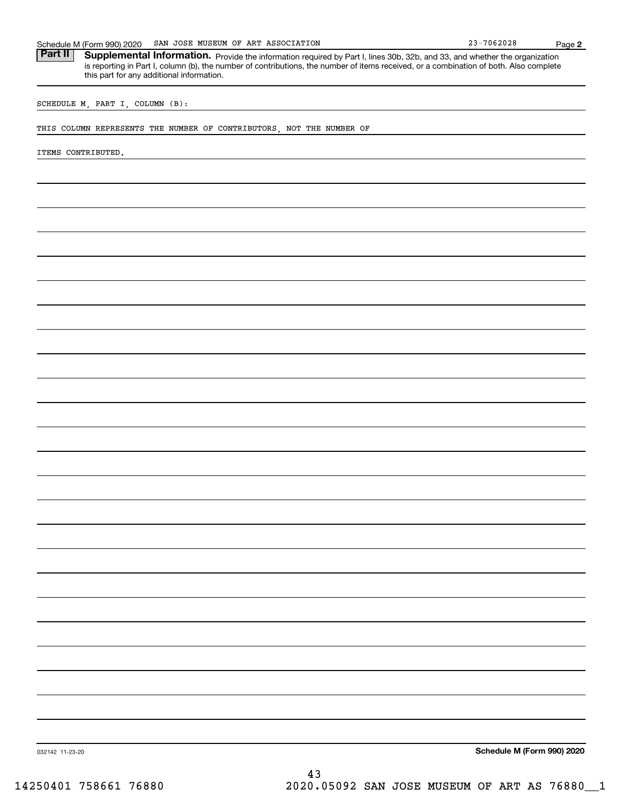| SAN JOSE MUSEUM OF ART ASSOCIATION<br>Schedule M (Form 990) 2020                                                                                                                                                                                                                                                             | 23-7062028                 | Page 2 |
|------------------------------------------------------------------------------------------------------------------------------------------------------------------------------------------------------------------------------------------------------------------------------------------------------------------------------|----------------------------|--------|
| Part II<br>Supplemental Information. Provide the information required by Part I, lines 30b, 32b, and 33, and whether the organization<br>is reporting in Part I, column (b), the number of contributions, the number of items received, or a combination of both. Also complete<br>this part for any additional information. |                            |        |
| SCHEDULE M, PART I, COLUMN (B):                                                                                                                                                                                                                                                                                              |                            |        |
| THIS COLUMN REPRESENTS THE NUMBER OF CONTRIBUTORS, NOT THE NUMBER OF                                                                                                                                                                                                                                                         |                            |        |
| ITEMS CONTRIBUTED.                                                                                                                                                                                                                                                                                                           |                            |        |
|                                                                                                                                                                                                                                                                                                                              |                            |        |
|                                                                                                                                                                                                                                                                                                                              |                            |        |
|                                                                                                                                                                                                                                                                                                                              |                            |        |
|                                                                                                                                                                                                                                                                                                                              |                            |        |
|                                                                                                                                                                                                                                                                                                                              |                            |        |
|                                                                                                                                                                                                                                                                                                                              |                            |        |
|                                                                                                                                                                                                                                                                                                                              |                            |        |
|                                                                                                                                                                                                                                                                                                                              |                            |        |
|                                                                                                                                                                                                                                                                                                                              |                            |        |
|                                                                                                                                                                                                                                                                                                                              |                            |        |
|                                                                                                                                                                                                                                                                                                                              |                            |        |
|                                                                                                                                                                                                                                                                                                                              |                            |        |
|                                                                                                                                                                                                                                                                                                                              |                            |        |
|                                                                                                                                                                                                                                                                                                                              |                            |        |
|                                                                                                                                                                                                                                                                                                                              |                            |        |
|                                                                                                                                                                                                                                                                                                                              |                            |        |
|                                                                                                                                                                                                                                                                                                                              |                            |        |
|                                                                                                                                                                                                                                                                                                                              |                            |        |
|                                                                                                                                                                                                                                                                                                                              |                            |        |
|                                                                                                                                                                                                                                                                                                                              |                            |        |
|                                                                                                                                                                                                                                                                                                                              |                            |        |
|                                                                                                                                                                                                                                                                                                                              |                            |        |
|                                                                                                                                                                                                                                                                                                                              |                            |        |
|                                                                                                                                                                                                                                                                                                                              |                            |        |
|                                                                                                                                                                                                                                                                                                                              |                            |        |
|                                                                                                                                                                                                                                                                                                                              |                            |        |
|                                                                                                                                                                                                                                                                                                                              |                            |        |
|                                                                                                                                                                                                                                                                                                                              | Schedule M (Form 990) 2020 |        |
| 032142 11-23-20                                                                                                                                                                                                                                                                                                              |                            |        |
| 43                                                                                                                                                                                                                                                                                                                           |                            |        |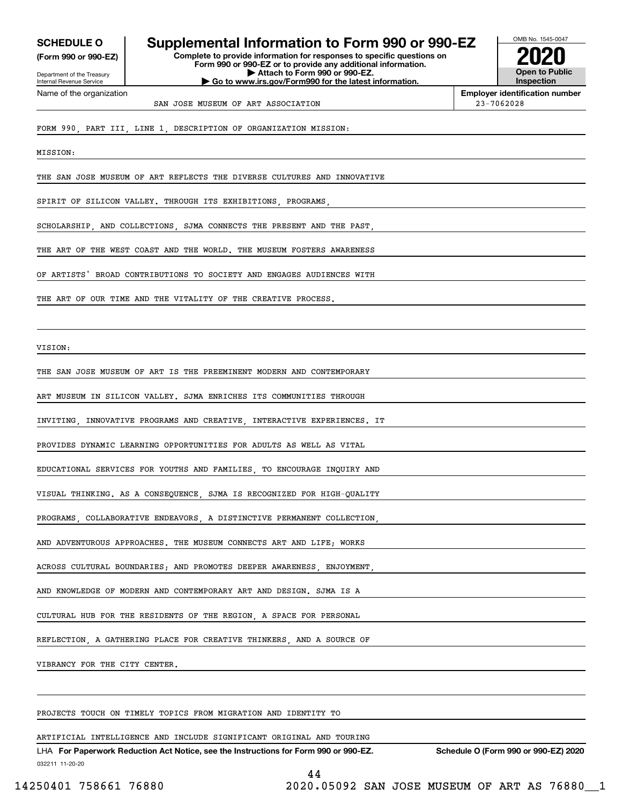**(Form 990 or 990-EZ)**

Department of the Treasury Internal Revenue Service Name of the organization

# **SCHEDULE O Supplemental Information to Form 990 or 990-EZ**

**Complete to provide information for responses to specific questions on Form 990 or 990-EZ or to provide any additional information. | Attach to Form 990 or 990-EZ. | Go to www.irs.gov/Form990 for the latest information.**



**Employer identification number** SAN JOSE MUSEUM OF ART ASSOCIATION 23-7062028

FORM 990, PART III, LINE 1, DESCRIPTION OF ORGANIZATION MISSION:

MISSION:

THE SAN JOSE MUSEUM OF ART REFLECTS THE DIVERSE CULTURES AND INNOVATIVE

SPIRIT OF SILICON VALLEY. THROUGH ITS EXHIBITIONS, PROGRAMS

SCHOLARSHIP, AND COLLECTIONS, SJMA CONNECTS THE PRESENT AND THE PAST

THE ART OF THE WEST COAST AND THE WORLD. THE MUSEUM FOSTERS AWARENESS

OF ARTISTS' BROAD CONTRIBUTIONS TO SOCIETY AND ENGAGES AUDIENCES WITH

THE ART OF OUR TIME AND THE VITALITY OF THE CREATIVE PROCESS

VISION:

THE SAN JOSE MUSEUM OF ART IS THE PREEMINENT MODERN AND CONTEMPORARY

ART MUSEUM IN SILICON VALLEY. SJMA ENRICHES ITS COMMUNITIES THROUGH

INVITING, INNOVATIVE PROGRAMS AND CREATIVE, INTERACTIVE EXPERIENCES. IT

PROVIDES DYNAMIC LEARNING OPPORTUNITIES FOR ADULTS AS WELL AS VITAL

EDUCATIONAL SERVICES FOR YOUTHS AND FAMILIES, TO ENCOURAGE INQUIRY AND

VISUAL THINKING. AS A CONSEQUENCE, SJMA IS RECOGNIZED FOR HIGH-QUALITY

PROGRAMS, COLLABORATIVE ENDEAVORS, A DISTINCTIVE PERMANENT COLLECTION,

AND ADVENTUROUS APPROACHES. THE MUSEUM CONNECTS ART AND LIFE; WORKS

ACROSS CULTURAL BOUNDARIES: AND PROMOTES DEEPER AWARENESS ENJOYMENT

AND KNOWLEDGE OF MODERN AND CONTEMPORARY ART AND DESIGN. SJMA IS A

CULTURAL HUB FOR THE RESIDENTS OF THE REGION, A SPACE FOR PERSONAL

REFLECTION, A GATHERING PLACE FOR CREATIVE THINKERS, AND A SOURCE OF

VIBRANCY FOR THE CITY CENTER.

PROJECTS TOUCH ON TIMELY TOPICS FROM MIGRATION AND IDENTITY TO

ARTIFICIAL INTELLIGENCE AND INCLUDE SIGNIFICANT ORIGINAL AND TOURING

032211 11-20-20 LHA For Paperwork Reduction Act Notice, see the Instructions for Form 990 or 990-EZ. Schedule O (Form 990 or 990-EZ) 2020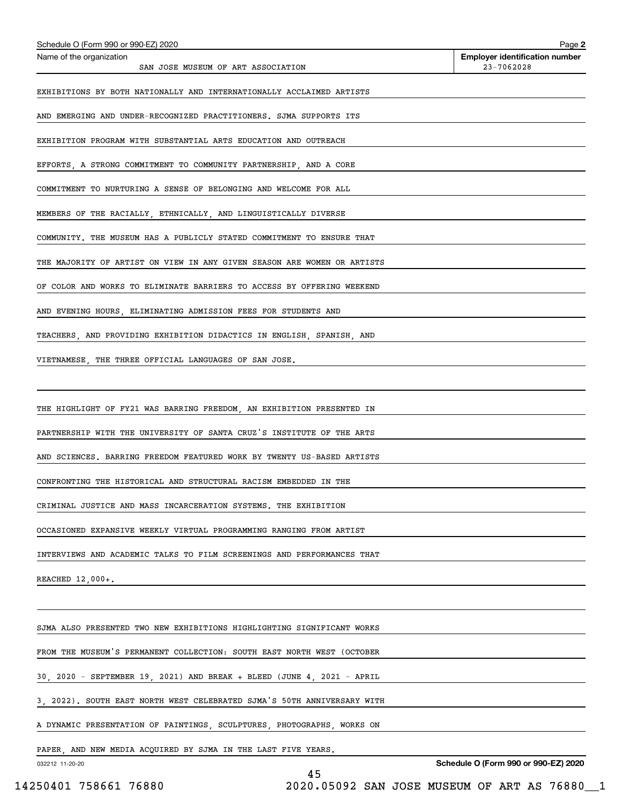| Schedule O (Form 990 or 990-EZ) 2020                                    |    | Page 2                                              |
|-------------------------------------------------------------------------|----|-----------------------------------------------------|
| Name of the organization<br>SAN JOSE MUSEUM OF ART ASSOCIATION          |    | <b>Employer identification number</b><br>23-7062028 |
| EXHIBITIONS BY BOTH NATIONALLY AND INTERNATIONALLY ACCLAIMED ARTISTS    |    |                                                     |
| AND EMERGING AND UNDER-RECOGNIZED PRACTITIONERS. SJMA SUPPORTS ITS      |    |                                                     |
| EXHIBITION PROGRAM WITH SUBSTANTIAL ARTS EDUCATION AND OUTREACH         |    |                                                     |
| EFFORTS, A STRONG COMMITMENT TO COMMUNITY PARTNERSHIP, AND A CORE       |    |                                                     |
| COMMITMENT TO NURTURING A SENSE OF BELONGING AND WELCOME FOR ALL        |    |                                                     |
| MEMBERS OF THE RACIALLY, ETHNICALLY, AND LINGUISTICALLY DIVERSE         |    |                                                     |
| COMMUNITY. THE MUSEUM HAS A PUBLICLY STATED COMMITMENT TO ENSURE THAT   |    |                                                     |
| THE MAJORITY OF ARTIST ON VIEW IN ANY GIVEN SEASON ARE WOMEN OR ARTISTS |    |                                                     |
| OF COLOR AND WORKS TO ELIMINATE BARRIERS TO ACCESS BY OFFERING WEEKEND  |    |                                                     |
| AND EVENING HOURS, ELIMINATING ADMISSION FEES FOR STUDENTS AND          |    |                                                     |
| TEACHERS AND PROVIDING EXHIBITION DIDACTICS IN ENGLISH SPANISH AND      |    |                                                     |
| VIETNAMESE, THE THREE OFFICIAL LANGUAGES OF SAN JOSE.                   |    |                                                     |
|                                                                         |    |                                                     |
| THE HIGHLIGHT OF FY21 WAS BARRING FREEDOM, AN EXHIBITION PRESENTED IN   |    |                                                     |
| PARTNERSHIP WITH THE UNIVERSITY OF SANTA CRUZ'S INSTITUTE OF THE ARTS   |    |                                                     |
| AND SCIENCES. BARRING FREEDOM FEATURED WORK BY TWENTY US-BASED ARTISTS  |    |                                                     |
| CONFRONTING THE HISTORICAL AND STRUCTURAL RACISM EMBEDDED IN THE        |    |                                                     |
| CRIMINAL JUSTICE AND MASS INCARCERATION SYSTEMS. THE EXHIBITION         |    |                                                     |
| OCCASIONED EXPANSIVE WEEKLY VIRTUAL PROGRAMMING RANGING FROM ARTIST     |    |                                                     |
| INTERVIEWS AND ACADEMIC TALKS TO FILM SCREENINGS AND PERFORMANCES THAT  |    |                                                     |
| REACHED 12,000+.                                                        |    |                                                     |
|                                                                         |    |                                                     |
| SJMA ALSO PRESENTED TWO NEW EXHIBITIONS HIGHLIGHTING SIGNIFICANT WORKS  |    |                                                     |
| FROM THE MUSEUM'S PERMANENT COLLECTION: SOUTH EAST NORTH WEST (OCTOBER  |    |                                                     |
| 30, 2020 - SEPTEMBER 19, 2021) AND BREAK + BLEED (JUNE 4, 2021 - APRIL  |    |                                                     |
| 3, 2022). SOUTH EAST NORTH WEST CELEBRATED SJMA'S 50TH ANNIVERSARY WITH |    |                                                     |
| A DYNAMIC PRESENTATION OF PAINTINGS, SCULPTURES, PHOTOGRAPHS, WORKS ON  |    |                                                     |
| PAPER, AND NEW MEDIA ACQUIRED BY SJMA IN THE LAST FIVE YEARS.           |    | Schedule O (Form 990 or 990-EZ) 2020                |
| 032212 11-20-20                                                         | 45 |                                                     |
| 14250401 758661 76880                                                   |    | 2020.05092 SAN JOSE MUSEUM OF ART AS 76880_1        |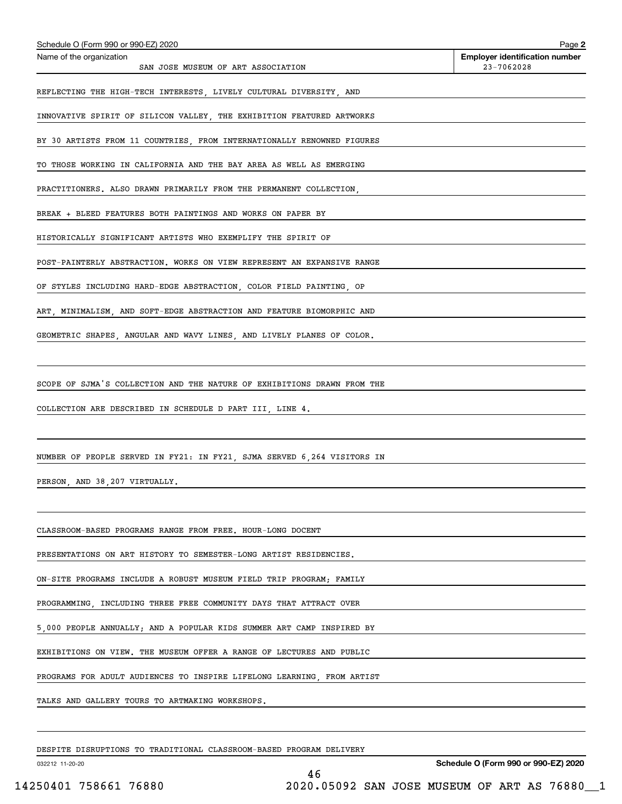| Schedule O (Form 990 or 990-EZ) 2020                                    | Page 2                                              |
|-------------------------------------------------------------------------|-----------------------------------------------------|
| Name of the organization<br>SAN JOSE MUSEUM OF ART ASSOCIATION          | <b>Employer identification number</b><br>23-7062028 |
| REFLECTING THE HIGH-TECH INTERESTS, LIVELY CULTURAL DIVERSITY, AND      |                                                     |
| INNOVATIVE SPIRIT OF SILICON VALLEY, THE EXHIBITION FEATURED ARTWORKS   |                                                     |
| BY 30 ARTISTS FROM 11 COUNTRIES, FROM INTERNATIONALLY RENOWNED FIGURES  |                                                     |
| TO THOSE WORKING IN CALIFORNIA AND THE BAY AREA AS WELL AS EMERGING     |                                                     |
| PRACTITIONERS. ALSO DRAWN PRIMARILY FROM THE PERMANENT COLLECTION,      |                                                     |
| BREAK + BLEED FEATURES BOTH PAINTINGS AND WORKS ON PAPER BY             |                                                     |
| HISTORICALLY SIGNIFICANT ARTISTS WHO EXEMPLIFY THE SPIRIT OF            |                                                     |
| POST-PAINTERLY ABSTRACTION. WORKS ON VIEW REPRESENT AN EXPANSIVE RANGE  |                                                     |
| OF STYLES INCLUDING HARD-EDGE ABSTRACTION, COLOR FIELD PAINTING, OP     |                                                     |
| ART, MINIMALISM, AND SOFT-EDGE ABSTRACTION AND FEATURE BIOMORPHIC AND   |                                                     |
| GEOMETRIC SHAPES, ANGULAR AND WAVY LINES, AND LIVELY PLANES OF COLOR.   |                                                     |
|                                                                         |                                                     |
| SCOPE OF SJMA'S COLLECTION AND THE NATURE OF EXHIBITIONS DRAWN FROM THE |                                                     |
| COLLECTION ARE DESCRIBED IN SCHEDULE D PART III, LINE 4.                |                                                     |
|                                                                         |                                                     |
| NUMBER OF PEOPLE SERVED IN FY21: IN FY21, SJMA SERVED 6,264 VISITORS IN |                                                     |
| PERSON, AND 38, 207 VIRTUALLY.                                          |                                                     |
|                                                                         |                                                     |
| CLASSROOM-BASED PROGRAMS RANGE FROM FREE. HOUR-LONG DOCENT              |                                                     |
| PRESENTATIONS ON ART HISTORY TO SEMESTER-LONG ARTIST RESIDENCIES.       |                                                     |
| ON-SITE PROGRAMS INCLUDE A ROBUST MUSEUM FIELD TRIP PROGRAM; FAMILY     |                                                     |
| PROGRAMMING, INCLUDING THREE FREE COMMUNITY DAYS THAT ATTRACT OVER      |                                                     |
| 5,000 PEOPLE ANNUALLY; AND A POPULAR KIDS SUMMER ART CAMP INSPIRED BY   |                                                     |
| EXHIBITIONS ON VIEW. THE MUSEUM OFFER A RANGE OF LECTURES AND PUBLIC    |                                                     |
| PROGRAMS FOR ADULT AUDIENCES TO INSPIRE LIFELONG LEARNING, FROM ARTIST  |                                                     |
| TALKS AND GALLERY TOURS TO ARTMAKING WORKSHOPS.                         |                                                     |
|                                                                         |                                                     |
|                                                                         |                                                     |

46

DESPITE DISRUPTIONS TO TRADITIONAL CLASSROOM-BASED PROGRAM DELIVERY

032212 11-20-20

**Schedule O (Form 990 or 990-EZ) 2020**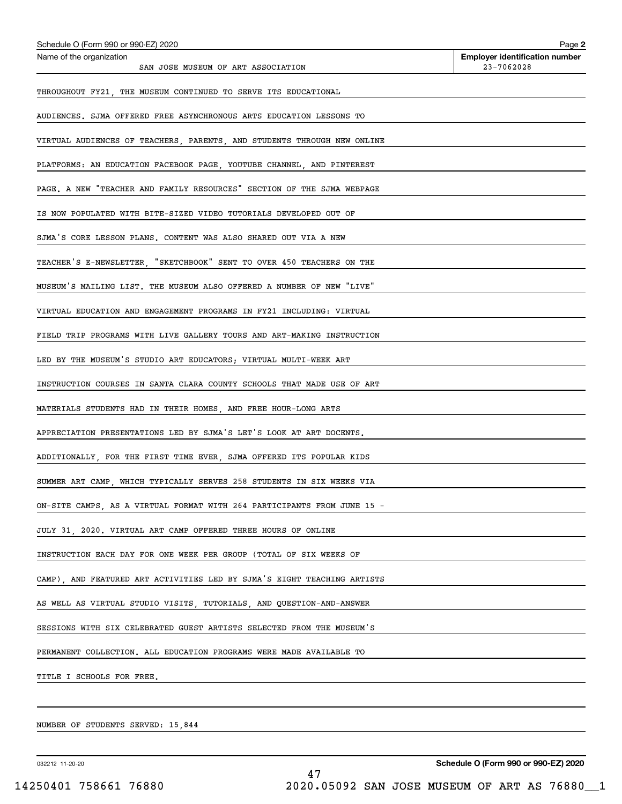| Schedule O (Form 990 or 990-EZ) 2020<br>Name of the organization        | Page 2<br><b>Employer identification number</b> |
|-------------------------------------------------------------------------|-------------------------------------------------|
| SAN JOSE MUSEUM OF ART ASSOCIATION                                      | 23-7062028                                      |
| THROUGHOUT FY21, THE MUSEUM CONTINUED TO SERVE ITS EDUCATIONAL          |                                                 |
| AUDIENCES. SJMA OFFERED FREE ASYNCHRONOUS ARTS EDUCATION LESSONS TO     |                                                 |
| VIRTUAL AUDIENCES OF TEACHERS, PARENTS, AND STUDENTS THROUGH NEW ONLINE |                                                 |
| PLATFORMS: AN EDUCATION FACEBOOK PAGE, YOUTUBE CHANNEL, AND PINTEREST   |                                                 |
| PAGE. A NEW "TEACHER AND FAMILY RESOURCES" SECTION OF THE SJMA WEBPAGE  |                                                 |
| IS NOW POPULATED WITH BITE-SIZED VIDEO TUTORIALS DEVELOPED OUT OF       |                                                 |
| SJMA'S CORE LESSON PLANS. CONTENT WAS ALSO SHARED OUT VIA A NEW         |                                                 |
| TEACHER'S E-NEWSLETTER, "SKETCHBOOK" SENT TO OVER 450 TEACHERS ON THE   |                                                 |
| MUSEUM'S MAILING LIST. THE MUSEUM ALSO OFFERED A NUMBER OF NEW "LIVE"   |                                                 |
| VIRTUAL EDUCATION AND ENGAGEMENT PROGRAMS IN FY21 INCLUDING: VIRTUAL    |                                                 |
| FIELD TRIP PROGRAMS WITH LIVE GALLERY TOURS AND ART-MAKING INSTRUCTION  |                                                 |
| LED BY THE MUSEUM'S STUDIO ART EDUCATORS; VIRTUAL MULTI-WEEK ART        |                                                 |
| INSTRUCTION COURSES IN SANTA CLARA COUNTY SCHOOLS THAT MADE USE OF ART  |                                                 |
| MATERIALS STUDENTS HAD IN THEIR HOMES, AND FREE HOUR-LONG ARTS          |                                                 |
| APPRECIATION PRESENTATIONS LED BY SJMA'S LET'S LOOK AT ART DOCENTS.     |                                                 |
| ADDITIONALLY, FOR THE FIRST TIME EVER, SJMA OFFERED ITS POPULAR KIDS    |                                                 |
| SUMMER ART CAMP, WHICH TYPICALLY SERVES 258 STUDENTS IN SIX WEEKS VIA   |                                                 |
| ON-SITE CAMPS, AS A VIRTUAL FORMAT WITH 264 PARTICIPANTS FROM JUNE 15 - |                                                 |
| JULY 31, 2020. VIRTUAL ART CAMP OFFERED THREE HOURS OF ONLINE           |                                                 |
| INSTRUCTION EACH DAY FOR ONE WEEK PER GROUP (TOTAL OF SIX WEEKS OF      |                                                 |
| CAMP), AND FEATURED ART ACTIVITIES LED BY SJMA'S EIGHT TEACHING ARTISTS |                                                 |
| AS WELL AS VIRTUAL STUDIO VISITS, TUTORIALS, AND QUESTION-AND-ANSWER    |                                                 |
| SESSIONS WITH SIX CELEBRATED GUEST ARTISTS SELECTED FROM THE MUSEUM S   |                                                 |
| PERMANENT COLLECTION. ALL EDUCATION PROGRAMS WERE MADE AVAILABLE TO     |                                                 |
| TITLE I SCHOOLS FOR FREE.                                               |                                                 |
|                                                                         |                                                 |
| NUMBER OF STUDENTS SERVED: 15,844                                       |                                                 |

032212 11-20-20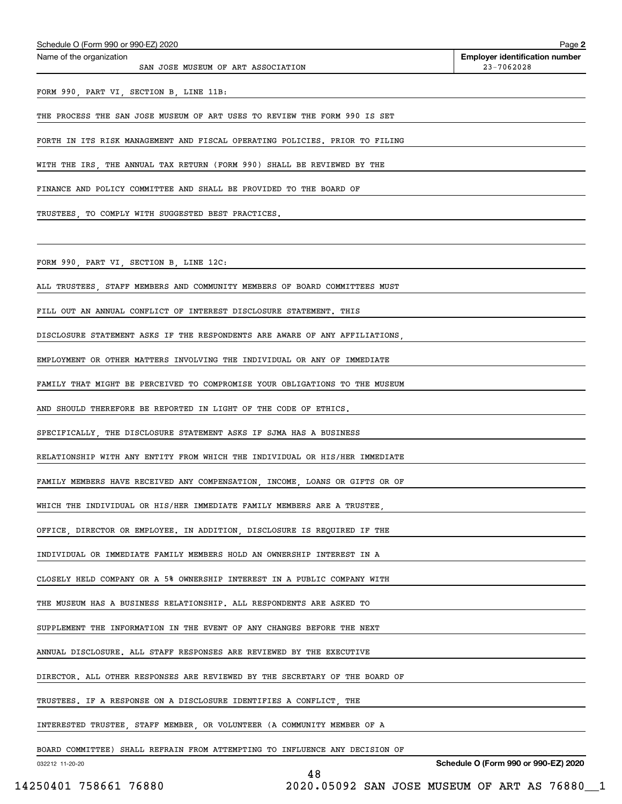| Schedule O (Form 990 or 990-EZ) 2020                                        | Page 2                                              |
|-----------------------------------------------------------------------------|-----------------------------------------------------|
| Name of the organization<br>SAN JOSE MUSEUM OF ART ASSOCIATION              | <b>Employer identification number</b><br>23-7062028 |
| FORM 990, PART VI, SECTION B, LINE 11B:                                     |                                                     |
| THE PROCESS THE SAN JOSE MUSEUM OF ART USES TO REVIEW THE FORM 990 IS SET   |                                                     |
| FORTH IN ITS RISK MANAGEMENT AND FISCAL OPERATING POLICIES. PRIOR TO FILING |                                                     |
| WITH THE IRS, THE ANNUAL TAX RETURN (FORM 990) SHALL BE REVIEWED BY THE     |                                                     |
| FINANCE AND POLICY COMMITTEE AND SHALL BE PROVIDED TO THE BOARD OF          |                                                     |
| TRUSTEES, TO COMPLY WITH SUGGESTED BEST PRACTICES.                          |                                                     |
|                                                                             |                                                     |
| FORM 990, PART VI, SECTION B, LINE 12C:                                     |                                                     |
| ALL TRUSTEES, STAFF MEMBERS AND COMMUNITY MEMBERS OF BOARD COMMITTEES MUST  |                                                     |
| FILL OUT AN ANNUAL CONFLICT OF INTEREST DISCLOSURE STATEMENT. THIS          |                                                     |
| DISCLOSURE STATEMENT ASKS IF THE RESPONDENTS ARE AWARE OF ANY AFFILIATIONS, |                                                     |
| EMPLOYMENT OR OTHER MATTERS INVOLVING THE INDIVIDUAL OR ANY OF IMMEDIATE    |                                                     |
| FAMILY THAT MIGHT BE PERCEIVED TO COMPROMISE YOUR OBLIGATIONS TO THE MUSEUM |                                                     |
| AND SHOULD THEREFORE BE REPORTED IN LIGHT OF THE CODE OF ETHICS.            |                                                     |
| SPECIFICALLY, THE DISCLOSURE STATEMENT ASKS IF SJMA HAS A BUSINESS          |                                                     |
| RELATIONSHIP WITH ANY ENTITY FROM WHICH THE INDIVIDUAL OR HIS/HER IMMEDIATE |                                                     |
| FAMILY MEMBERS HAVE RECEIVED ANY COMPENSATION, INCOME, LOANS OR GIFTS OR OF |                                                     |
| WHICH THE INDIVIDUAL OR HIS/HER IMMEDIATE FAMILY MEMBERS ARE A TRUSTEE      |                                                     |
| OFFICE, DIRECTOR OR EMPLOYEE. IN ADDITION, DISCLOSURE IS REQUIRED IF THE    |                                                     |
| INDIVIDUAL OR IMMEDIATE FAMILY MEMBERS HOLD AN OWNERSHIP INTEREST IN A      |                                                     |
| CLOSELY HELD COMPANY OR A 5% OWNERSHIP INTEREST IN A PUBLIC COMPANY WITH    |                                                     |
| THE MUSEUM HAS A BUSINESS RELATIONSHIP. ALL RESPONDENTS ARE ASKED TO        |                                                     |
| SUPPLEMENT THE INFORMATION IN THE EVENT OF ANY CHANGES BEFORE THE NEXT      |                                                     |
| ANNUAL DISCLOSURE. ALL STAFF RESPONSES ARE REVIEWED BY THE EXECUTIVE        |                                                     |
| DIRECTOR. ALL OTHER RESPONSES ARE REVIEWED BY THE SECRETARY OF THE BOARD OF |                                                     |
| TRUSTEES. IF A RESPONSE ON A DISCLOSURE IDENTIFIES A CONFLICT, THE          |                                                     |
| INTERESTED TRUSTEE, STAFF MEMBER, OR VOLUNTEER (A COMMUNITY MEMBER OF A     |                                                     |
| BOARD COMMITTEE) SHALL REFRAIN FROM ATTEMPTING TO INFLUENCE ANY DECISION OF |                                                     |
| 032212 11-20-20                                                             | Schedule O (Form 990 or 990-EZ) 2020                |

48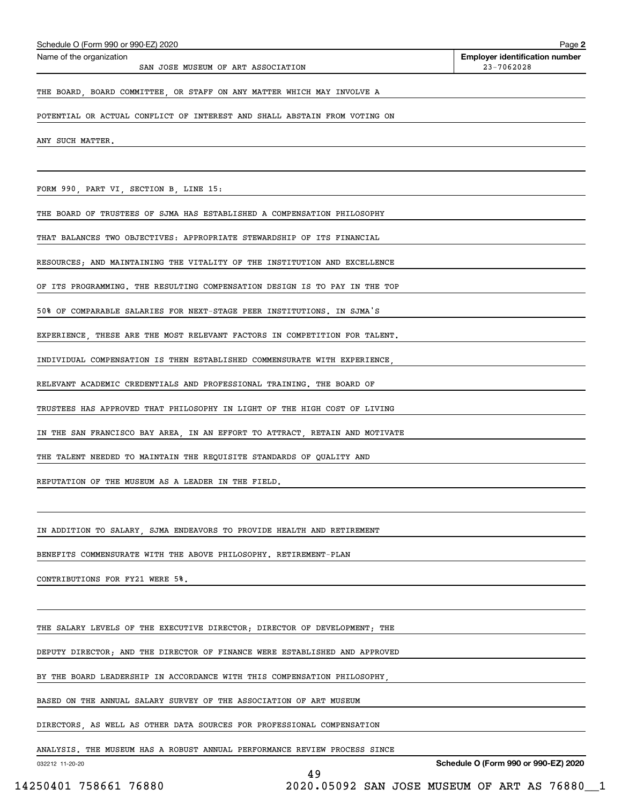| Name of the organization<br>SAN JOSE MUSEUM OF ART ASSOCIATION             | <b>Employer identification number</b><br>$23 - 7062028$ |
|----------------------------------------------------------------------------|---------------------------------------------------------|
| THE BOARD, BOARD COMMITTEE, OR STAFF ON ANY MATTER WHICH MAY INVOLVE A     |                                                         |
| POTENTIAL OR ACTUAL CONFLICT OF INTEREST AND SHALL ABSTAIN FROM VOTING ON  |                                                         |
| ANY SUCH MATTER.                                                           |                                                         |
|                                                                            |                                                         |
| FORM 990, PART VI, SECTION B, LINE 15:                                     |                                                         |
| THE BOARD OF TRUSTEES OF SJMA HAS ESTABLISHED A COMPENSATION PHILOSOPHY    |                                                         |
| THAT BALANCES TWO OBJECTIVES: APPROPRIATE STEWARDSHIP OF ITS FINANCIAL     |                                                         |
| RESOURCES; AND MAINTAINING THE VITALITY OF THE INSTITUTION AND EXCELLENCE  |                                                         |
| OF ITS PROGRAMMING. THE RESULTING COMPENSATION DESIGN IS TO PAY IN THE TOP |                                                         |
|                                                                            |                                                         |

50% OF COMPARABLE SALARIES FOR NEXT-STAGE PEER INSTITUTIONS. IN SJMA'S

EXPERIENCE, THESE ARE THE MOST RELEVANT FACTORS IN COMPETITION FOR TALENT.

INDIVIDUAL COMPENSATION IS THEN ESTABLISHED COMMENSURATE WITH EXPERIENCE,

RELEVANT ACADEMIC CREDENTIALS AND PROFESSIONAL TRAINING. THE BOARD OF

TRUSTEES HAS APPROVED THAT PHILOSOPHY IN LIGHT OF THE HIGH COST OF LIVING

IN THE SAN FRANCISCO BAY AREA, IN AN EFFORT TO ATTRACT, RETAIN AND MOTIVATE

THE TALENT NEEDED TO MAINTAIN THE REQUISITE STANDARDS OF QUALITY AND

REPUTATION OF THE MUSEUM AS A LEADER IN THE FIELD.

IN ADDITION TO SALARY, SJMA ENDEAVORS TO PROVIDE HEALTH AND RETIREMENT

BENEFITS COMMENSURATE WITH THE ABOVE PHILOSOPHY. RETIREMENT-PLAN

CONTRIBUTIONS FOR FY21 WERE 5%.

Schedule O (Form 990 or 990-EZ) 2020

THE SALARY LEVELS OF THE EXECUTIVE DIRECTOR; DIRECTOR OF DEVELOPMENT; THE

DEPUTY DIRECTOR; AND THE DIRECTOR OF FINANCE WERE ESTABLISHED AND APPROVED

BY THE BOARD LEADERSHIP IN ACCORDANCE WITH THIS COMPENSATION PHILOSOPHY,

BASED ON THE ANNUAL SALARY SURVEY OF THE ASSOCIATION OF ART MUSEUM

DIRECTORS, AS WELL AS OTHER DATA SOURCES FOR PROFESSIONAL COMPENSATION

ANALYSIS. THE MUSEUM HAS A ROBUST ANNUAL PERFORMANCE REVIEW PROCESS SINCE

49

032212 11-20-20

**Schedule O (Form 990 or 990-EZ) 2020**